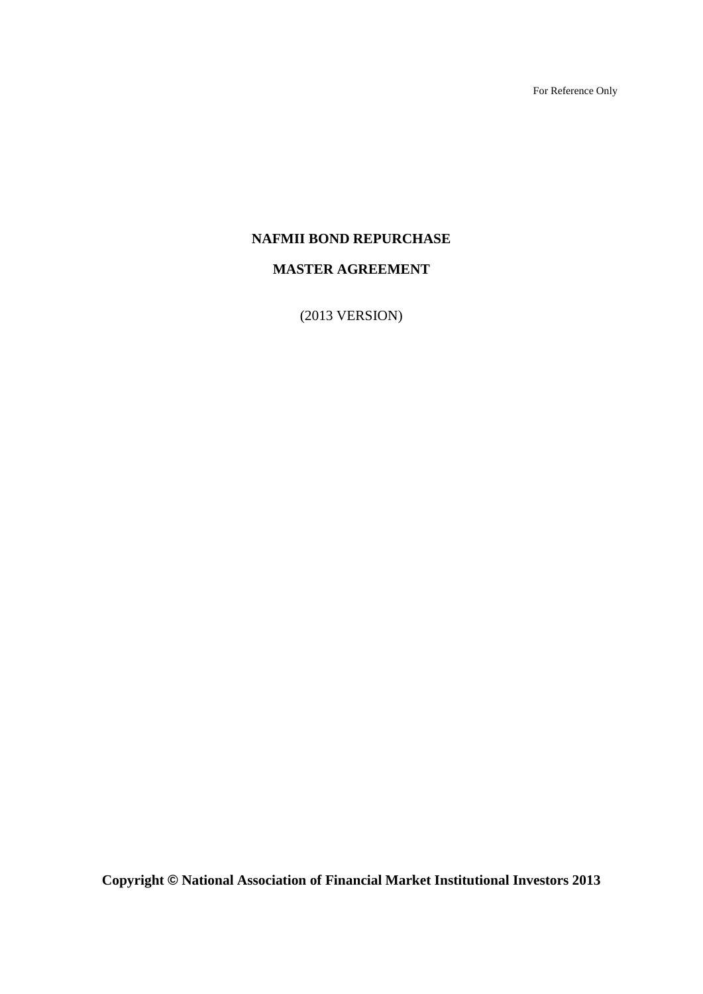For Reference Only

# **NAFMII BOND REPURCHASE**

# **MASTER AGREEMENT**

(2013 VERSION)

**Copyright © National Association of Financial Market Institutional Investors 2013**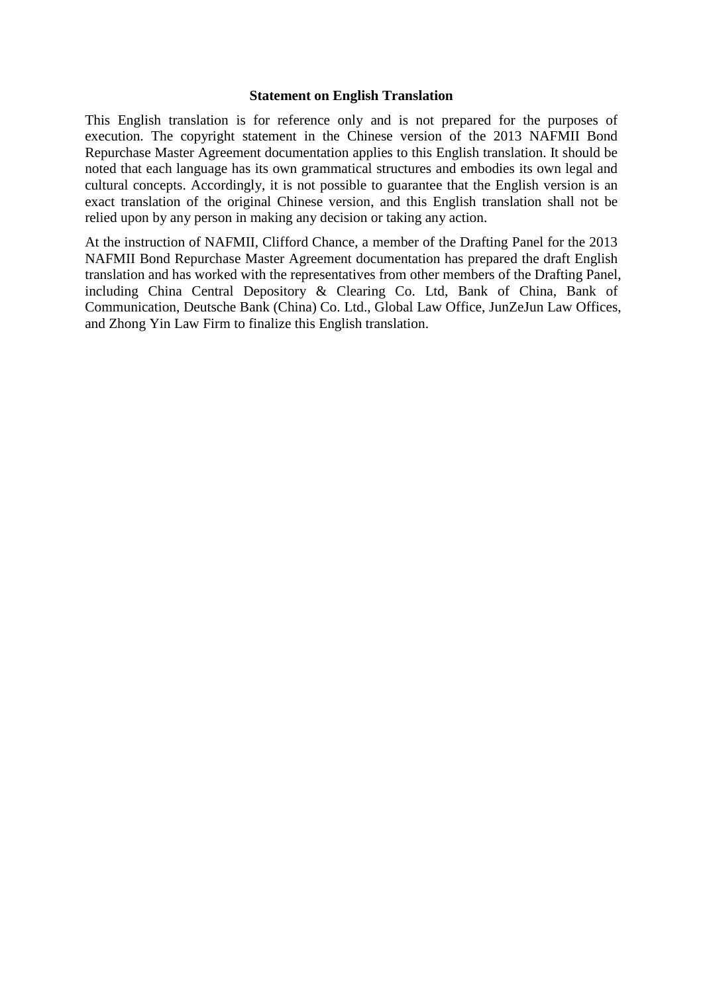#### **Statement on English Translation**

This English translation is for reference only and is not prepared for the purposes of execution. The copyright statement in the Chinese version of the 2013 NAFMII Bond Repurchase Master Agreement documentation applies to this English translation. It should be noted that each language has its own grammatical structures and embodies its own legal and cultural concepts. Accordingly, it is not possible to guarantee that the English version is an exact translation of the original Chinese version, and this English translation shall not be relied upon by any person in making any decision or taking any action.

At the instruction of NAFMII, Clifford Chance, a member of the Drafting Panel for the 2013 NAFMII Bond Repurchase Master Agreement documentation has prepared the draft English translation and has worked with the representatives from other members of the Drafting Panel, including China Central Depository & Clearing Co. Ltd, Bank of China, Bank of Communication, Deutsche Bank (China) Co. Ltd., Global Law Office, JunZeJun Law Offices, and Zhong Yin Law Firm to finalize this English translation.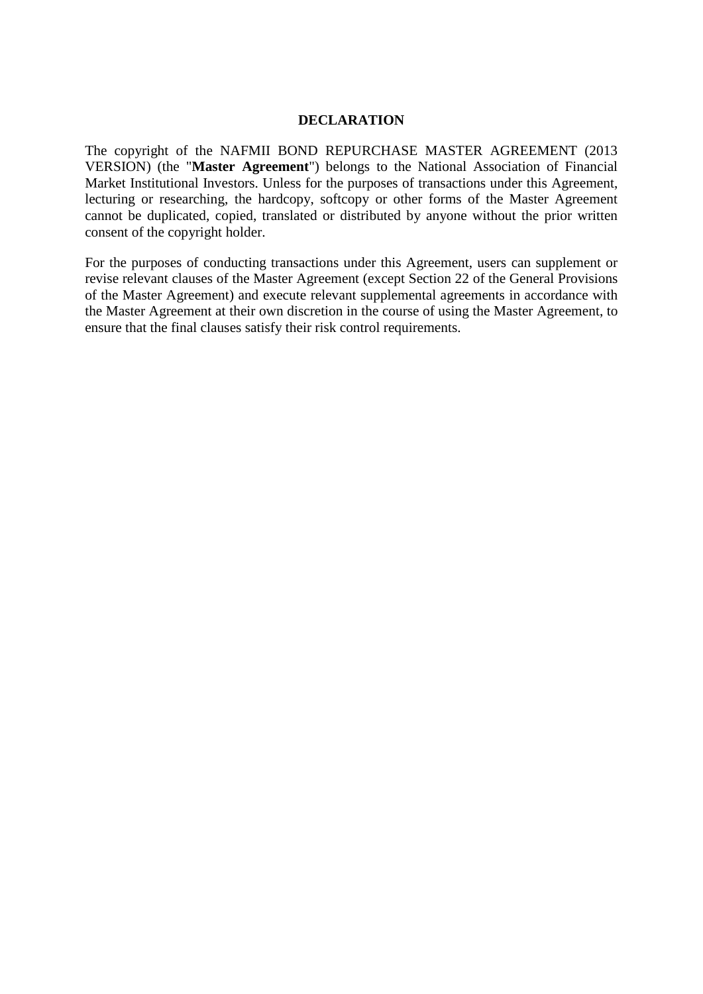### **DECLARATION**

The copyright of the NAFMII BOND REPURCHASE MASTER AGREEMENT (2013 VERSION) (the "**Master Agreement**") belongs to the National Association of Financial Market Institutional Investors. Unless for the purposes of transactions under this Agreement, lecturing or researching, the hardcopy, softcopy or other forms of the Master Agreement cannot be duplicated, copied, translated or distributed by anyone without the prior written consent of the copyright holder.

For the purposes of conducting transactions under this Agreement, users can supplement or revise relevant clauses of the Master Agreement (except Section 22 of the General Provisions of the Master Agreement) and execute relevant supplemental agreements in accordance with the Master Agreement at their own discretion in the course of using the Master Agreement, to ensure that the final clauses satisfy their risk control requirements.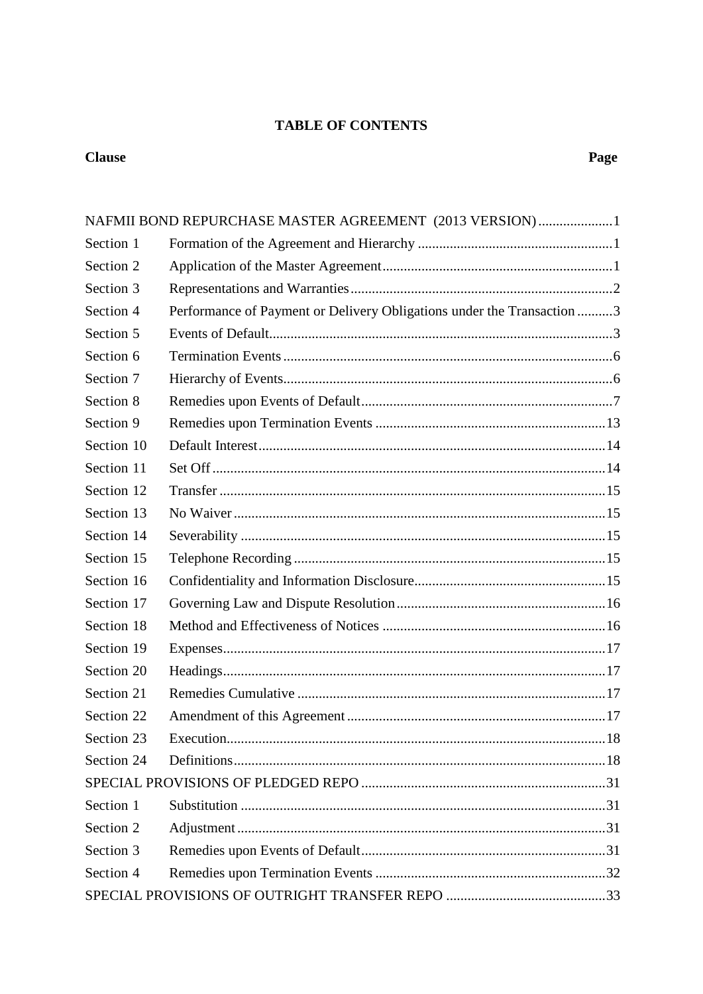# **TABLE OF CONTENTS**

# **Clause**

|            | NAFMII BOND REPURCHASE MASTER AGREEMENT (2013 VERSION)1                |  |
|------------|------------------------------------------------------------------------|--|
| Section 1  |                                                                        |  |
| Section 2  |                                                                        |  |
| Section 3  |                                                                        |  |
| Section 4  | Performance of Payment or Delivery Obligations under the Transaction 3 |  |
| Section 5  |                                                                        |  |
| Section 6  |                                                                        |  |
| Section 7  |                                                                        |  |
| Section 8  |                                                                        |  |
| Section 9  |                                                                        |  |
| Section 10 |                                                                        |  |
| Section 11 |                                                                        |  |
| Section 12 |                                                                        |  |
| Section 13 |                                                                        |  |
| Section 14 |                                                                        |  |
| Section 15 |                                                                        |  |
| Section 16 |                                                                        |  |
| Section 17 |                                                                        |  |
| Section 18 |                                                                        |  |
| Section 19 |                                                                        |  |
| Section 20 |                                                                        |  |
| Section 21 |                                                                        |  |
| Section 22 |                                                                        |  |
| Section 23 |                                                                        |  |
| Section 24 |                                                                        |  |
|            |                                                                        |  |
| Section 1  |                                                                        |  |
| Section 2  |                                                                        |  |
| Section 3  |                                                                        |  |
| Section 4  |                                                                        |  |
|            |                                                                        |  |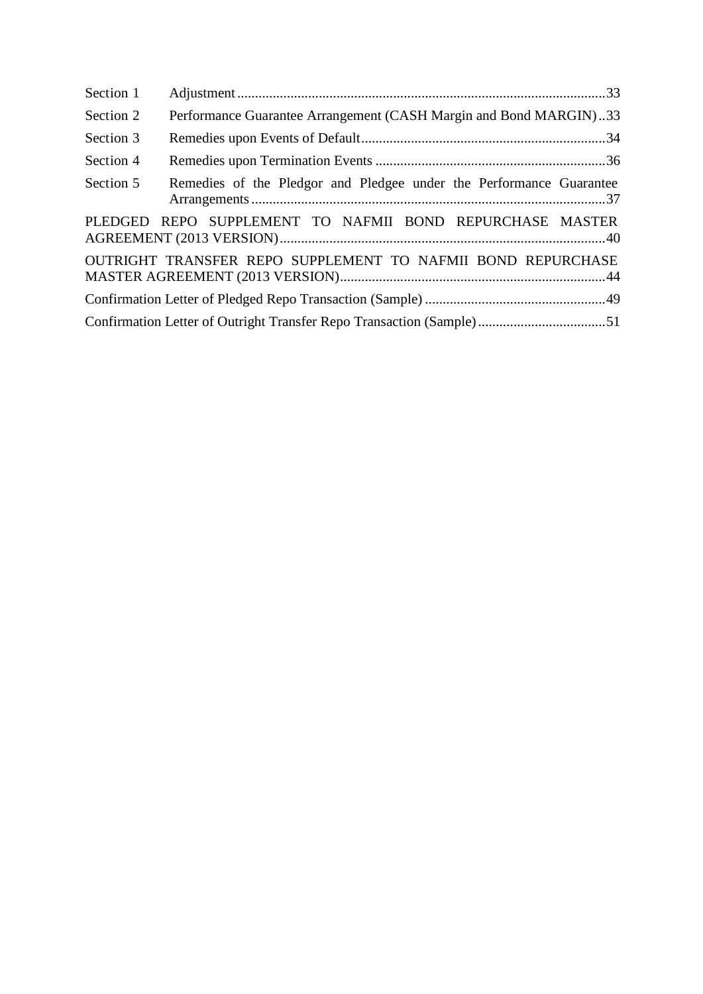| Section 1 |                                                                     |  |
|-----------|---------------------------------------------------------------------|--|
| Section 2 | Performance Guarantee Arrangement (CASH Margin and Bond MARGIN)33   |  |
| Section 3 |                                                                     |  |
| Section 4 |                                                                     |  |
| Section 5 | Remedies of the Pledgor and Pledgee under the Performance Guarantee |  |
|           | PLEDGED REPO SUPPLEMENT TO NAFMII BOND REPURCHASE MASTER            |  |
|           | OUTRIGHT TRANSFER REPO SUPPLEMENT TO NAFMII BOND REPURCHASE         |  |
|           |                                                                     |  |
|           |                                                                     |  |
|           |                                                                     |  |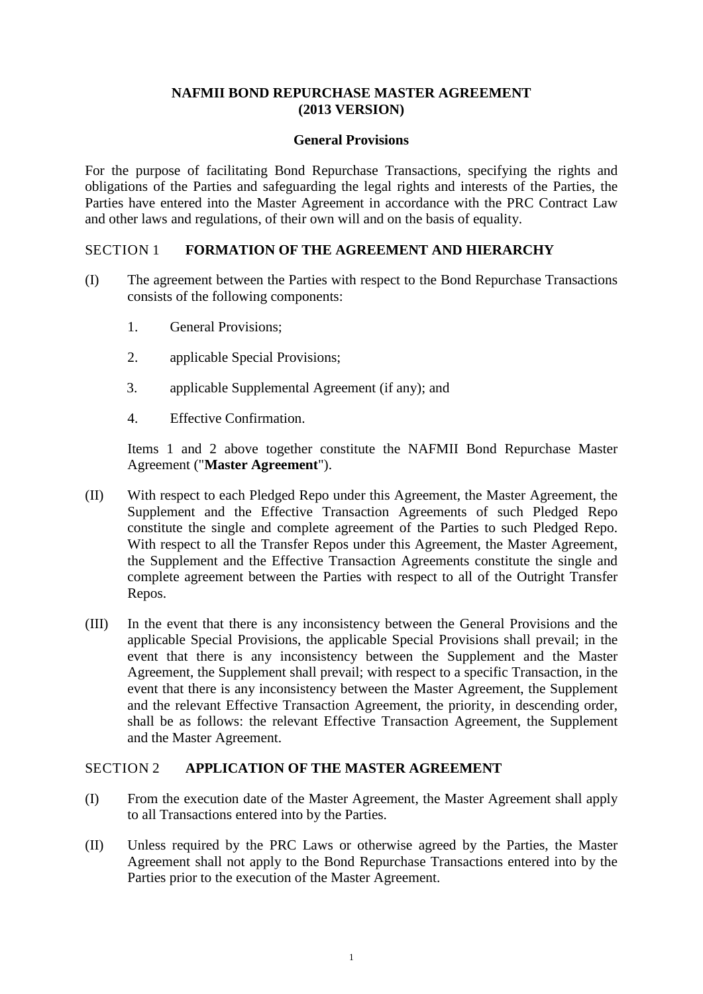### **NAFMII BOND REPURCHASE MASTER AGREEMENT (2013 VERSION)**

#### **General Provisions**

<span id="page-5-0"></span>For the purpose of facilitating Bond Repurchase Transactions, specifying the rights and obligations of the Parties and safeguarding the legal rights and interests of the Parties, the Parties have entered into the Master Agreement in accordance with the PRC Contract Law and other laws and regulations, of their own will and on the basis of equality.

### <span id="page-5-1"></span>SECTION 1 **FORMATION OF THE AGREEMENT AND HIERARCHY**

- (I) The agreement between the Parties with respect to the Bond Repurchase Transactions consists of the following components:
	- 1. General Provisions;
	- 2. applicable Special Provisions;
	- 3. applicable Supplemental Agreement (if any); and
	- 4. Effective Confirmation.

Items 1 and 2 above together constitute the NAFMII Bond Repurchase Master Agreement ("**Master Agreement**").

- (II) With respect to each Pledged Repo under this Agreement, the Master Agreement, the Supplement and the Effective Transaction Agreements of such Pledged Repo constitute the single and complete agreement of the Parties to such Pledged Repo. With respect to all the Transfer Repos under this Agreement, the Master Agreement, the Supplement and the Effective Transaction Agreements constitute the single and complete agreement between the Parties with respect to all of the Outright Transfer Repos.
- (III) In the event that there is any inconsistency between the General Provisions and the applicable Special Provisions, the applicable Special Provisions shall prevail; in the event that there is any inconsistency between the Supplement and the Master Agreement, the Supplement shall prevail; with respect to a specific Transaction, in the event that there is any inconsistency between the Master Agreement, the Supplement and the relevant Effective Transaction Agreement, the priority, in descending order, shall be as follows: the relevant Effective Transaction Agreement, the Supplement and the Master Agreement.

### <span id="page-5-2"></span>SECTION 2 **APPLICATION OF THE MASTER AGREEMENT**

- (I) From the execution date of the Master Agreement, the Master Agreement shall apply to all Transactions entered into by the Parties.
- (II) Unless required by the PRC Laws or otherwise agreed by the Parties, the Master Agreement shall not apply to the Bond Repurchase Transactions entered into by the Parties prior to the execution of the Master Agreement.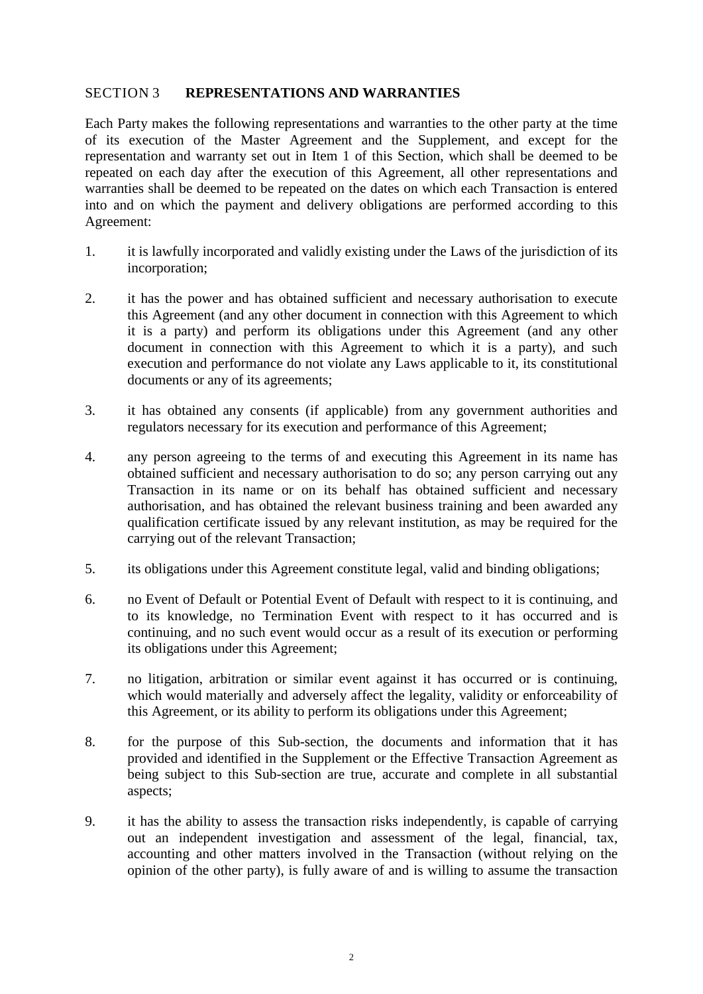### <span id="page-6-0"></span>SECTION 3 **REPRESENTATIONS AND WARRANTIES**

Each Party makes the following representations and warranties to the other party at the time of its execution of the Master Agreement and the Supplement, and except for the representation and warranty set out in Item 1 of this Section, which shall be deemed to be repeated on each day after the execution of this Agreement, all other representations and warranties shall be deemed to be repeated on the dates on which each Transaction is entered into and on which the payment and delivery obligations are performed according to this Agreement:

- 1. it is lawfully incorporated and validly existing under the Laws of the jurisdiction of its incorporation;
- 2. it has the power and has obtained sufficient and necessary authorisation to execute this Agreement (and any other document in connection with this Agreement to which it is a party) and perform its obligations under this Agreement (and any other document in connection with this Agreement to which it is a party), and such execution and performance do not violate any Laws applicable to it, its constitutional documents or any of its agreements;
- 3. it has obtained any consents (if applicable) from any government authorities and regulators necessary for its execution and performance of this Agreement;
- 4. any person agreeing to the terms of and executing this Agreement in its name has obtained sufficient and necessary authorisation to do so; any person carrying out any Transaction in its name or on its behalf has obtained sufficient and necessary authorisation, and has obtained the relevant business training and been awarded any qualification certificate issued by any relevant institution, as may be required for the carrying out of the relevant Transaction;
- 5. its obligations under this Agreement constitute legal, valid and binding obligations;
- 6. no Event of Default or Potential Event of Default with respect to it is continuing, and to its knowledge, no Termination Event with respect to it has occurred and is continuing, and no such event would occur as a result of its execution or performing its obligations under this Agreement;
- 7. no litigation, arbitration or similar event against it has occurred or is continuing, which would materially and adversely affect the legality, validity or enforceability of this Agreement, or its ability to perform its obligations under this Agreement;
- 8. for the purpose of this Sub-section, the documents and information that it has provided and identified in the Supplement or the Effective Transaction Agreement as being subject to this Sub-section are true, accurate and complete in all substantial aspects;
- 9. it has the ability to assess the transaction risks independently, is capable of carrying out an independent investigation and assessment of the legal, financial, tax, accounting and other matters involved in the Transaction (without relying on the opinion of the other party), is fully aware of and is willing to assume the transaction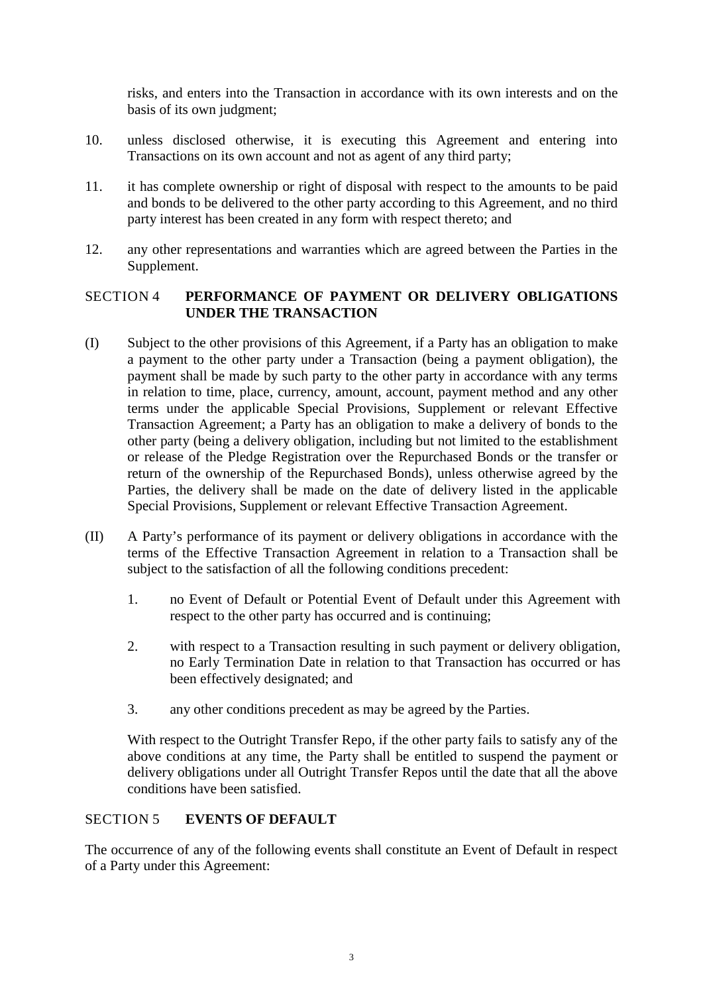risks, and enters into the Transaction in accordance with its own interests and on the basis of its own judgment;

- 10. unless disclosed otherwise, it is executing this Agreement and entering into Transactions on its own account and not as agent of any third party;
- 11. it has complete ownership or right of disposal with respect to the amounts to be paid and bonds to be delivered to the other party according to this Agreement, and no third party interest has been created in any form with respect thereto; and
- 12. any other representations and warranties which are agreed between the Parties in the Supplement.

# <span id="page-7-0"></span>SECTION 4 **PERFORMANCE OF PAYMENT OR DELIVERY OBLIGATIONS UNDER THE TRANSACTION**

- (I) Subject to the other provisions of this Agreement, if a Party has an obligation to make a payment to the other party under a Transaction (being a payment obligation), the payment shall be made by such party to the other party in accordance with any terms in relation to time, place, currency, amount, account, payment method and any other terms under the applicable Special Provisions, Supplement or relevant Effective Transaction Agreement; a Party has an obligation to make a delivery of bonds to the other party (being a delivery obligation, including but not limited to the establishment or release of the Pledge Registration over the Repurchased Bonds or the transfer or return of the ownership of the Repurchased Bonds), unless otherwise agreed by the Parties, the delivery shall be made on the date of delivery listed in the applicable Special Provisions, Supplement or relevant Effective Transaction Agreement.
- (II) A Party's performance of its payment or delivery obligations in accordance with the terms of the Effective Transaction Agreement in relation to a Transaction shall be subject to the satisfaction of all the following conditions precedent:
	- 1. no Event of Default or Potential Event of Default under this Agreement with respect to the other party has occurred and is continuing;
	- 2. with respect to a Transaction resulting in such payment or delivery obligation, no Early Termination Date in relation to that Transaction has occurred or has been effectively designated; and
	- 3. any other conditions precedent as may be agreed by the Parties.

With respect to the Outright Transfer Repo, if the other party fails to satisfy any of the above conditions at any time, the Party shall be entitled to suspend the payment or delivery obligations under all Outright Transfer Repos until the date that all the above conditions have been satisfied.

# <span id="page-7-1"></span>SECTION 5 **EVENTS OF DEFAULT**

The occurrence of any of the following events shall constitute an Event of Default in respect of a Party under this Agreement: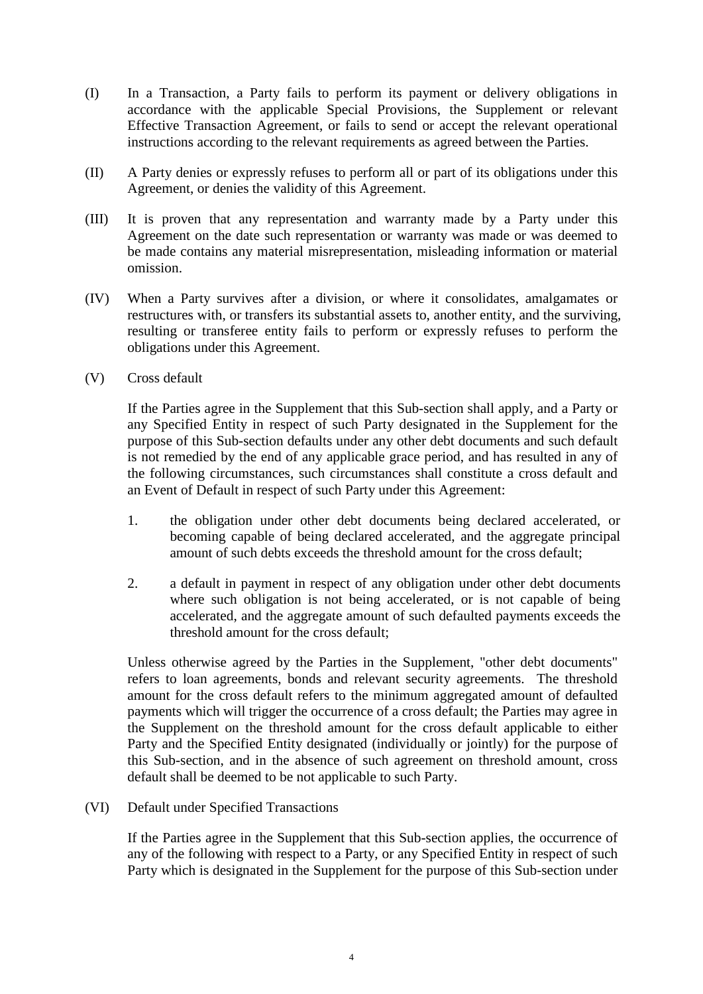- (I) In a Transaction, a Party fails to perform its payment or delivery obligations in accordance with the applicable Special Provisions, the Supplement or relevant Effective Transaction Agreement, or fails to send or accept the relevant operational instructions according to the relevant requirements as agreed between the Parties.
- (II) A Party denies or expressly refuses to perform all or part of its obligations under this Agreement, or denies the validity of this Agreement.
- (III) It is proven that any representation and warranty made by a Party under this Agreement on the date such representation or warranty was made or was deemed to be made contains any material misrepresentation, misleading information or material omission.
- (IV) When a Party survives after a division, or where it consolidates, amalgamates or restructures with, or transfers its substantial assets to, another entity, and the surviving, resulting or transferee entity fails to perform or expressly refuses to perform the obligations under this Agreement.
- (V) Cross default

If the Parties agree in the Supplement that this Sub-section shall apply, and a Party or any Specified Entity in respect of such Party designated in the Supplement for the purpose of this Sub-section defaults under any other debt documents and such default is not remedied by the end of any applicable grace period, and has resulted in any of the following circumstances, such circumstances shall constitute a cross default and an Event of Default in respect of such Party under this Agreement:

- 1. the obligation under other debt documents being declared accelerated, or becoming capable of being declared accelerated, and the aggregate principal amount of such debts exceeds the threshold amount for the cross default;
- 2. a default in payment in respect of any obligation under other debt documents where such obligation is not being accelerated, or is not capable of being accelerated, and the aggregate amount of such defaulted payments exceeds the threshold amount for the cross default;

Unless otherwise agreed by the Parties in the Supplement, "other debt documents" refers to loan agreements, bonds and relevant security agreements. The threshold amount for the cross default refers to the minimum aggregated amount of defaulted payments which will trigger the occurrence of a cross default; the Parties may agree in the Supplement on the threshold amount for the cross default applicable to either Party and the Specified Entity designated (individually or jointly) for the purpose of this Sub-section, and in the absence of such agreement on threshold amount, cross default shall be deemed to be not applicable to such Party.

(VI) Default under Specified Transactions

If the Parties agree in the Supplement that this Sub-section applies, the occurrence of any of the following with respect to a Party, or any Specified Entity in respect of such Party which is designated in the Supplement for the purpose of this Sub-section under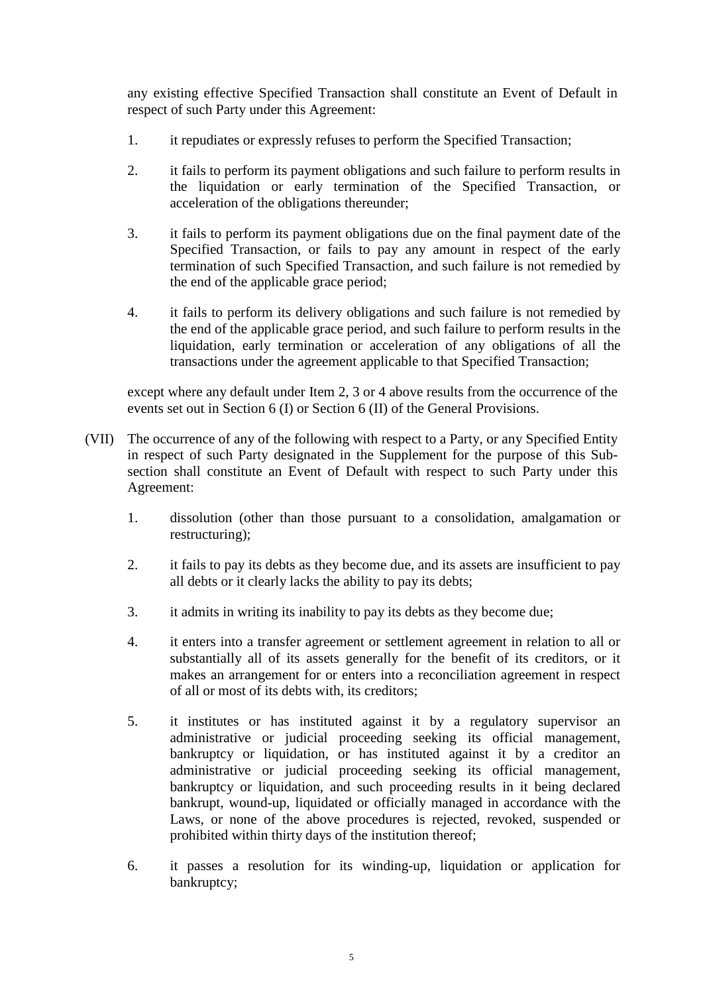any existing effective Specified Transaction shall constitute an Event of Default in respect of such Party under this Agreement:

- 1. it repudiates or expressly refuses to perform the Specified Transaction;
- 2. it fails to perform its payment obligations and such failure to perform results in the liquidation or early termination of the Specified Transaction, or acceleration of the obligations thereunder;
- 3. it fails to perform its payment obligations due on the final payment date of the Specified Transaction, or fails to pay any amount in respect of the early termination of such Specified Transaction, and such failure is not remedied by the end of the applicable grace period;
- 4. it fails to perform its delivery obligations and such failure is not remedied by the end of the applicable grace period, and such failure to perform results in the liquidation, early termination or acceleration of any obligations of all the transactions under the agreement applicable to that Specified Transaction;

except where any default under Item 2, 3 or 4 above results from the occurrence of the events set out in Section 6 (I) or Section 6 (II) of the General Provisions.

- (VII) The occurrence of any of the following with respect to a Party, or any Specified Entity in respect of such Party designated in the Supplement for the purpose of this Subsection shall constitute an Event of Default with respect to such Party under this Agreement:
	- 1. dissolution (other than those pursuant to a consolidation, amalgamation or restructuring);
	- 2. it fails to pay its debts as they become due, and its assets are insufficient to pay all debts or it clearly lacks the ability to pay its debts;
	- 3. it admits in writing its inability to pay its debts as they become due;
	- 4. it enters into a transfer agreement or settlement agreement in relation to all or substantially all of its assets generally for the benefit of its creditors, or it makes an arrangement for or enters into a reconciliation agreement in respect of all or most of its debts with, its creditors;
	- 5. it institutes or has instituted against it by a regulatory supervisor an administrative or judicial proceeding seeking its official management, bankruptcy or liquidation, or has instituted against it by a creditor an administrative or judicial proceeding seeking its official management, bankruptcy or liquidation, and such proceeding results in it being declared bankrupt, wound-up, liquidated or officially managed in accordance with the Laws, or none of the above procedures is rejected, revoked, suspended or prohibited within thirty days of the institution thereof;
	- 6. it passes a resolution for its winding-up, liquidation or application for bankruptcy;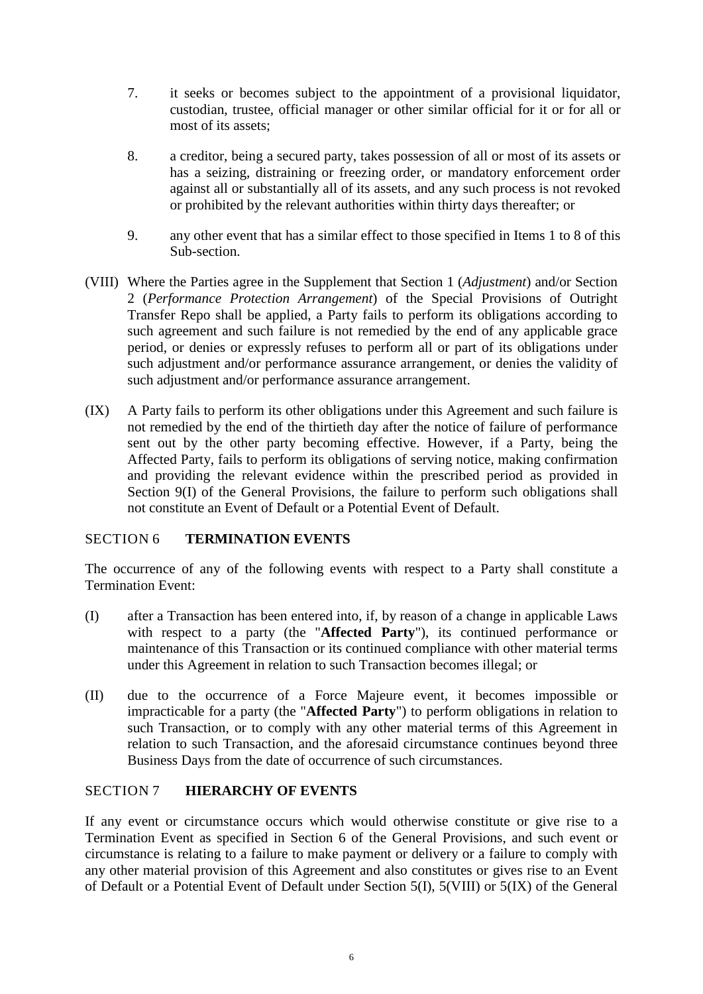- 7. it seeks or becomes subject to the appointment of a provisional liquidator, custodian, trustee, official manager or other similar official for it or for all or most of its assets;
- 8. a creditor, being a secured party, takes possession of all or most of its assets or has a seizing, distraining or freezing order, or mandatory enforcement order against all or substantially all of its assets, and any such process is not revoked or prohibited by the relevant authorities within thirty days thereafter; or
- 9. any other event that has a similar effect to those specified in Items 1 to 8 of this Sub-section.
- (VIII) Where the Parties agree in the Supplement that Section 1 (*Adjustment*) and/or Section 2 (*Performance Protection Arrangement*) of the Special Provisions of Outright Transfer Repo shall be applied, a Party fails to perform its obligations according to such agreement and such failure is not remedied by the end of any applicable grace period, or denies or expressly refuses to perform all or part of its obligations under such adjustment and/or performance assurance arrangement, or denies the validity of such adjustment and/or performance assurance arrangement.
- (IX) A Party fails to perform its other obligations under this Agreement and such failure is not remedied by the end of the thirtieth day after the notice of failure of performance sent out by the other party becoming effective. However, if a Party, being the Affected Party, fails to perform its obligations of serving notice, making confirmation and providing the relevant evidence within the prescribed period as provided in Section 9(I) of the General Provisions, the failure to perform such obligations shall not constitute an Event of Default or a Potential Event of Default.

### <span id="page-10-0"></span>SECTION 6 **TERMINATION EVENTS**

The occurrence of any of the following events with respect to a Party shall constitute a Termination Event:

- (I) after a Transaction has been entered into, if, by reason of a change in applicable Laws with respect to a party (the "**Affected Party**"), its continued performance or maintenance of this Transaction or its continued compliance with other material terms under this Agreement in relation to such Transaction becomes illegal; or
- (II) due to the occurrence of a Force Majeure event, it becomes impossible or impracticable for a party (the "**Affected Party**") to perform obligations in relation to such Transaction, or to comply with any other material terms of this Agreement in relation to such Transaction, and the aforesaid circumstance continues beyond three Business Days from the date of occurrence of such circumstances.

### <span id="page-10-1"></span>SECTION 7 **HIERARCHY OF EVENTS**

If any event or circumstance occurs which would otherwise constitute or give rise to a Termination Event as specified in Section 6 of the General Provisions, and such event or circumstance is relating to a failure to make payment or delivery or a failure to comply with any other material provision of this Agreement and also constitutes or gives rise to an Event of Default or a Potential Event of Default under Section 5(I), 5(VIII) or 5(IX) of the General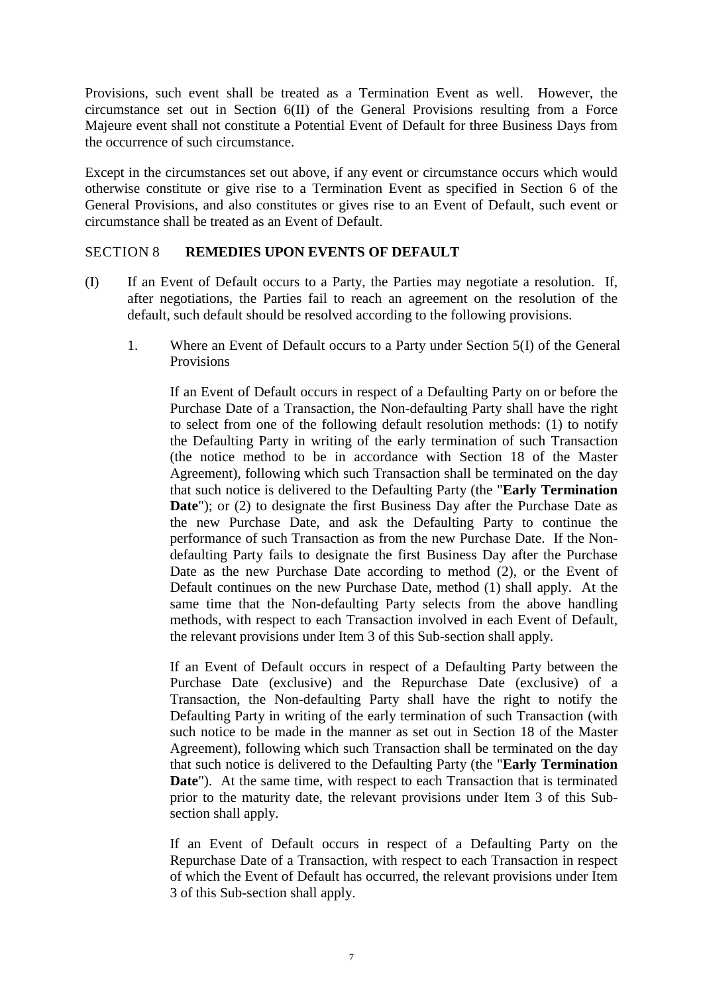Provisions, such event shall be treated as a Termination Event as well. However, the circumstance set out in Section 6(II) of the General Provisions resulting from a Force Majeure event shall not constitute a Potential Event of Default for three Business Days from the occurrence of such circumstance.

Except in the circumstances set out above, if any event or circumstance occurs which would otherwise constitute or give rise to a Termination Event as specified in Section 6 of the General Provisions, and also constitutes or gives rise to an Event of Default, such event or circumstance shall be treated as an Event of Default.

### <span id="page-11-0"></span>SECTION 8 **REMEDIES UPON EVENTS OF DEFAULT**

- (I) If an Event of Default occurs to a Party, the Parties may negotiate a resolution. If, after negotiations, the Parties fail to reach an agreement on the resolution of the default, such default should be resolved according to the following provisions.
	- 1. Where an Event of Default occurs to a Party under Section 5(I) of the General **Provisions**

If an Event of Default occurs in respect of a Defaulting Party on or before the Purchase Date of a Transaction, the Non-defaulting Party shall have the right to select from one of the following default resolution methods: (1) to notify the Defaulting Party in writing of the early termination of such Transaction (the notice method to be in accordance with Section 18 of the Master Agreement), following which such Transaction shall be terminated on the day that such notice is delivered to the Defaulting Party (the "**Early Termination Date**"); or (2) to designate the first Business Day after the Purchase Date as the new Purchase Date, and ask the Defaulting Party to continue the performance of such Transaction as from the new Purchase Date. If the Nondefaulting Party fails to designate the first Business Day after the Purchase Date as the new Purchase Date according to method (2), or the Event of Default continues on the new Purchase Date, method (1) shall apply. At the same time that the Non-defaulting Party selects from the above handling methods, with respect to each Transaction involved in each Event of Default, the relevant provisions under Item 3 of this Sub-section shall apply.

If an Event of Default occurs in respect of a Defaulting Party between the Purchase Date (exclusive) and the Repurchase Date (exclusive) of a Transaction, the Non-defaulting Party shall have the right to notify the Defaulting Party in writing of the early termination of such Transaction (with such notice to be made in the manner as set out in Section 18 of the Master Agreement), following which such Transaction shall be terminated on the day that such notice is delivered to the Defaulting Party (the "**Early Termination Date**"). At the same time, with respect to each Transaction that is terminated prior to the maturity date, the relevant provisions under Item 3 of this Subsection shall apply.

If an Event of Default occurs in respect of a Defaulting Party on the Repurchase Date of a Transaction, with respect to each Transaction in respect of which the Event of Default has occurred, the relevant provisions under Item 3 of this Sub-section shall apply.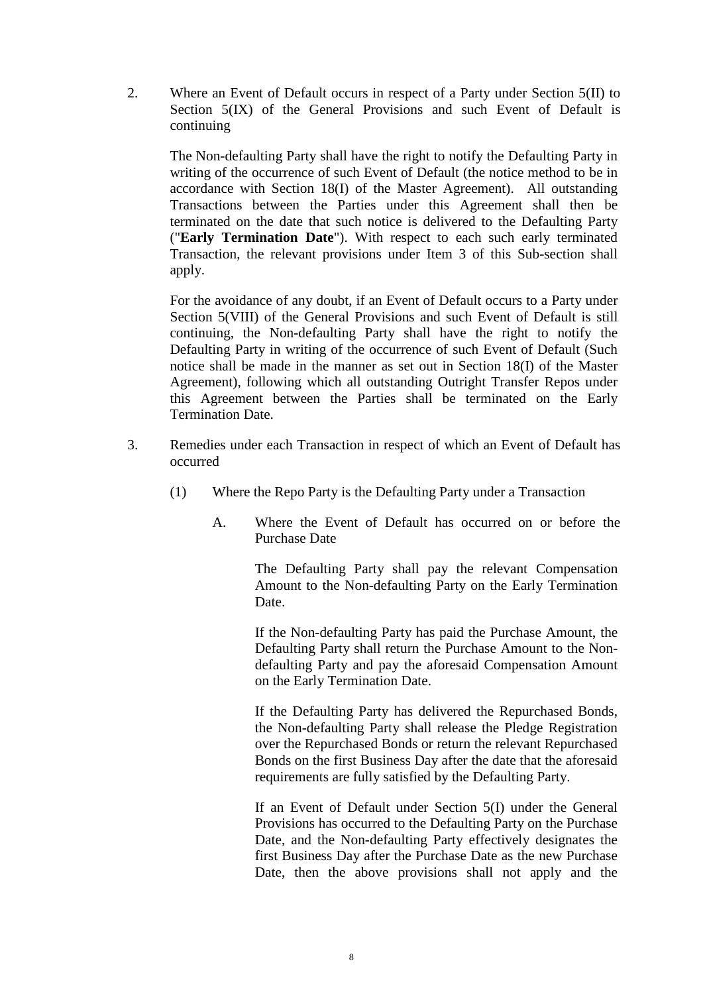2. Where an Event of Default occurs in respect of a Party under Section 5(II) to Section  $5(IX)$  of the General Provisions and such Event of Default is continuing

The Non-defaulting Party shall have the right to notify the Defaulting Party in writing of the occurrence of such Event of Default (the notice method to be in accordance with Section 18(I) of the Master Agreement). All outstanding Transactions between the Parties under this Agreement shall then be terminated on the date that such notice is delivered to the Defaulting Party ("**Early Termination Date**"). With respect to each such early terminated Transaction, the relevant provisions under Item 3 of this Sub-section shall apply.

For the avoidance of any doubt, if an Event of Default occurs to a Party under Section 5(VIII) of the General Provisions and such Event of Default is still continuing, the Non-defaulting Party shall have the right to notify the Defaulting Party in writing of the occurrence of such Event of Default (Such notice shall be made in the manner as set out in Section 18(I) of the Master Agreement), following which all outstanding Outright Transfer Repos under this Agreement between the Parties shall be terminated on the Early Termination Date.

- 3. Remedies under each Transaction in respect of which an Event of Default has occurred
	- (1) Where the Repo Party is the Defaulting Party under a Transaction
		- A. Where the Event of Default has occurred on or before the Purchase Date

The Defaulting Party shall pay the relevant Compensation Amount to the Non-defaulting Party on the Early Termination Date.

If the Non-defaulting Party has paid the Purchase Amount, the Defaulting Party shall return the Purchase Amount to the Nondefaulting Party and pay the aforesaid Compensation Amount on the Early Termination Date.

If the Defaulting Party has delivered the Repurchased Bonds, the Non-defaulting Party shall release the Pledge Registration over the Repurchased Bonds or return the relevant Repurchased Bonds on the first Business Day after the date that the aforesaid requirements are fully satisfied by the Defaulting Party.

If an Event of Default under Section 5(I) under the General Provisions has occurred to the Defaulting Party on the Purchase Date, and the Non-defaulting Party effectively designates the first Business Day after the Purchase Date as the new Purchase Date, then the above provisions shall not apply and the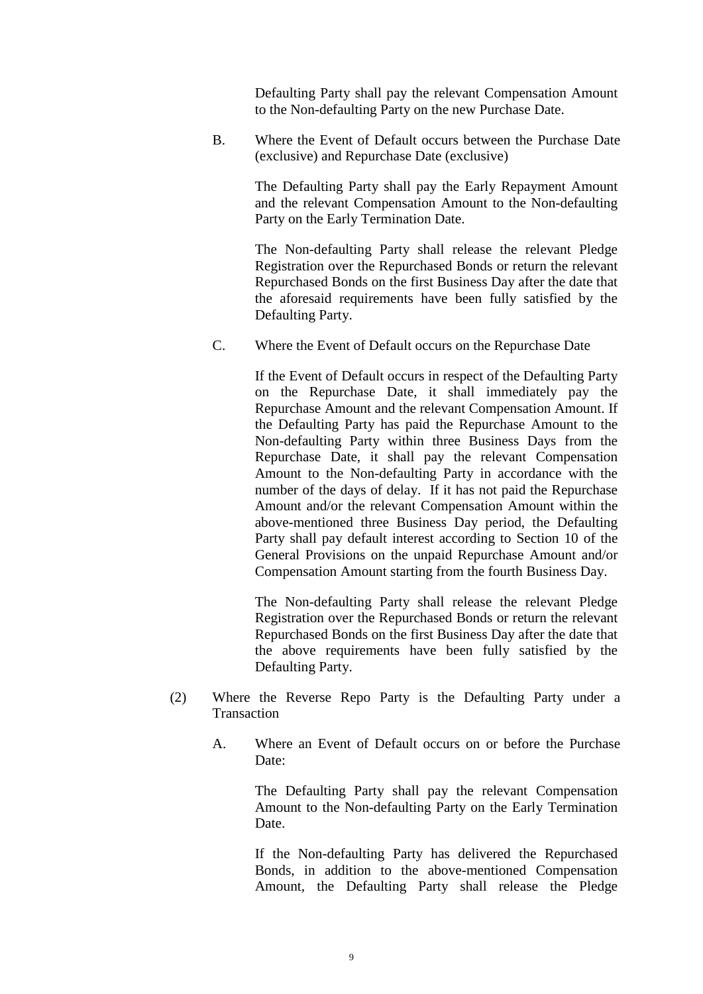Defaulting Party shall pay the relevant Compensation Amount to the Non-defaulting Party on the new Purchase Date.

B. Where the Event of Default occurs between the Purchase Date (exclusive) and Repurchase Date (exclusive)

> The Defaulting Party shall pay the Early Repayment Amount and the relevant Compensation Amount to the Non-defaulting Party on the Early Termination Date.

> The Non-defaulting Party shall release the relevant Pledge Registration over the Repurchased Bonds or return the relevant Repurchased Bonds on the first Business Day after the date that the aforesaid requirements have been fully satisfied by the Defaulting Party.

C. Where the Event of Default occurs on the Repurchase Date

If the Event of Default occurs in respect of the Defaulting Party on the Repurchase Date, it shall immediately pay the Repurchase Amount and the relevant Compensation Amount. If the Defaulting Party has paid the Repurchase Amount to the Non-defaulting Party within three Business Days from the Repurchase Date, it shall pay the relevant Compensation Amount to the Non-defaulting Party in accordance with the number of the days of delay. If it has not paid the Repurchase Amount and/or the relevant Compensation Amount within the above-mentioned three Business Day period, the Defaulting Party shall pay default interest according to Section 10 of the General Provisions on the unpaid Repurchase Amount and/or Compensation Amount starting from the fourth Business Day.

The Non-defaulting Party shall release the relevant Pledge Registration over the Repurchased Bonds or return the relevant Repurchased Bonds on the first Business Day after the date that the above requirements have been fully satisfied by the Defaulting Party.

- (2) Where the Reverse Repo Party is the Defaulting Party under a **Transaction** 
	- A. Where an Event of Default occurs on or before the Purchase Date<sup>.</sup>

The Defaulting Party shall pay the relevant Compensation Amount to the Non-defaulting Party on the Early Termination Date.

If the Non-defaulting Party has delivered the Repurchased Bonds, in addition to the above-mentioned Compensation Amount, the Defaulting Party shall release the Pledge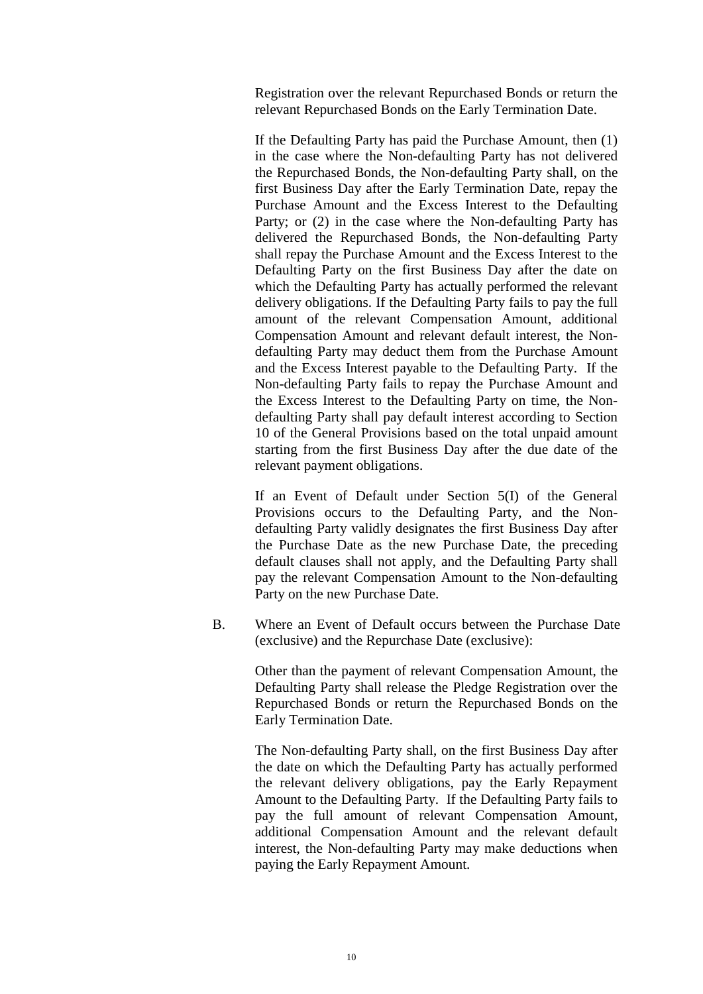Registration over the relevant Repurchased Bonds or return the relevant Repurchased Bonds on the Early Termination Date.

If the Defaulting Party has paid the Purchase Amount, then (1) in the case where the Non-defaulting Party has not delivered the Repurchased Bonds, the Non-defaulting Party shall, on the first Business Day after the Early Termination Date, repay the Purchase Amount and the Excess Interest to the Defaulting Party; or (2) in the case where the Non-defaulting Party has delivered the Repurchased Bonds, the Non-defaulting Party shall repay the Purchase Amount and the Excess Interest to the Defaulting Party on the first Business Day after the date on which the Defaulting Party has actually performed the relevant delivery obligations. If the Defaulting Party fails to pay the full amount of the relevant Compensation Amount, additional Compensation Amount and relevant default interest, the Nondefaulting Party may deduct them from the Purchase Amount and the Excess Interest payable to the Defaulting Party. If the Non-defaulting Party fails to repay the Purchase Amount and the Excess Interest to the Defaulting Party on time, the Nondefaulting Party shall pay default interest according to Section 10 of the General Provisions based on the total unpaid amount starting from the first Business Day after the due date of the relevant payment obligations.

If an Event of Default under Section 5(I) of the General Provisions occurs to the Defaulting Party, and the Nondefaulting Party validly designates the first Business Day after the Purchase Date as the new Purchase Date, the preceding default clauses shall not apply, and the Defaulting Party shall pay the relevant Compensation Amount to the Non-defaulting Party on the new Purchase Date.

B. Where an Event of Default occurs between the Purchase Date (exclusive) and the Repurchase Date (exclusive):

> Other than the payment of relevant Compensation Amount, the Defaulting Party shall release the Pledge Registration over the Repurchased Bonds or return the Repurchased Bonds on the Early Termination Date.

> The Non-defaulting Party shall, on the first Business Day after the date on which the Defaulting Party has actually performed the relevant delivery obligations, pay the Early Repayment Amount to the Defaulting Party. If the Defaulting Party fails to pay the full amount of relevant Compensation Amount, additional Compensation Amount and the relevant default interest, the Non-defaulting Party may make deductions when paying the Early Repayment Amount.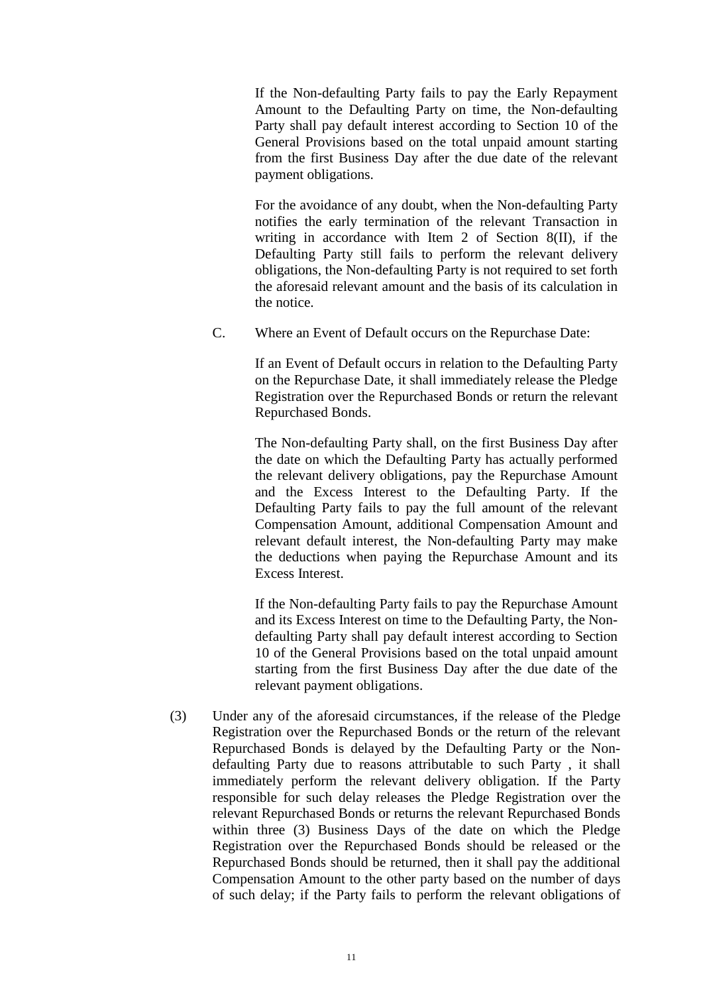If the Non-defaulting Party fails to pay the Early Repayment Amount to the Defaulting Party on time, the Non-defaulting Party shall pay default interest according to Section 10 of the General Provisions based on the total unpaid amount starting from the first Business Day after the due date of the relevant payment obligations.

For the avoidance of any doubt, when the Non-defaulting Party notifies the early termination of the relevant Transaction in writing in accordance with Item 2 of Section 8(II), if the Defaulting Party still fails to perform the relevant delivery obligations, the Non-defaulting Party is not required to set forth the aforesaid relevant amount and the basis of its calculation in the notice.

C. Where an Event of Default occurs on the Repurchase Date:

If an Event of Default occurs in relation to the Defaulting Party on the Repurchase Date, it shall immediately release the Pledge Registration over the Repurchased Bonds or return the relevant Repurchased Bonds.

The Non-defaulting Party shall, on the first Business Day after the date on which the Defaulting Party has actually performed the relevant delivery obligations, pay the Repurchase Amount and the Excess Interest to the Defaulting Party. If the Defaulting Party fails to pay the full amount of the relevant Compensation Amount, additional Compensation Amount and relevant default interest, the Non-defaulting Party may make the deductions when paying the Repurchase Amount and its Excess Interest.

If the Non-defaulting Party fails to pay the Repurchase Amount and its Excess Interest on time to the Defaulting Party, the Nondefaulting Party shall pay default interest according to Section 10 of the General Provisions based on the total unpaid amount starting from the first Business Day after the due date of the relevant payment obligations.

(3) Under any of the aforesaid circumstances, if the release of the Pledge Registration over the Repurchased Bonds or the return of the relevant Repurchased Bonds is delayed by the Defaulting Party or the Nondefaulting Party due to reasons attributable to such Party , it shall immediately perform the relevant delivery obligation. If the Party responsible for such delay releases the Pledge Registration over the relevant Repurchased Bonds or returns the relevant Repurchased Bonds within three (3) Business Days of the date on which the Pledge Registration over the Repurchased Bonds should be released or the Repurchased Bonds should be returned, then it shall pay the additional Compensation Amount to the other party based on the number of days of such delay; if the Party fails to perform the relevant obligations of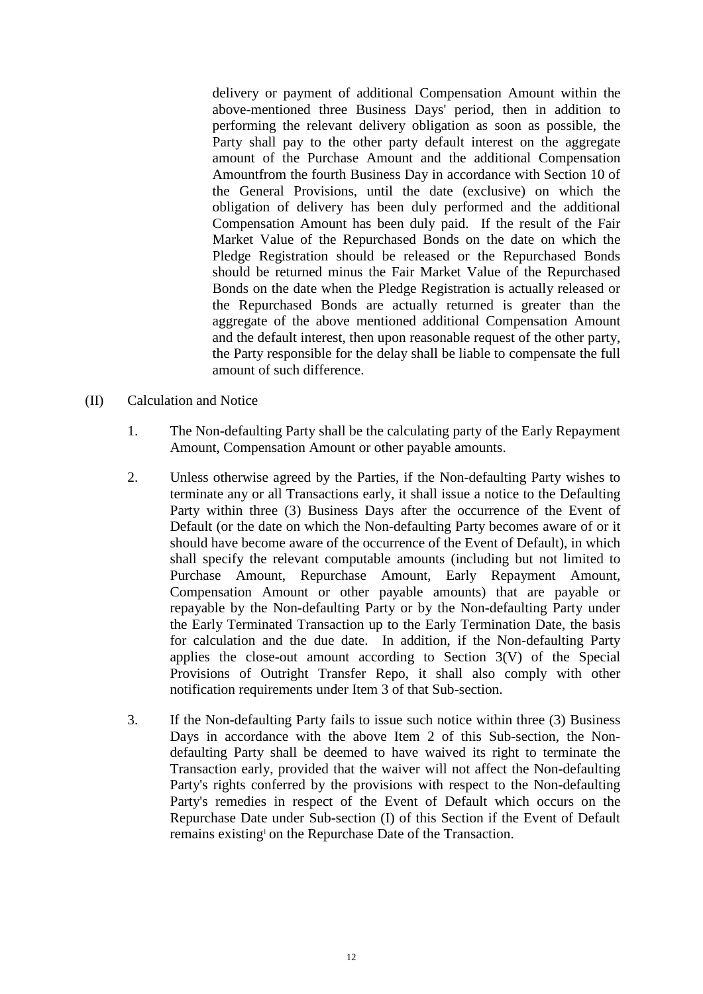delivery or payment of additional Compensation Amount within the above-mentioned three Business Days' period, then in addition to performing the relevant delivery obligation as soon as possible, the Party shall pay to the other party default interest on the aggregate amount of the Purchase Amount and the additional Compensation Amountfrom the fourth Business Day in accordance with Section 10 of the General Provisions, until the date (exclusive) on which the obligation of delivery has been duly performed and the additional Compensation Amount has been duly paid. If the result of the Fair Market Value of the Repurchased Bonds on the date on which the Pledge Registration should be released or the Repurchased Bonds should be returned minus the Fair Market Value of the Repurchased Bonds on the date when the Pledge Registration is actually released or the Repurchased Bonds are actually returned is greater than the aggregate of the above mentioned additional Compensation Amount and the default interest, then upon reasonable request of the other party, the Party responsible for the delay shall be liable to compensate the full amount of such difference.

- (II) Calculation and Notice
	- 1. The Non-defaulting Party shall be the calculating party of the Early Repayment Amount, Compensation Amount or other payable amounts.
	- 2. Unless otherwise agreed by the Parties, if the Non-defaulting Party wishes to terminate any or all Transactions early, it shall issue a notice to the Defaulting Party within three (3) Business Days after the occurrence of the Event of Default (or the date on which the Non-defaulting Party becomes aware of or it should have become aware of the occurrence of the Event of Default), in which shall specify the relevant computable amounts (including but not limited to Purchase Amount, Repurchase Amount, Early Repayment Amount, Compensation Amount or other payable amounts) that are payable or repayable by the Non-defaulting Party or by the Non-defaulting Party under the Early Terminated Transaction up to the Early Termination Date, the basis for calculation and the due date. In addition, if the Non-defaulting Party applies the close-out amount according to Section 3(V) of the Special Provisions of Outright Transfer Repo, it shall also comply with other notification requirements under Item 3 of that Sub-section.
	- 3. If the Non-defaulting Party fails to issue such notice within three (3) Business Days in accordance with the above Item 2 of this Sub-section, the Nondefaulting Party shall be deemed to have waived its right to terminate the Transaction early, provided that the waiver will not affect the Non-defaulting Party's rights conferred by the provisions with respect to the Non-defaulting Party's remedies in respect of the Event of Default which occurs on the Repurchase Date under Sub-section (I) of this Section if the Event of Default remains existing[i](#page-55-1) on the Repurchase Date of the Transaction.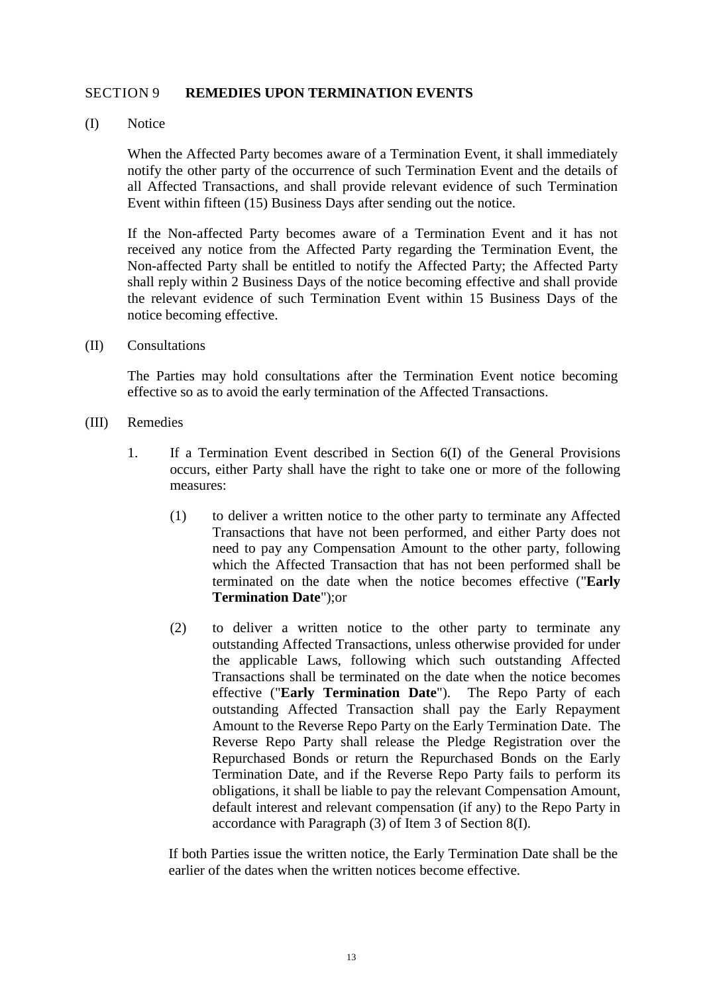#### <span id="page-17-0"></span>SECTION 9 **REMEDIES UPON TERMINATION EVENTS**

(I) Notice

When the Affected Party becomes aware of a Termination Event, it shall immediately notify the other party of the occurrence of such Termination Event and the details of all Affected Transactions, and shall provide relevant evidence of such Termination Event within fifteen (15) Business Days after sending out the notice.

If the Non-affected Party becomes aware of a Termination Event and it has not received any notice from the Affected Party regarding the Termination Event, the Non-affected Party shall be entitled to notify the Affected Party; the Affected Party shall reply within 2 Business Days of the notice becoming effective and shall provide the relevant evidence of such Termination Event within 15 Business Days of the notice becoming effective.

(II) Consultations

The Parties may hold consultations after the Termination Event notice becoming effective so as to avoid the early termination of the Affected Transactions.

- (III) Remedies
	- 1. If a Termination Event described in Section 6(I) of the General Provisions occurs, either Party shall have the right to take one or more of the following measures:
		- (1) to deliver a written notice to the other party to terminate any Affected Transactions that have not been performed, and either Party does not need to pay any Compensation Amount to the other party, following which the Affected Transaction that has not been performed shall be terminated on the date when the notice becomes effective ("**Early Termination Date**");or
		- (2) to deliver a written notice to the other party to terminate any outstanding Affected Transactions, unless otherwise provided for under the applicable Laws, following which such outstanding Affected Transactions shall be terminated on the date when the notice becomes effective ("**Early Termination Date**"). The Repo Party of each outstanding Affected Transaction shall pay the Early Repayment Amount to the Reverse Repo Party on the Early Termination Date. The Reverse Repo Party shall release the Pledge Registration over the Repurchased Bonds or return the Repurchased Bonds on the Early Termination Date, and if the Reverse Repo Party fails to perform its obligations, it shall be liable to pay the relevant Compensation Amount, default interest and relevant compensation (if any) to the Repo Party in accordance with Paragraph (3) of Item 3 of Section 8(I).

If both Parties issue the written notice, the Early Termination Date shall be the earlier of the dates when the written notices become effective.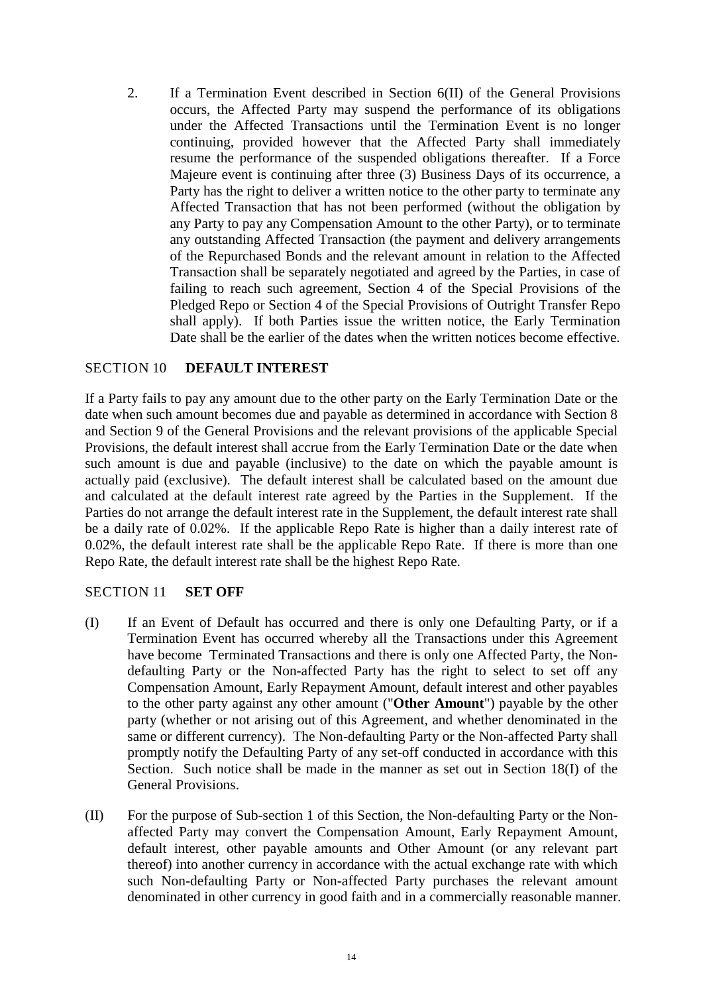2. If a Termination Event described in Section 6(II) of the General Provisions occurs, the Affected Party may suspend the performance of its obligations under the Affected Transactions until the Termination Event is no longer continuing, provided however that the Affected Party shall immediately resume the performance of the suspended obligations thereafter. If a Force Majeure event is continuing after three (3) Business Days of its occurrence, a Party has the right to deliver a written notice to the other party to terminate any Affected Transaction that has not been performed (without the obligation by any Party to pay any Compensation Amount to the other Party), or to terminate any outstanding Affected Transaction (the payment and delivery arrangements of the Repurchased Bonds and the relevant amount in relation to the Affected Transaction shall be separately negotiated and agreed by the Parties, in case of failing to reach such agreement, Section 4 of the Special Provisions of the Pledged Repo or Section 4 of the Special Provisions of Outright Transfer Repo shall apply). If both Parties issue the written notice, the Early Termination Date shall be the earlier of the dates when the written notices become effective.

### <span id="page-18-0"></span>SECTION 10 **DEFAULT INTEREST**

If a Party fails to pay any amount due to the other party on the Early Termination Date or the date when such amount becomes due and payable as determined in accordance with Section 8 and Section 9 of the General Provisions and the relevant provisions of the applicable Special Provisions, the default interest shall accrue from the Early Termination Date or the date when such amount is due and payable (inclusive) to the date on which the payable amount is actually paid (exclusive). The default interest shall be calculated based on the amount due and calculated at the default interest rate agreed by the Parties in the Supplement. If the Parties do not arrange the default interest rate in the Supplement, the default interest rate shall be a daily rate of 0.02%. If the applicable Repo Rate is higher than a daily interest rate of 0.02%, the default interest rate shall be the applicable Repo Rate. If there is more than one Repo Rate, the default interest rate shall be the highest Repo Rate.

#### <span id="page-18-1"></span>SECTION 11 **SET OFF**

- (I) If an Event of Default has occurred and there is only one Defaulting Party, or if a Termination Event has occurred whereby all the Transactions under this Agreement have become Terminated Transactions and there is only one Affected Party, the Nondefaulting Party or the Non-affected Party has the right to select to set off any Compensation Amount, Early Repayment Amount, default interest and other payables to the other party against any other amount ("**Other Amount**") payable by the other party (whether or not arising out of this Agreement, and whether denominated in the same or different currency). The Non-defaulting Party or the Non-affected Party shall promptly notify the Defaulting Party of any set-off conducted in accordance with this Section. Such notice shall be made in the manner as set out in Section 18(I) of the General Provisions.
- (II) For the purpose of Sub-section 1 of this Section, the Non-defaulting Party or the Nonaffected Party may convert the Compensation Amount, Early Repayment Amount, default interest, other payable amounts and Other Amount (or any relevant part thereof) into another currency in accordance with the actual exchange rate with which such Non-defaulting Party or Non-affected Party purchases the relevant amount denominated in other currency in good faith and in a commercially reasonable manner.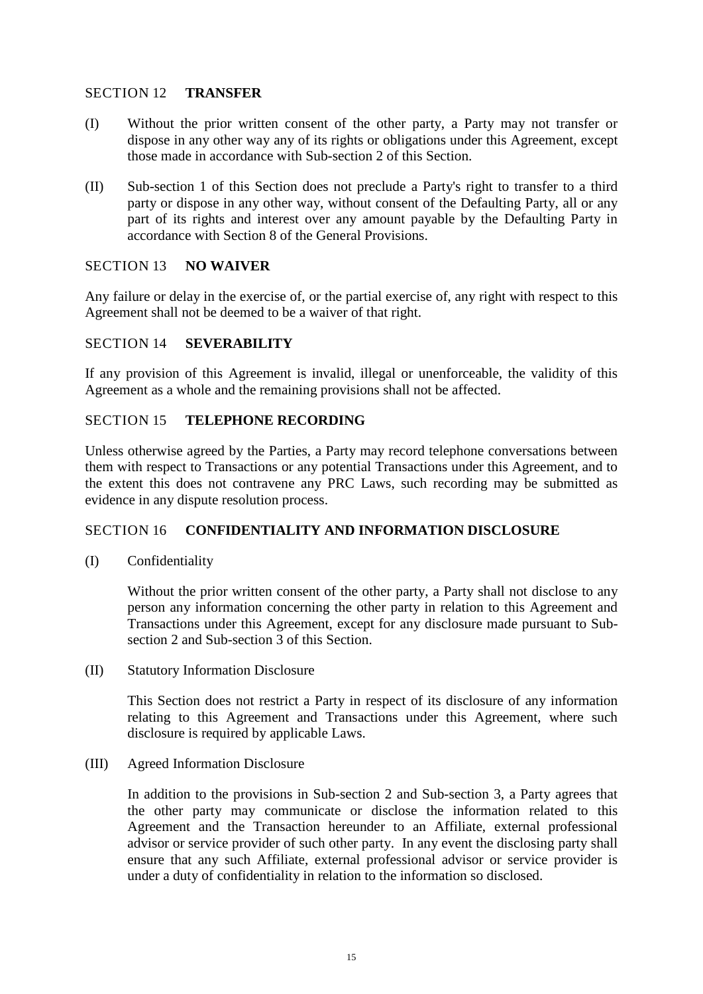### <span id="page-19-0"></span>SECTION 12 **TRANSFER**

- (I) Without the prior written consent of the other party, a Party may not transfer or dispose in any other way any of its rights or obligations under this Agreement, except those made in accordance with Sub-section 2 of this Section.
- (II) Sub-section 1 of this Section does not preclude a Party's right to transfer to a third party or dispose in any other way, without consent of the Defaulting Party, all or any part of its rights and interest over any amount payable by the Defaulting Party in accordance with Section 8 of the General Provisions.

#### <span id="page-19-1"></span>SECTION 13 **NO WAIVER**

Any failure or delay in the exercise of, or the partial exercise of, any right with respect to this Agreement shall not be deemed to be a waiver of that right.

### <span id="page-19-2"></span>SECTION 14 **SEVERABILITY**

If any provision of this Agreement is invalid, illegal or unenforceable, the validity of this Agreement as a whole and the remaining provisions shall not be affected.

#### <span id="page-19-3"></span>SECTION 15 **TELEPHONE RECORDING**

Unless otherwise agreed by the Parties, a Party may record telephone conversations between them with respect to Transactions or any potential Transactions under this Agreement, and to the extent this does not contravene any PRC Laws, such recording may be submitted as evidence in any dispute resolution process.

### <span id="page-19-4"></span>SECTION 16 **CONFIDENTIALITY AND INFORMATION DISCLOSURE**

(I) Confidentiality

Without the prior written consent of the other party, a Party shall not disclose to any person any information concerning the other party in relation to this Agreement and Transactions under this Agreement, except for any disclosure made pursuant to Subsection 2 and Sub-section 3 of this Section.

(II) Statutory Information Disclosure

This Section does not restrict a Party in respect of its disclosure of any information relating to this Agreement and Transactions under this Agreement, where such disclosure is required by applicable Laws.

(III) Agreed Information Disclosure

In addition to the provisions in Sub-section 2 and Sub-section 3, a Party agrees that the other party may communicate or disclose the information related to this Agreement and the Transaction hereunder to an Affiliate, external professional advisor or service provider of such other party. In any event the disclosing party shall ensure that any such Affiliate, external professional advisor or service provider is under a duty of confidentiality in relation to the information so disclosed.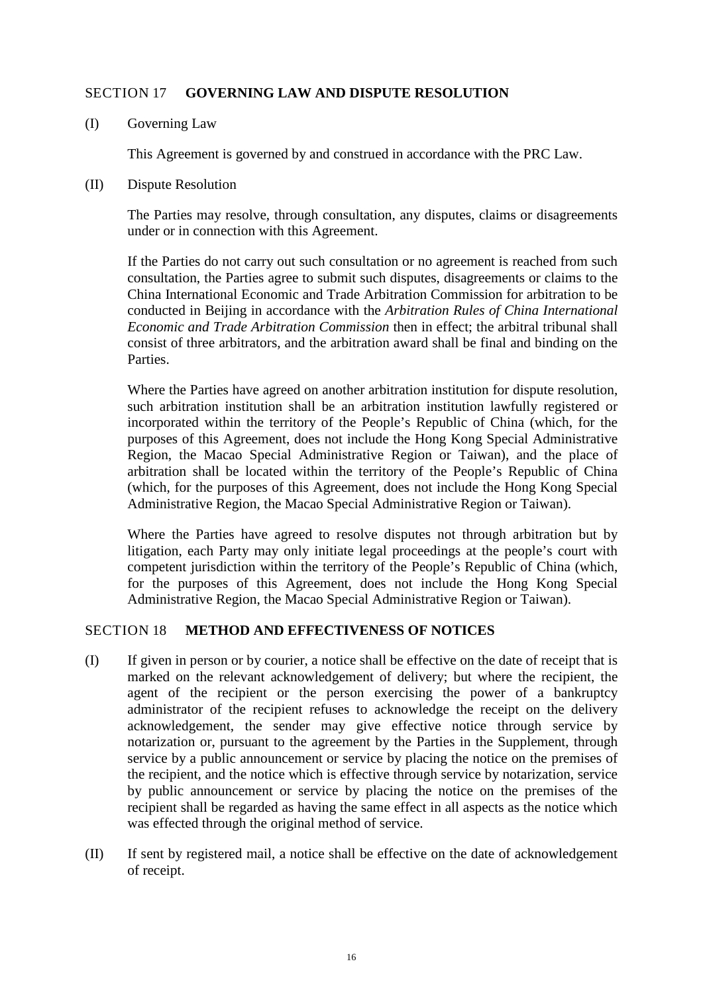# <span id="page-20-0"></span>SECTION 17 **GOVERNING LAW AND DISPUTE RESOLUTION**

(I) Governing Law

This Agreement is governed by and construed in accordance with the PRC Law.

(II) Dispute Resolution

The Parties may resolve, through consultation, any disputes, claims or disagreements under or in connection with this Agreement.

If the Parties do not carry out such consultation or no agreement is reached from such consultation, the Parties agree to submit such disputes, disagreements or claims to the China International Economic and Trade Arbitration Commission for arbitration to be conducted in Beijing in accordance with the *Arbitration Rules of China International Economic and Trade Arbitration Commission* then in effect; the arbitral tribunal shall consist of three arbitrators, and the arbitration award shall be final and binding on the Parties.

Where the Parties have agreed on another arbitration institution for dispute resolution, such arbitration institution shall be an arbitration institution lawfully registered or incorporated within the territory of the People's Republic of China (which, for the purposes of this Agreement, does not include the Hong Kong Special Administrative Region, the Macao Special Administrative Region or Taiwan), and the place of arbitration shall be located within the territory of the People's Republic of China (which, for the purposes of this Agreement, does not include the Hong Kong Special Administrative Region, the Macao Special Administrative Region or Taiwan).

Where the Parties have agreed to resolve disputes not through arbitration but by litigation, each Party may only initiate legal proceedings at the people's court with competent jurisdiction within the territory of the People's Republic of China (which, for the purposes of this Agreement, does not include the Hong Kong Special Administrative Region, the Macao Special Administrative Region or Taiwan).

### <span id="page-20-1"></span>SECTION 18 **METHOD AND EFFECTIVENESS OF NOTICES**

- (I) If given in person or by courier, a notice shall be effective on the date of receipt that is marked on the relevant acknowledgement of delivery; but where the recipient, the agent of the recipient or the person exercising the power of a bankruptcy administrator of the recipient refuses to acknowledge the receipt on the delivery acknowledgement, the sender may give effective notice through service by notarization or, pursuant to the agreement by the Parties in the Supplement, through service by a public announcement or service by placing the notice on the premises of the recipient, and the notice which is effective through service by notarization, service by public announcement or service by placing the notice on the premises of the recipient shall be regarded as having the same effect in all aspects as the notice which was effected through the original method of service.
- (II) If sent by registered mail, a notice shall be effective on the date of acknowledgement of receipt.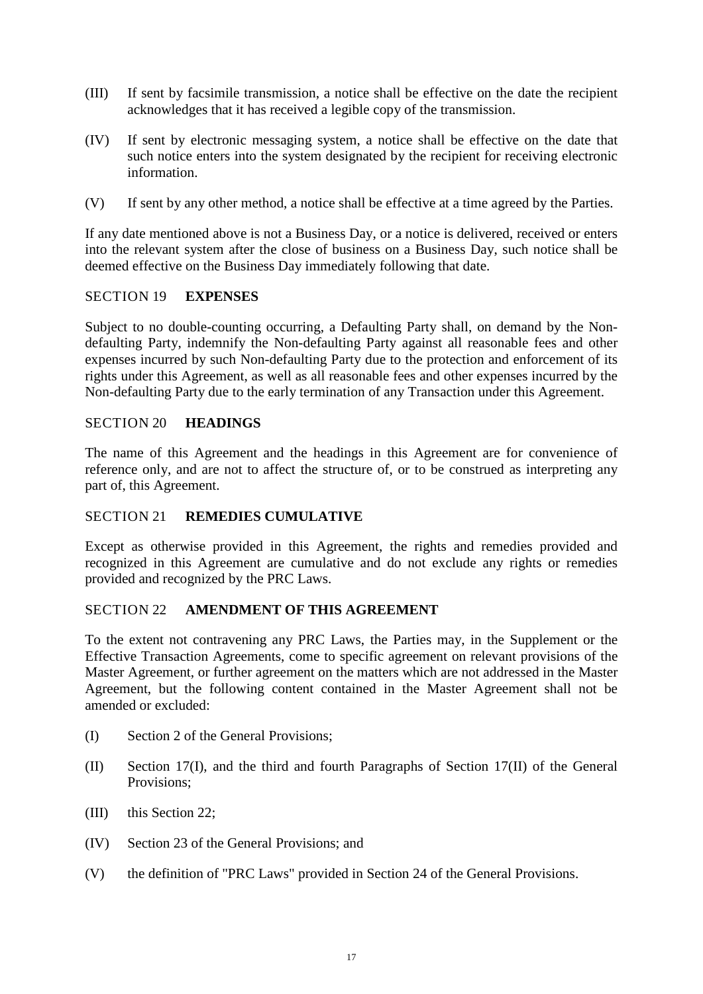- (III) If sent by facsimile transmission, a notice shall be effective on the date the recipient acknowledges that it has received a legible copy of the transmission.
- (IV) If sent by electronic messaging system, a notice shall be effective on the date that such notice enters into the system designated by the recipient for receiving electronic information.
- (V) If sent by any other method, a notice shall be effective at a time agreed by the Parties.

If any date mentioned above is not a Business Day, or a notice is delivered, received or enters into the relevant system after the close of business on a Business Day, such notice shall be deemed effective on the Business Day immediately following that date.

# <span id="page-21-0"></span>SECTION 19 **EXPENSES**

Subject to no double-counting occurring, a Defaulting Party shall, on demand by the Nondefaulting Party, indemnify the Non-defaulting Party against all reasonable fees and other expenses incurred by such Non-defaulting Party due to the protection and enforcement of its rights under this Agreement, as well as all reasonable fees and other expenses incurred by the Non-defaulting Party due to the early termination of any Transaction under this Agreement.

### <span id="page-21-1"></span>SECTION 20 **HEADINGS**

The name of this Agreement and the headings in this Agreement are for convenience of reference only, and are not to affect the structure of, or to be construed as interpreting any part of, this Agreement.

# <span id="page-21-2"></span>SECTION 21 **REMEDIES CUMULATIVE**

Except as otherwise provided in this Agreement, the rights and remedies provided and recognized in this Agreement are cumulative and do not exclude any rights or remedies provided and recognized by the PRC Laws.

# <span id="page-21-3"></span>SECTION 22 **AMENDMENT OF THIS AGREEMENT**

To the extent not contravening any PRC Laws, the Parties may, in the Supplement or the Effective Transaction Agreements, come to specific agreement on relevant provisions of the Master Agreement, or further agreement on the matters which are not addressed in the Master Agreement, but the following content contained in the Master Agreement shall not be amended or excluded:

- (I) Section 2 of the General Provisions;
- (II) Section 17(I), and the third and fourth Paragraphs of Section 17(II) of the General Provisions;
- (III) this Section 22;
- (IV) Section 23 of the General Provisions; and
- (V) the definition of "PRC Laws" provided in Section 24 of the General Provisions.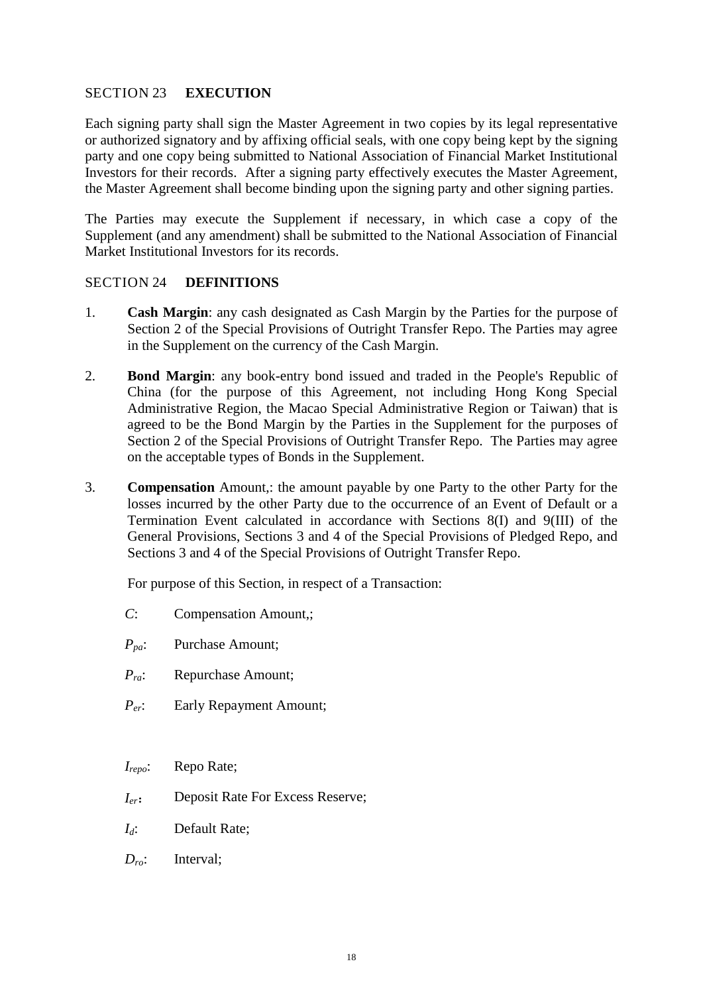# <span id="page-22-0"></span>SECTION 23 **EXECUTION**

Each signing party shall sign the Master Agreement in two copies by its legal representative or authorized signatory and by affixing official seals, with one copy being kept by the signing party and one copy being submitted to National Association of Financial Market Institutional Investors for their records. After a signing party effectively executes the Master Agreement, the Master Agreement shall become binding upon the signing party and other signing parties.

The Parties may execute the Supplement if necessary, in which case a copy of the Supplement (and any amendment) shall be submitted to the National Association of Financial Market Institutional Investors for its records.

### <span id="page-22-1"></span>SECTION 24 **DEFINITIONS**

- 1. **Cash Margin**: any cash designated as Cash Margin by the Parties for the purpose of Section 2 of the Special Provisions of Outright Transfer Repo. The Parties may agree in the Supplement on the currency of the Cash Margin.
- 2. **Bond Margin**: any book-entry bond issued and traded in the People's Republic of China (for the purpose of this Agreement, not including Hong Kong Special Administrative Region, the Macao Special Administrative Region or Taiwan) that is agreed to be the Bond Margin by the Parties in the Supplement for the purposes of Section 2 of the Special Provisions of Outright Transfer Repo. The Parties may agree on the acceptable types of Bonds in the Supplement.
- 3. **Compensation** Amount,: the amount payable by one Party to the other Party for the losses incurred by the other Party due to the occurrence of an Event of Default or a Termination Event calculated in accordance with Sections 8(I) and 9(III) of the General Provisions, Sections 3 and 4 of the Special Provisions of Pledged Repo, and Sections 3 and 4 of the Special Provisions of Outright Transfer Repo.

For purpose of this Section, in respect of a Transaction:

- *C*: Compensation Amount,;
- *Ppa*: Purchase Amount;
- *Pra*: Repurchase Amount;
- *Per*: Early Repayment Amount;
- *Irepo*: Repo Rate;
- *Ier*: Deposit Rate For Excess Reserve;
- *Id*: Default Rate;
- *Dro*: Interval;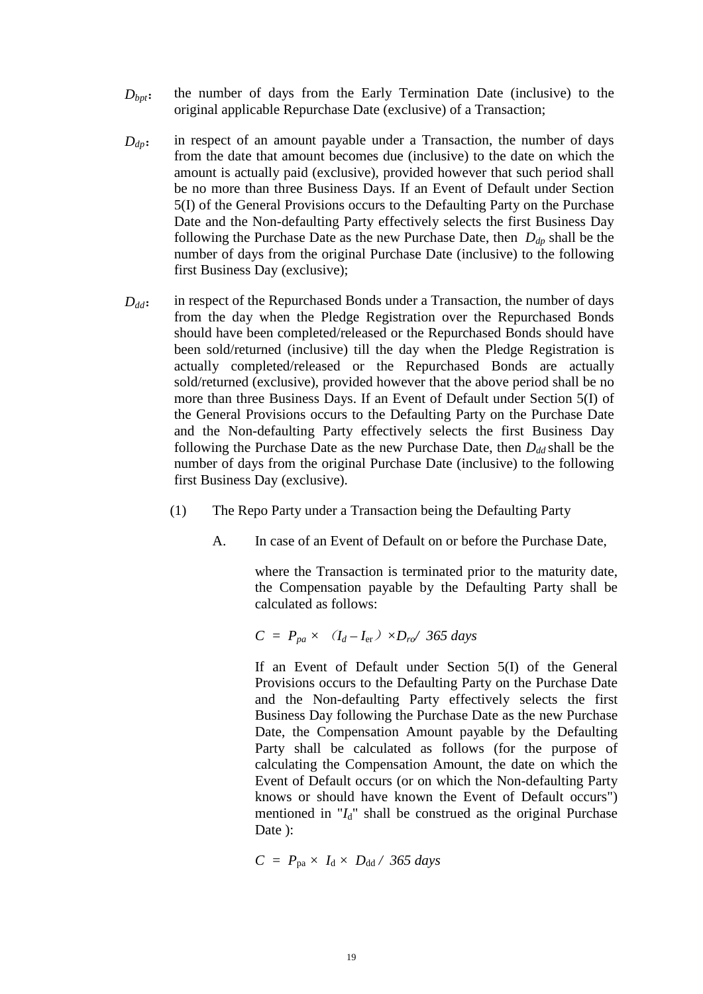- *D<sub>bpt</sub>*: the number of days from the Early Termination Date (inclusive) to the original applicable Repurchase Date (exclusive) of a Transaction;
- $D_{dp}$ : in respect of an amount payable under a Transaction, the number of days from the date that amount becomes due (inclusive) to the date on which the amount is actually paid (exclusive), provided however that such period shall be no more than three Business Days. If an Event of Default under Section 5(I) of the General Provisions occurs to the Defaulting Party on the Purchase Date and the Non-defaulting Party effectively selects the first Business Day following the Purchase Date as the new Purchase Date, then  $D_{dp}$  shall be the number of days from the original Purchase Date (inclusive) to the following first Business Day (exclusive);
- *D<sub>dd</sub>*: in respect of the Repurchased Bonds under a Transaction, the number of days from the day when the Pledge Registration over the Repurchased Bonds should have been completed/released or the Repurchased Bonds should have been sold/returned (inclusive) till the day when the Pledge Registration is actually completed/released or the Repurchased Bonds are actually sold/returned (exclusive), provided however that the above period shall be no more than three Business Days. If an Event of Default under Section 5(I) of the General Provisions occurs to the Defaulting Party on the Purchase Date and the Non-defaulting Party effectively selects the first Business Day following the Purchase Date as the new Purchase Date, then  $D_{dd}$  shall be the number of days from the original Purchase Date (inclusive) to the following first Business Day (exclusive).
	- (1) The Repo Party under a Transaction being the Defaulting Party
		- A. In case of an Event of Default on or before the Purchase Date,

where the Transaction is terminated prior to the maturity date, the Compensation payable by the Defaulting Party shall be calculated as follows:

 $C = P_{pa} \times (I_d - I_{er}) \times D_{ro} / 365 \text{ days}$ 

If an Event of Default under Section 5(I) of the General Provisions occurs to the Defaulting Party on the Purchase Date and the Non-defaulting Party effectively selects the first Business Day following the Purchase Date as the new Purchase Date, the Compensation Amount payable by the Defaulting Party shall be calculated as follows (for the purpose of calculating the Compensation Amount, the date on which the Event of Default occurs (or on which the Non-defaulting Party knows or should have known the Event of Default occurs") mentioned in  $I_d$ <sup>"</sup> shall be construed as the original Purchase Date ):

 $C = P_{pa} \times I_d \times D_{dd} / 365 \text{ days}$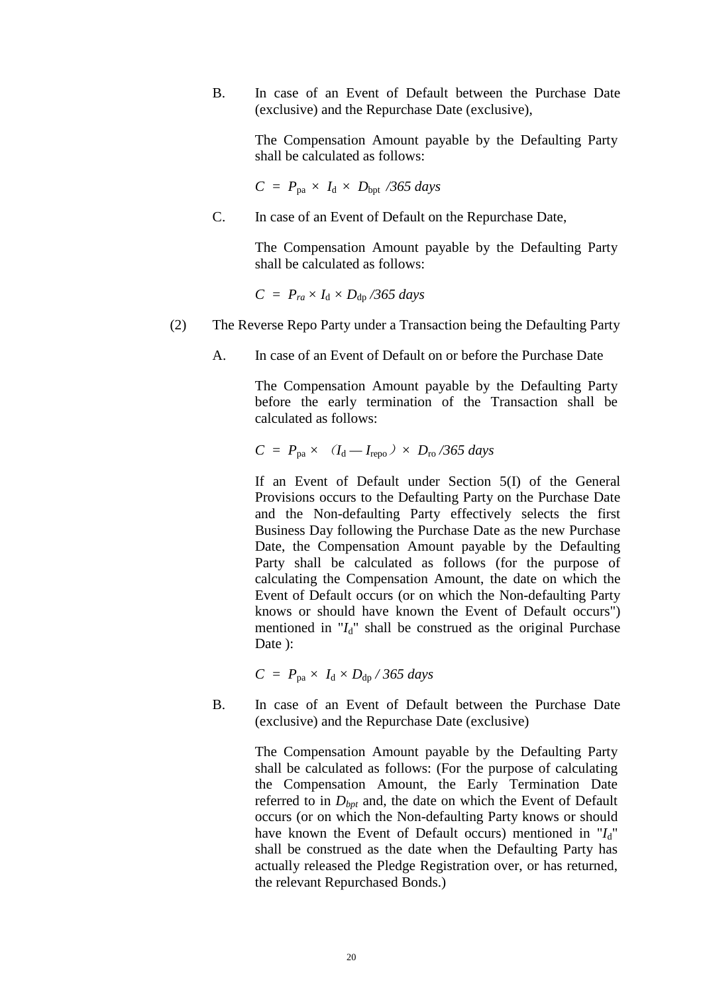B. In case of an Event of Default between the Purchase Date (exclusive) and the Repurchase Date (exclusive),

> The Compensation Amount payable by the Defaulting Party shall be calculated as follows:

 $C = P_{pa} \times I_d \times D_{bpt}$  /365 days

C. In case of an Event of Default on the Repurchase Date,

The Compensation Amount payable by the Defaulting Party shall be calculated as follows:

 $C = P_{ra} \times I_d \times D_{dp}$  */365 days* 

(2) The Reverse Repo Party under a Transaction being the Defaulting Party

A. In case of an Event of Default on or before the Purchase Date

The Compensation Amount payable by the Defaulting Party before the early termination of the Transaction shall be calculated as follows:

$$
C = P_{\text{pa}} \times (I_{\text{d}} - I_{\text{repo}}) \times D_{\text{ro}} / 365 \text{ days}
$$

If an Event of Default under Section 5(I) of the General Provisions occurs to the Defaulting Party on the Purchase Date and the Non-defaulting Party effectively selects the first Business Day following the Purchase Date as the new Purchase Date, the Compensation Amount payable by the Defaulting Party shall be calculated as follows (for the purpose of calculating the Compensation Amount, the date on which the Event of Default occurs (or on which the Non-defaulting Party knows or should have known the Event of Default occurs") mentioned in "*I*d" shall be construed as the original Purchase Date ):

$$
C = P_{\text{pa}} \times I_{\text{d}} \times D_{\text{dp}} / 365 \text{ days}
$$

B. In case of an Event of Default between the Purchase Date (exclusive) and the Repurchase Date (exclusive)

> The Compensation Amount payable by the Defaulting Party shall be calculated as follows: (For the purpose of calculating the Compensation Amount, the Early Termination Date referred to in  $D_{\text{bpt}}$  and, the date on which the Event of Default occurs (or on which the Non-defaulting Party knows or should have known the Event of Default occurs) mentioned in " $I_d$ " shall be construed as the date when the Defaulting Party has actually released the Pledge Registration over, or has returned, the relevant Repurchased Bonds.)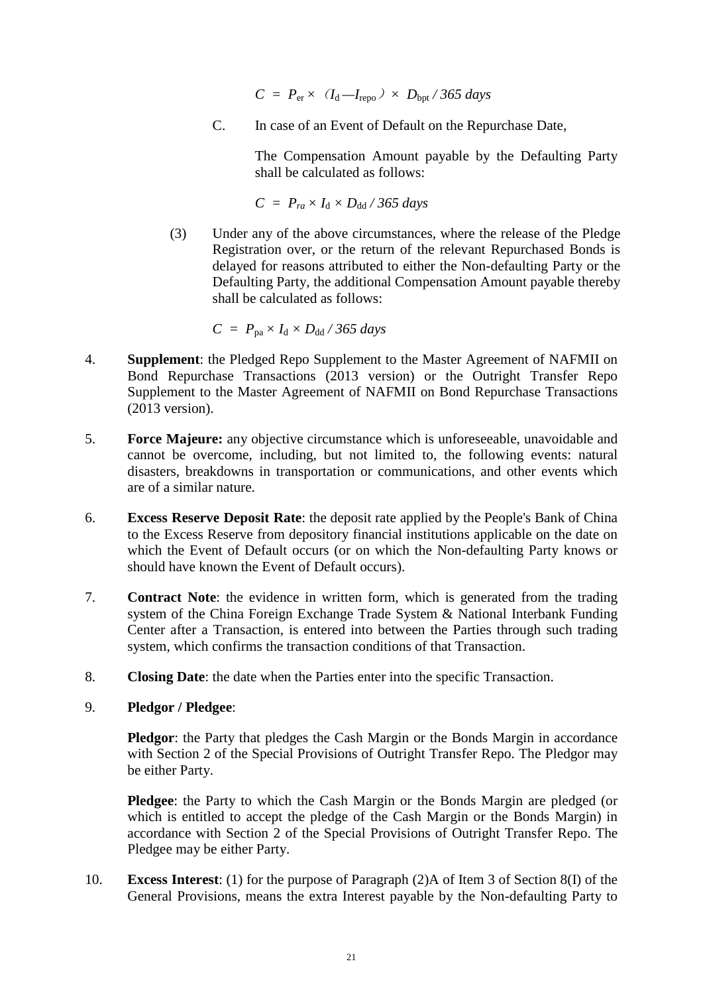$C = P_{er} \times (I_d - I_{repo}) \times D_{opt} / 365 \text{ days}$ 

C. In case of an Event of Default on the Repurchase Date,

The Compensation Amount payable by the Defaulting Party shall be calculated as follows:

 $C = P_{ra} \times I_d \times D_{dd} / 365 \text{ days}$ 

(3) Under any of the above circumstances, where the release of the Pledge Registration over, or the return of the relevant Repurchased Bonds is delayed for reasons attributed to either the Non-defaulting Party or the Defaulting Party, the additional Compensation Amount payable thereby shall be calculated as follows:

 $C = P_{pa} \times I_d \times D_{dd} / 365 \text{ days}$ 

- 4. **Supplement**: the Pledged Repo Supplement to the Master Agreement of NAFMII on Bond Repurchase Transactions (2013 version) or the Outright Transfer Repo Supplement to the Master Agreement of NAFMII on Bond Repurchase Transactions (2013 version).
- 5. **Force Majeure:** any objective circumstance which is unforeseeable, unavoidable and cannot be overcome, including, but not limited to, the following events: natural disasters, breakdowns in transportation or communications, and other events which are of a similar nature.
- 6. **Excess Reserve Deposit Rate**: the deposit rate applied by the People's Bank of China to the Excess Reserve from depository financial institutions applicable on the date on which the Event of Default occurs (or on which the Non-defaulting Party knows or should have known the Event of Default occurs).
- 7. **Contract Note**: the evidence in written form, which is generated from the trading system of the China Foreign Exchange Trade System & National Interbank Funding Center after a Transaction, is entered into between the Parties through such trading system, which confirms the transaction conditions of that Transaction.
- 8. **Closing Date**: the date when the Parties enter into the specific Transaction.
- 9. **Pledgor / Pledgee**:

**Pledgor**: the Party that pledges the Cash Margin or the Bonds Margin in accordance with Section 2 of the Special Provisions of Outright Transfer Repo. The Pledgor may be either Party.

**Pledgee**: the Party to which the Cash Margin or the Bonds Margin are pledged (or which is entitled to accept the pledge of the Cash Margin or the Bonds Margin) in accordance with Section 2 of the Special Provisions of Outright Transfer Repo. The Pledgee may be either Party.

10. **Excess Interest**: (1) for the purpose of Paragraph (2)A of Item 3 of Section 8(I) of the General Provisions, means the extra Interest payable by the Non-defaulting Party to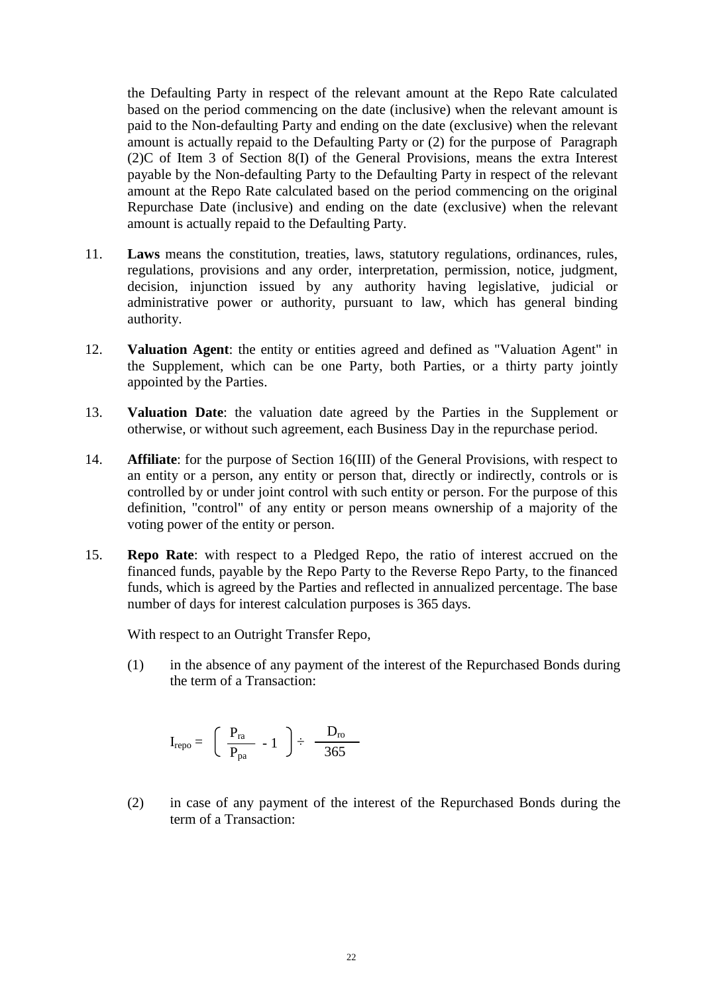the Defaulting Party in respect of the relevant amount at the Repo Rate calculated based on the period commencing on the date (inclusive) when the relevant amount is paid to the Non-defaulting Party and ending on the date (exclusive) when the relevant amount is actually repaid to the Defaulting Party or (2) for the purpose of Paragraph (2)C of Item 3 of Section 8(I) of the General Provisions, means the extra Interest payable by the Non-defaulting Party to the Defaulting Party in respect of the relevant amount at the Repo Rate calculated based on the period commencing on the original Repurchase Date (inclusive) and ending on the date (exclusive) when the relevant amount is actually repaid to the Defaulting Party.

- 11. **Laws** means the constitution, treaties, laws, statutory regulations, ordinances, rules, regulations, provisions and any order, interpretation, permission, notice, judgment, decision, injunction issued by any authority having legislative, judicial or administrative power or authority, pursuant to law, which has general binding authority.
- 12. **Valuation Agent**: the entity or entities agreed and defined as "Valuation Agent" in the Supplement, which can be one Party, both Parties, or a thirty party jointly appointed by the Parties.
- 13. **Valuation Date**: the valuation date agreed by the Parties in the Supplement or otherwise, or without such agreement, each Business Day in the repurchase period.
- 14. **Affiliate**: for the purpose of Section 16(III) of the General Provisions, with respect to an entity or a person, any entity or person that, directly or indirectly, controls or is controlled by or under joint control with such entity or person. For the purpose of this definition, "control" of any entity or person means ownership of a majority of the voting power of the entity or person.
- 15. **Repo Rate**: with respect to a Pledged Repo, the ratio of interest accrued on the financed funds, payable by the Repo Party to the Reverse Repo Party, to the financed funds, which is agreed by the Parties and reflected in annualized percentage. The base number of days for interest calculation purposes is 365 days.

With respect to an Outright Transfer Repo,

(1) in the absence of any payment of the interest of the Repurchased Bonds during the term of a Transaction:

$$
I_{\textrm{repo}} = \ \left( \begin{array}{cc} P_{\textrm{ra}} \\ P_{\textrm{pa}} \end{array} \right. - 1 \ \ \right) \div \ \frac{D_{\textrm{ro}}}{365}
$$

(2) in case of any payment of the interest of the Repurchased Bonds during the term of a Transaction: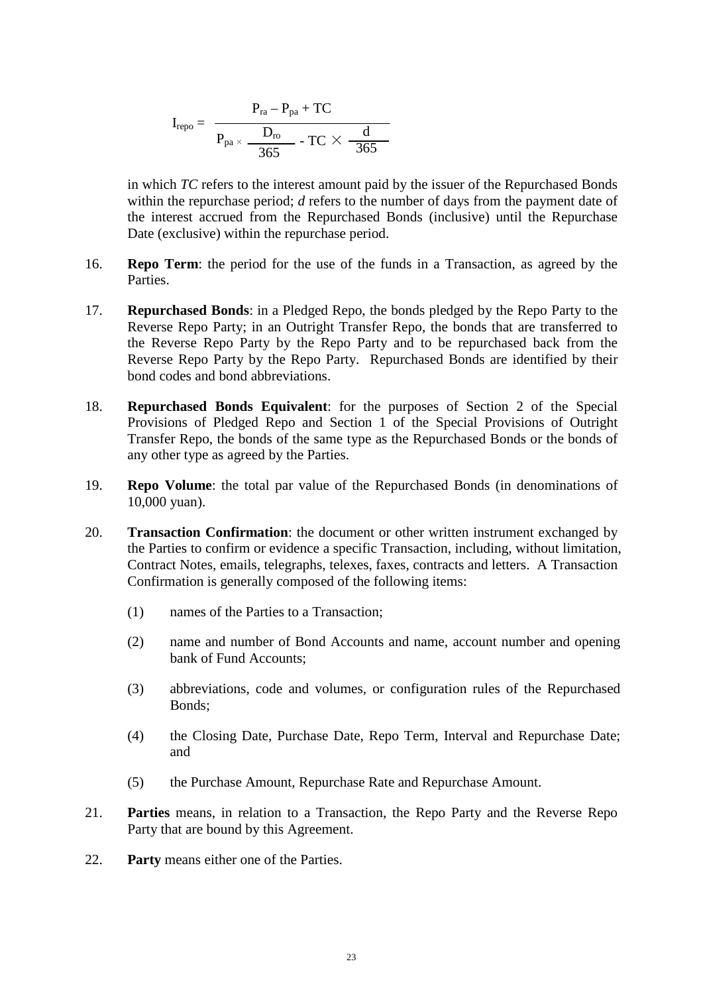$$
I_{\text{repo}} = \begin{array}{c} P_{\text{ra}} - P_{\text{pa}} + TC \\ \hline P_{\text{pa}} \times \dfrac{D_{\text{ro}}}{365} - TC \times \dfrac{d}{365} \end{array}
$$

in which *TC* refers to the interest amount paid by the issuer of the Repurchased Bonds within the repurchase period; *d* refers to the number of days from the payment date of the interest accrued from the Repurchased Bonds (inclusive) until the Repurchase Date (exclusive) within the repurchase period.

- 16. **Repo Term**: the period for the use of the funds in a Transaction, as agreed by the Parties.
- 17. **Repurchased Bonds**: in a Pledged Repo, the bonds pledged by the Repo Party to the Reverse Repo Party; in an Outright Transfer Repo, the bonds that are transferred to the Reverse Repo Party by the Repo Party and to be repurchased back from the Reverse Repo Party by the Repo Party. Repurchased Bonds are identified by their bond codes and bond abbreviations.
- 18. **Repurchased Bonds Equivalent**: for the purposes of Section 2 of the Special Provisions of Pledged Repo and Section 1 of the Special Provisions of Outright Transfer Repo, the bonds of the same type as the Repurchased Bonds or the bonds of any other type as agreed by the Parties.
- 19. **Repo Volume**: the total par value of the Repurchased Bonds (in denominations of 10,000 yuan).
- 20. **Transaction Confirmation**: the document or other written instrument exchanged by the Parties to confirm or evidence a specific Transaction, including, without limitation, Contract Notes, emails, telegraphs, telexes, faxes, contracts and letters. A Transaction Confirmation is generally composed of the following items:
	- (1) names of the Parties to a Transaction;
	- (2) name and number of Bond Accounts and name, account number and opening bank of Fund Accounts;
	- (3) abbreviations, code and volumes, or configuration rules of the Repurchased Bonds;
	- (4) the Closing Date, Purchase Date, Repo Term, Interval and Repurchase Date; and
	- (5) the Purchase Amount, Repurchase Rate and Repurchase Amount.
- 21. **Parties** means, in relation to a Transaction, the Repo Party and the Reverse Repo Party that are bound by this Agreement.
- 22. **Party** means either one of the Parties.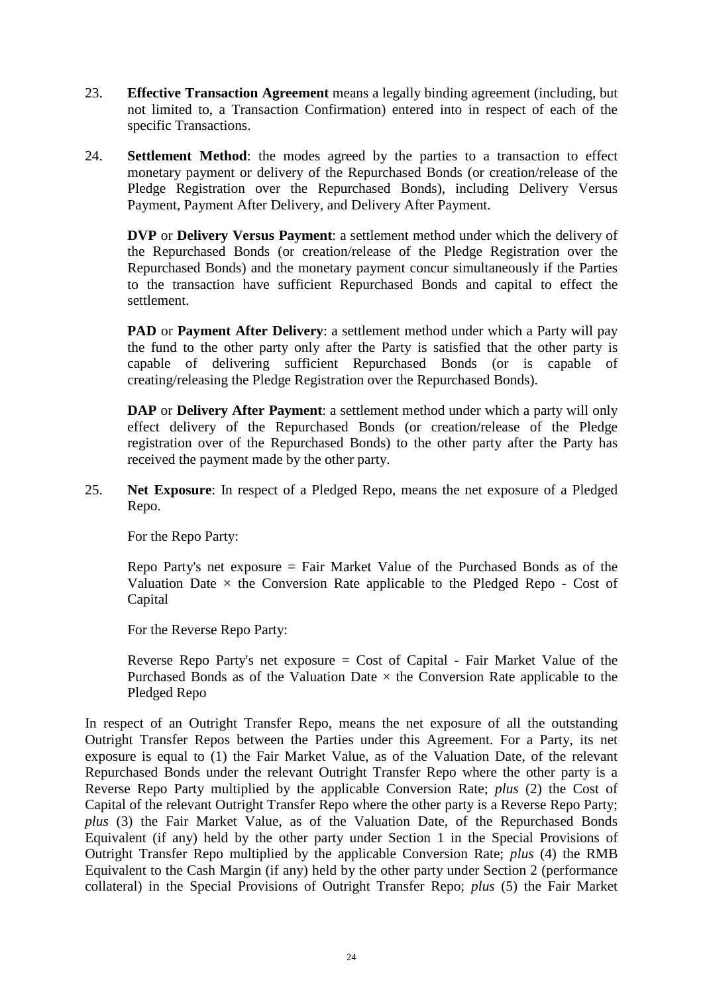- 23. **Effective Transaction Agreement** means a legally binding agreement (including, but not limited to, a Transaction Confirmation) entered into in respect of each of the specific Transactions.
- 24. **Settlement Method**: the modes agreed by the parties to a transaction to effect monetary payment or delivery of the Repurchased Bonds (or creation/release of the Pledge Registration over the Repurchased Bonds), including Delivery Versus Payment, Payment After Delivery, and Delivery After Payment.

**DVP** or **Delivery Versus Payment**: a settlement method under which the delivery of the Repurchased Bonds (or creation/release of the Pledge Registration over the Repurchased Bonds) and the monetary payment concur simultaneously if the Parties to the transaction have sufficient Repurchased Bonds and capital to effect the settlement.

**PAD** or **Payment After Delivery**: a settlement method under which a Party will pay the fund to the other party only after the Party is satisfied that the other party is capable of delivering sufficient Repurchased Bonds (or is capable of creating/releasing the Pledge Registration over the Repurchased Bonds).

**DAP** or **Delivery After Payment**: a settlement method under which a party will only effect delivery of the Repurchased Bonds (or creation/release of the Pledge registration over of the Repurchased Bonds) to the other party after the Party has received the payment made by the other party.

25. **Net Exposure**: In respect of a Pledged Repo, means the net exposure of a Pledged Repo.

For the Repo Party:

Repo Party's net exposure = Fair Market Value of the Purchased Bonds as of the Valuation Date  $\times$  the Conversion Rate applicable to the Pledged Repo - Cost of Capital

For the Reverse Repo Party:

Reverse Repo Party's net exposure = Cost of Capital - Fair Market Value of the Purchased Bonds as of the Valuation Date  $\times$  the Conversion Rate applicable to the Pledged Repo

In respect of an Outright Transfer Repo, means the net exposure of all the outstanding Outright Transfer Repos between the Parties under this Agreement. For a Party, its net exposure is equal to (1) the Fair Market Value, as of the Valuation Date, of the relevant Repurchased Bonds under the relevant Outright Transfer Repo where the other party is a Reverse Repo Party multiplied by the applicable Conversion Rate; *plus* (2) the Cost of Capital of the relevant Outright Transfer Repo where the other party is a Reverse Repo Party; *plus* (3) the Fair Market Value, as of the Valuation Date, of the Repurchased Bonds Equivalent (if any) held by the other party under Section 1 in the Special Provisions of Outright Transfer Repo multiplied by the applicable Conversion Rate; *plus* (4) the RMB Equivalent to the Cash Margin (if any) held by the other party under Section 2 (performance collateral) in the Special Provisions of Outright Transfer Repo; *plus* (5) the Fair Market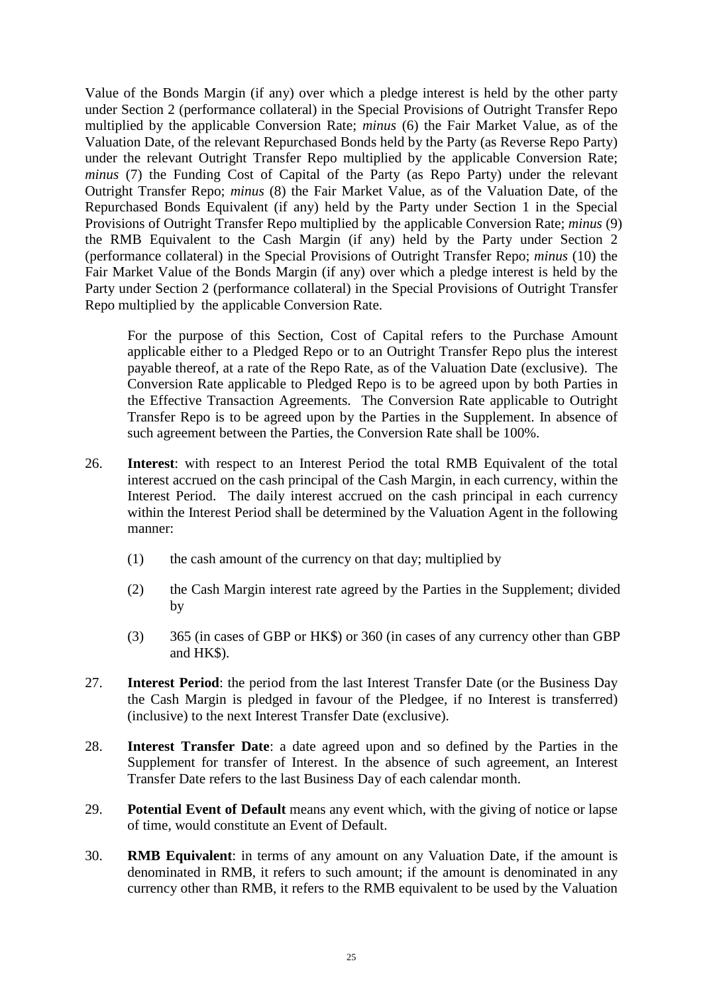Value of the Bonds Margin (if any) over which a pledge interest is held by the other party under Section 2 (performance collateral) in the Special Provisions of Outright Transfer Repo multiplied by the applicable Conversion Rate; *minus* (6) the Fair Market Value, as of the Valuation Date, of the relevant Repurchased Bonds held by the Party (as Reverse Repo Party) under the relevant Outright Transfer Repo multiplied by the applicable Conversion Rate; *minus* (7) the Funding Cost of Capital of the Party (as Repo Party) under the relevant Outright Transfer Repo; *minus* (8) the Fair Market Value, as of the Valuation Date, of the Repurchased Bonds Equivalent (if any) held by the Party under Section 1 in the Special Provisions of Outright Transfer Repo multiplied by the applicable Conversion Rate; *minus* (9) the RMB Equivalent to the Cash Margin (if any) held by the Party under Section 2 (performance collateral) in the Special Provisions of Outright Transfer Repo; *minus* (10) the Fair Market Value of the Bonds Margin (if any) over which a pledge interest is held by the Party under Section 2 (performance collateral) in the Special Provisions of Outright Transfer Repo multiplied by the applicable Conversion Rate.

For the purpose of this Section, Cost of Capital refers to the Purchase Amount applicable either to a Pledged Repo or to an Outright Transfer Repo plus the interest payable thereof, at a rate of the Repo Rate, as of the Valuation Date (exclusive). The Conversion Rate applicable to Pledged Repo is to be agreed upon by both Parties in the Effective Transaction Agreements. The Conversion Rate applicable to Outright Transfer Repo is to be agreed upon by the Parties in the Supplement. In absence of such agreement between the Parties, the Conversion Rate shall be 100%.

- 26. **Interest**: with respect to an Interest Period the total RMB Equivalent of the total interest accrued on the cash principal of the Cash Margin, in each currency, within the Interest Period. The daily interest accrued on the cash principal in each currency within the Interest Period shall be determined by the Valuation Agent in the following manner:
	- (1) the cash amount of the currency on that day; multiplied by
	- (2) the Cash Margin interest rate agreed by the Parties in the Supplement; divided by
	- (3) 365 (in cases of GBP or HK\$) or 360 (in cases of any currency other than GBP and HK\$).
- 27. **Interest Period**: the period from the last Interest Transfer Date (or the Business Day the Cash Margin is pledged in favour of the Pledgee, if no Interest is transferred) (inclusive) to the next Interest Transfer Date (exclusive).
- 28. **Interest Transfer Date**: a date agreed upon and so defined by the Parties in the Supplement for transfer of Interest. In the absence of such agreement, an Interest Transfer Date refers to the last Business Day of each calendar month.
- 29. **Potential Event of Default** means any event which, with the giving of notice or lapse of time, would constitute an Event of Default.
- 30. **RMB Equivalent**: in terms of any amount on any Valuation Date, if the amount is denominated in RMB, it refers to such amount; if the amount is denominated in any currency other than RMB, it refers to the RMB equivalent to be used by the Valuation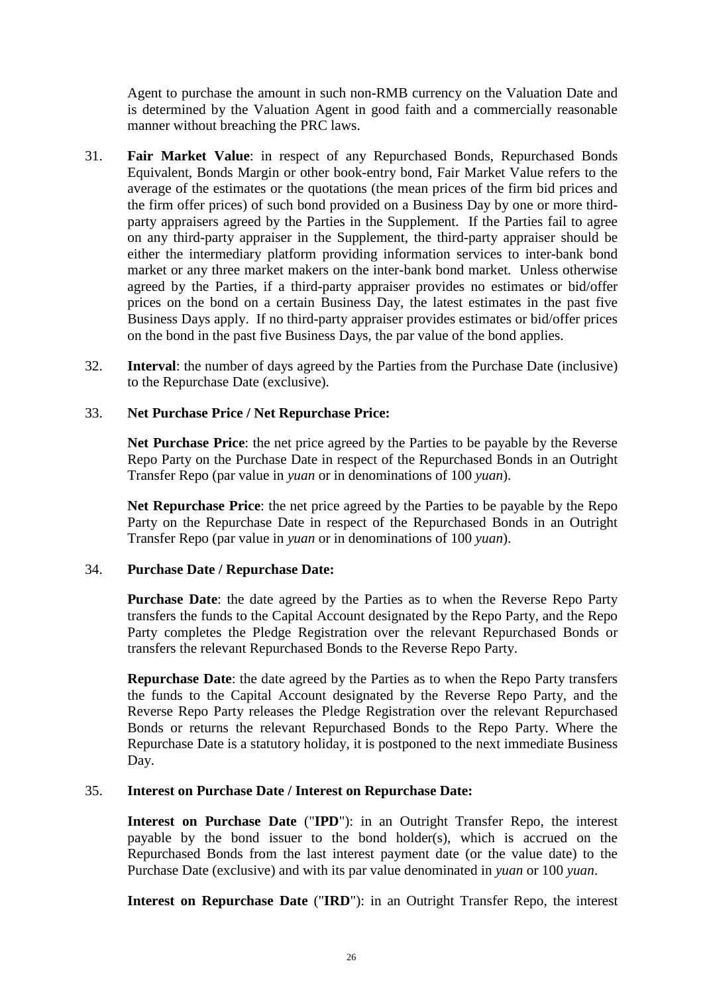Agent to purchase the amount in such non-RMB currency on the Valuation Date and is determined by the Valuation Agent in good faith and a commercially reasonable manner without breaching the PRC laws.

- 31. **Fair Market Value**: in respect of any Repurchased Bonds, Repurchased Bonds Equivalent, Bonds Margin or other book-entry bond, Fair Market Value refers to the average of the estimates or the quotations (the mean prices of the firm bid prices and the firm offer prices) of such bond provided on a Business Day by one or more thirdparty appraisers agreed by the Parties in the Supplement. If the Parties fail to agree on any third-party appraiser in the Supplement, the third-party appraiser should be either the intermediary platform providing information services to inter-bank bond market or any three market makers on the inter-bank bond market. Unless otherwise agreed by the Parties, if a third-party appraiser provides no estimates or bid/offer prices on the bond on a certain Business Day, the latest estimates in the past five Business Days apply. If no third-party appraiser provides estimates or bid/offer prices on the bond in the past five Business Days, the par value of the bond applies.
- 32. **Interval**: the number of days agreed by the Parties from the Purchase Date (inclusive) to the Repurchase Date (exclusive).

### 33. **Net Purchase Price / Net Repurchase Price:**

**Net Purchase Price**: the net price agreed by the Parties to be payable by the Reverse Repo Party on the Purchase Date in respect of the Repurchased Bonds in an Outright Transfer Repo (par value in *yuan* or in denominations of 100 *yuan*).

**Net Repurchase Price**: the net price agreed by the Parties to be payable by the Repo Party on the Repurchase Date in respect of the Repurchased Bonds in an Outright Transfer Repo (par value in *yuan* or in denominations of 100 *yuan*).

### 34. **Purchase Date / Repurchase Date:**

**Purchase Date**: the date agreed by the Parties as to when the Reverse Repo Party transfers the funds to the Capital Account designated by the Repo Party, and the Repo Party completes the Pledge Registration over the relevant Repurchased Bonds or transfers the relevant Repurchased Bonds to the Reverse Repo Party.

**Repurchase Date**: the date agreed by the Parties as to when the Repo Party transfers the funds to the Capital Account designated by the Reverse Repo Party, and the Reverse Repo Party releases the Pledge Registration over the relevant Repurchased Bonds or returns the relevant Repurchased Bonds to the Repo Party. Where the Repurchase Date is a statutory holiday, it is postponed to the next immediate Business Day.

### 35. **Interest on Purchase Date / Interest on Repurchase Date:**

**Interest on Purchase Date** ("**IPD**"): in an Outright Transfer Repo, the interest payable by the bond issuer to the bond holder(s), which is accrued on the Repurchased Bonds from the last interest payment date (or the value date) to the Purchase Date (exclusive) and with its par value denominated in *yuan* or 100 *yuan*.

**Interest on Repurchase Date** ("**IRD**"): in an Outright Transfer Repo, the interest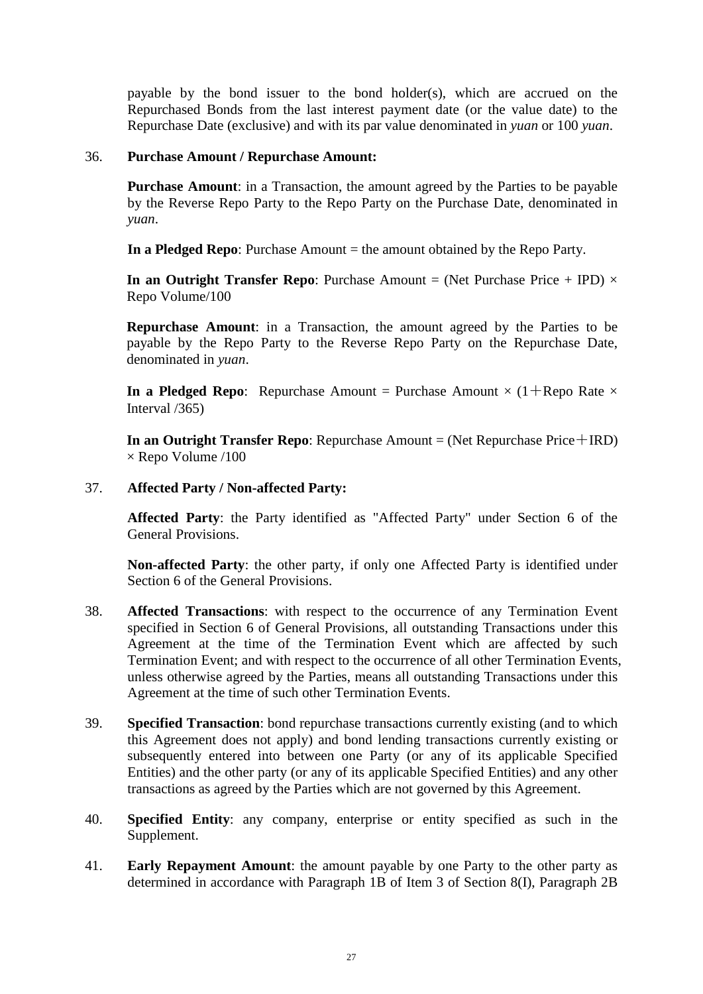payable by the bond issuer to the bond holder(s), which are accrued on the Repurchased Bonds from the last interest payment date (or the value date) to the Repurchase Date (exclusive) and with its par value denominated in *yuan* or 100 *yuan*.

#### 36. **Purchase Amount / Repurchase Amount:**

**Purchase Amount**: in a Transaction, the amount agreed by the Parties to be payable by the Reverse Repo Party to the Repo Party on the Purchase Date, denominated in *yuan*.

**In a Pledged Repo**: Purchase Amount = the amount obtained by the Repo Party.

**In an Outright Transfer Repo**: Purchase Amount = (Net Purchase Price + IPD)  $\times$ Repo Volume/100

**Repurchase Amount**: in a Transaction, the amount agreed by the Parties to be payable by the Repo Party to the Reverse Repo Party on the Repurchase Date, denominated in *yuan*.

**In a Pledged Repo:** Repurchase Amount = Purchase Amount  $\times$  (1+Repo Rate  $\times$ Interval /365)

**In an Outright Transfer Repo**: Repurchase Amount = (Net Repurchase Price + IRD)  $\times$  Repo Volume /100

#### 37. **Affected Party / Non-affected Party:**

**Affected Party**: the Party identified as "Affected Party" under Section 6 of the General Provisions.

**Non-affected Party**: the other party, if only one Affected Party is identified under Section 6 of the General Provisions.

- 38. **Affected Transactions**: with respect to the occurrence of any Termination Event specified in Section 6 of General Provisions, all outstanding Transactions under this Agreement at the time of the Termination Event which are affected by such Termination Event; and with respect to the occurrence of all other Termination Events, unless otherwise agreed by the Parties, means all outstanding Transactions under this Agreement at the time of such other Termination Events.
- 39. **Specified Transaction**: bond repurchase transactions currently existing (and to which this Agreement does not apply) and bond lending transactions currently existing or subsequently entered into between one Party (or any of its applicable Specified Entities) and the other party (or any of its applicable Specified Entities) and any other transactions as agreed by the Parties which are not governed by this Agreement.
- 40. **Specified Entity**: any company, enterprise or entity specified as such in the Supplement.
- 41. **Early Repayment Amount**: the amount payable by one Party to the other party as determined in accordance with Paragraph 1B of Item 3 of Section 8(I), Paragraph 2B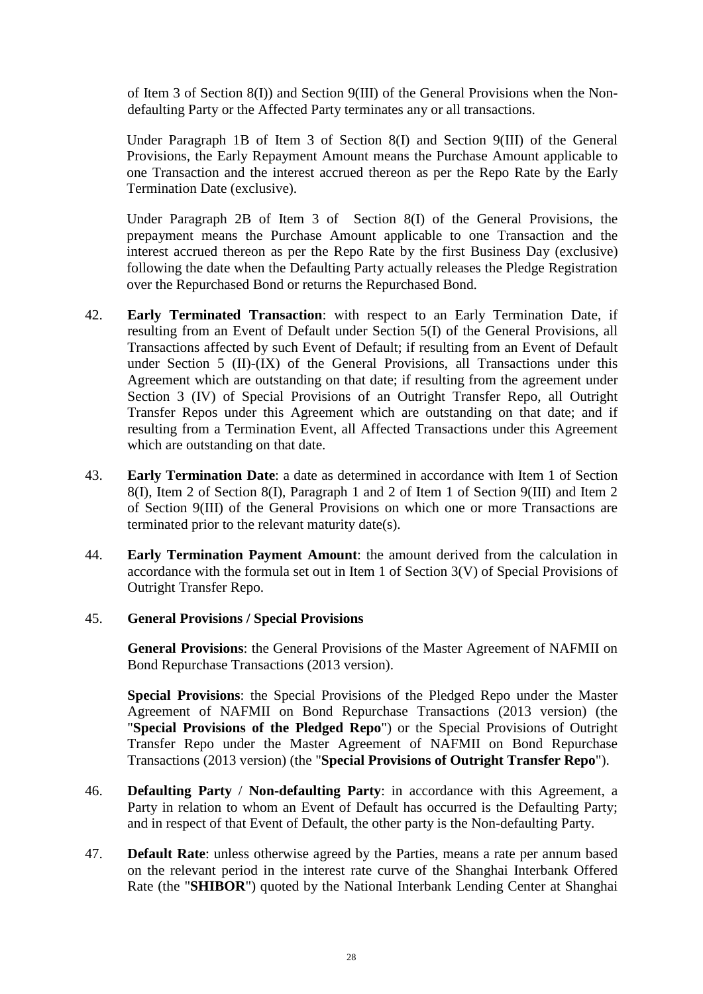of Item 3 of Section 8(I)) and Section 9(III) of the General Provisions when the Nondefaulting Party or the Affected Party terminates any or all transactions.

Under Paragraph 1B of Item 3 of Section 8(I) and Section 9(III) of the General Provisions, the Early Repayment Amount means the Purchase Amount applicable to one Transaction and the interest accrued thereon as per the Repo Rate by the Early Termination Date (exclusive).

Under Paragraph 2B of Item 3 of Section 8(I) of the General Provisions, the prepayment means the Purchase Amount applicable to one Transaction and the interest accrued thereon as per the Repo Rate by the first Business Day (exclusive) following the date when the Defaulting Party actually releases the Pledge Registration over the Repurchased Bond or returns the Repurchased Bond.

- 42. **Early Terminated Transaction**: with respect to an Early Termination Date, if resulting from an Event of Default under Section 5(I) of the General Provisions, all Transactions affected by such Event of Default; if resulting from an Event of Default under Section 5 (II)-(IX) of the General Provisions, all Transactions under this Agreement which are outstanding on that date; if resulting from the agreement under Section 3 (IV) of Special Provisions of an Outright Transfer Repo, all Outright Transfer Repos under this Agreement which are outstanding on that date; and if resulting from a Termination Event, all Affected Transactions under this Agreement which are outstanding on that date.
- 43. **Early Termination Date**: a date as determined in accordance with Item 1 of Section 8(I), Item 2 of Section 8(I), Paragraph 1 and 2 of Item 1 of Section 9(III) and Item 2 of Section 9(III) of the General Provisions on which one or more Transactions are terminated prior to the relevant maturity date(s).
- 44. **Early Termination Payment Amount**: the amount derived from the calculation in accordance with the formula set out in Item 1 of Section 3(V) of Special Provisions of Outright Transfer Repo.

### 45. **General Provisions / Special Provisions**

**General Provisions**: the General Provisions of the Master Agreement of NAFMII on Bond Repurchase Transactions (2013 version).

**Special Provisions**: the Special Provisions of the Pledged Repo under the Master Agreement of NAFMII on Bond Repurchase Transactions (2013 version) (the "**Special Provisions of the Pledged Repo**") or the Special Provisions of Outright Transfer Repo under the Master Agreement of NAFMII on Bond Repurchase Transactions (2013 version) (the "**Special Provisions of Outright Transfer Repo**").

- 46. **Defaulting Party** / **Non-defaulting Party**: in accordance with this Agreement, a Party in relation to whom an Event of Default has occurred is the Defaulting Party; and in respect of that Event of Default, the other party is the Non-defaulting Party.
- 47. **Default Rate**: unless otherwise agreed by the Parties, means a rate per annum based on the relevant period in the interest rate curve of the Shanghai Interbank Offered Rate (the "**SHIBOR**") quoted by the National Interbank Lending Center at Shanghai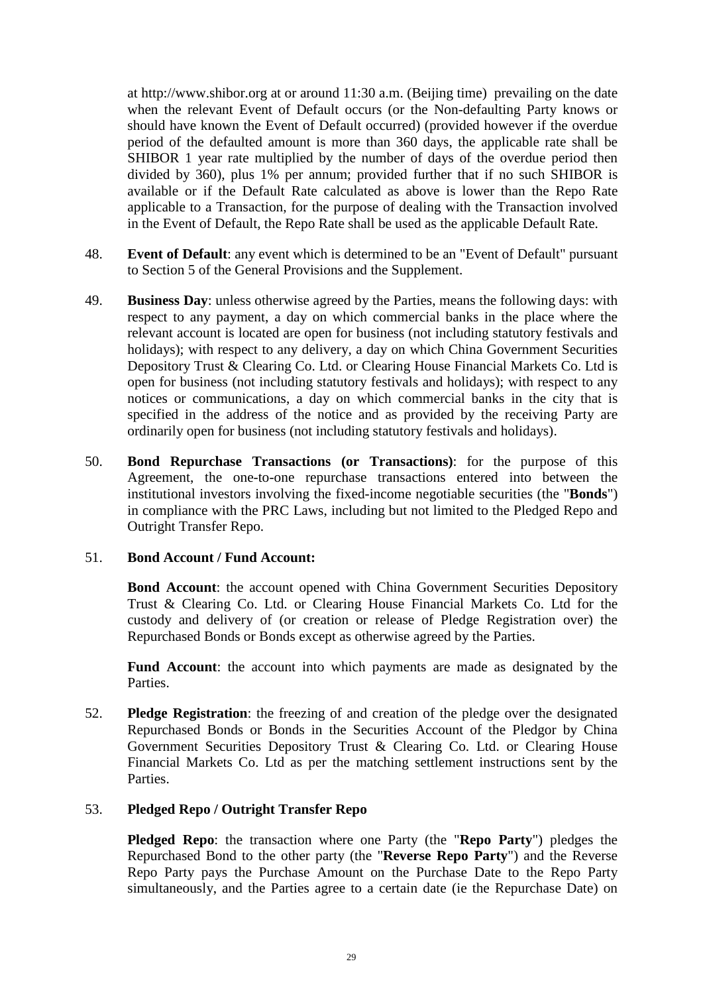at http://www.shibor.org at or around 11:30 a.m. (Beijing time) prevailing on the date when the relevant Event of Default occurs (or the Non-defaulting Party knows or should have known the Event of Default occurred) (provided however if the overdue period of the defaulted amount is more than 360 days, the applicable rate shall be SHIBOR 1 year rate multiplied by the number of days of the overdue period then divided by 360), plus 1% per annum; provided further that if no such SHIBOR is available or if the Default Rate calculated as above is lower than the Repo Rate applicable to a Transaction, for the purpose of dealing with the Transaction involved in the Event of Default, the Repo Rate shall be used as the applicable Default Rate.

- 48. **Event of Default**: any event which is determined to be an "Event of Default" pursuant to Section 5 of the General Provisions and the Supplement.
- 49. **Business Day**: unless otherwise agreed by the Parties, means the following days: with respect to any payment, a day on which commercial banks in the place where the relevant account is located are open for business (not including statutory festivals and holidays); with respect to any delivery, a day on which China Government Securities Depository Trust & Clearing Co. Ltd. or Clearing House Financial Markets Co. Ltd is open for business (not including statutory festivals and holidays); with respect to any notices or communications, a day on which commercial banks in the city that is specified in the address of the notice and as provided by the receiving Party are ordinarily open for business (not including statutory festivals and holidays).
- 50. **Bond Repurchase Transactions (or Transactions)**: for the purpose of this Agreement, the one-to-one repurchase transactions entered into between the institutional investors involving the fixed-income negotiable securities (the "**Bonds**") in compliance with the PRC Laws, including but not limited to the Pledged Repo and Outright Transfer Repo.

### 51. **Bond Account / Fund Account:**

**Bond Account:** the account opened with China Government Securities Depository Trust & Clearing Co. Ltd. or Clearing House Financial Markets Co. Ltd for the custody and delivery of (or creation or release of Pledge Registration over) the Repurchased Bonds or Bonds except as otherwise agreed by the Parties.

**Fund Account**: the account into which payments are made as designated by the Parties.

52. **Pledge Registration**: the freezing of and creation of the pledge over the designated Repurchased Bonds or Bonds in the Securities Account of the Pledgor by China Government Securities Depository Trust & Clearing Co. Ltd. or Clearing House Financial Markets Co. Ltd as per the matching settlement instructions sent by the Parties.

### 53. **Pledged Repo / Outright Transfer Repo**

**Pledged Repo**: the transaction where one Party (the "**Repo Party**") pledges the Repurchased Bond to the other party (the "**Reverse Repo Party**") and the Reverse Repo Party pays the Purchase Amount on the Purchase Date to the Repo Party simultaneously, and the Parties agree to a certain date (ie the Repurchase Date) on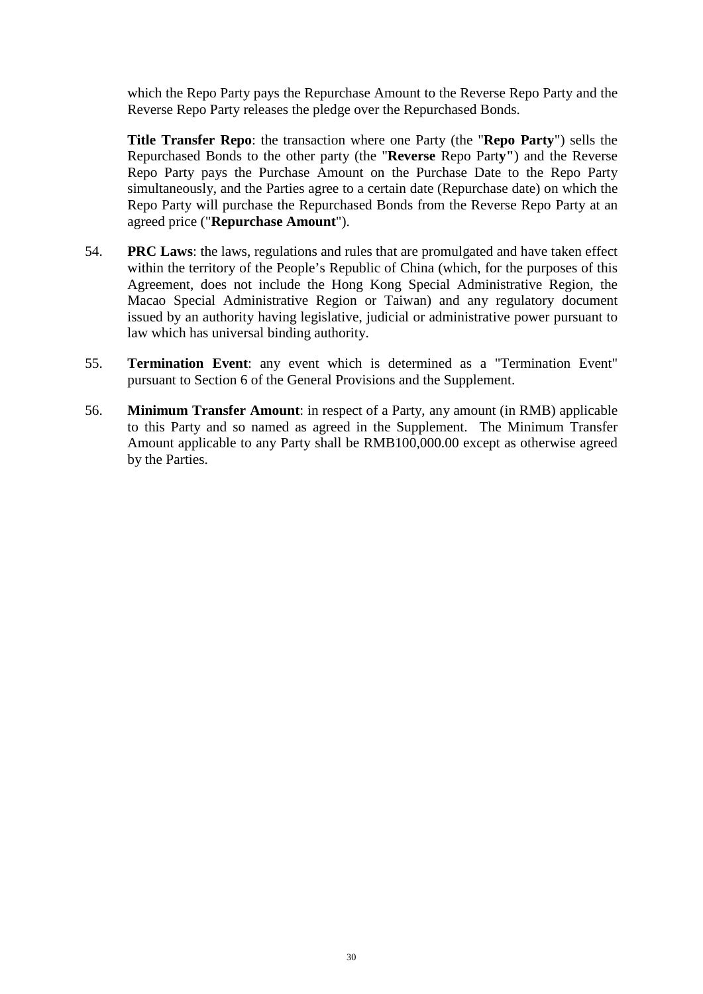which the Repo Party pays the Repurchase Amount to the Reverse Repo Party and the Reverse Repo Party releases the pledge over the Repurchased Bonds.

**Title Transfer Repo**: the transaction where one Party (the "**Repo Party**") sells the Repurchased Bonds to the other party (the "**Reverse** Repo Part**y"**) and the Reverse Repo Party pays the Purchase Amount on the Purchase Date to the Repo Party simultaneously, and the Parties agree to a certain date (Repurchase date) on which the Repo Party will purchase the Repurchased Bonds from the Reverse Repo Party at an agreed price ("**Repurchase Amount**").

- 54. **PRC Laws**: the laws, regulations and rules that are promulgated and have taken effect within the territory of the People's Republic of China (which, for the purposes of this Agreement, does not include the Hong Kong Special Administrative Region, the Macao Special Administrative Region or Taiwan) and any regulatory document issued by an authority having legislative, judicial or administrative power pursuant to law which has universal binding authority.
- 55. **Termination Event**: any event which is determined as a "Termination Event" pursuant to Section 6 of the General Provisions and the Supplement.
- 56. **Minimum Transfer Amount**: in respect of a Party, any amount (in RMB) applicable to this Party and so named as agreed in the Supplement. The Minimum Transfer Amount applicable to any Party shall be RMB100,000.00 except as otherwise agreed by the Parties.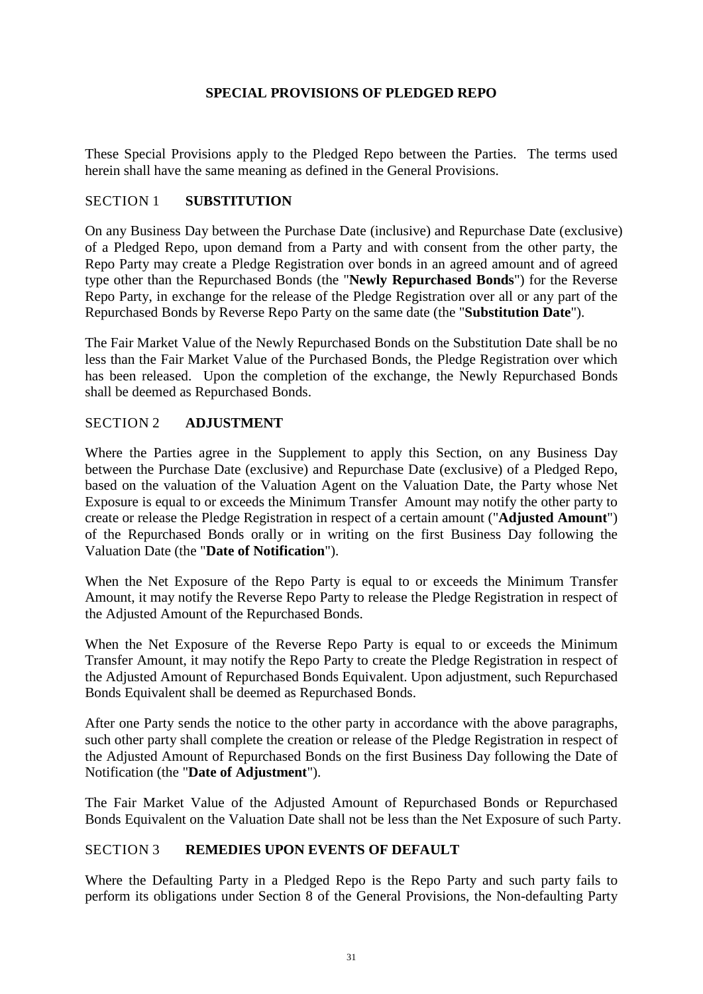# **SPECIAL PROVISIONS OF PLEDGED REPO**

<span id="page-35-0"></span>These Special Provisions apply to the Pledged Repo between the Parties. The terms used herein shall have the same meaning as defined in the General Provisions.

### <span id="page-35-1"></span>SECTION 1 **SUBSTITUTION**

On any Business Day between the Purchase Date (inclusive) and Repurchase Date (exclusive) of a Pledged Repo, upon demand from a Party and with consent from the other party, the Repo Party may create a Pledge Registration over bonds in an agreed amount and of agreed type other than the Repurchased Bonds (the "**Newly Repurchased Bonds**") for the Reverse Repo Party, in exchange for the release of the Pledge Registration over all or any part of the Repurchased Bonds by Reverse Repo Party on the same date (the "**Substitution Date**").

The Fair Market Value of the Newly Repurchased Bonds on the Substitution Date shall be no less than the Fair Market Value of the Purchased Bonds, the Pledge Registration over which has been released. Upon the completion of the exchange, the Newly Repurchased Bonds shall be deemed as Repurchased Bonds.

### <span id="page-35-2"></span>SECTION 2 **ADJUSTMENT**

Where the Parties agree in the Supplement to apply this Section, on any Business Day between the Purchase Date (exclusive) and Repurchase Date (exclusive) of a Pledged Repo, based on the valuation of the Valuation Agent on the Valuation Date, the Party whose Net Exposure is equal to or exceeds the Minimum Transfer Amount may notify the other party to create or release the Pledge Registration in respect of a certain amount ("**Adjusted Amount**") of the Repurchased Bonds orally or in writing on the first Business Day following the Valuation Date (the "**Date of Notification**").

When the Net Exposure of the Repo Party is equal to or exceeds the Minimum Transfer Amount, it may notify the Reverse Repo Party to release the Pledge Registration in respect of the Adjusted Amount of the Repurchased Bonds.

When the Net Exposure of the Reverse Repo Party is equal to or exceeds the Minimum Transfer Amount, it may notify the Repo Party to create the Pledge Registration in respect of the Adjusted Amount of Repurchased Bonds Equivalent. Upon adjustment, such Repurchased Bonds Equivalent shall be deemed as Repurchased Bonds.

After one Party sends the notice to the other party in accordance with the above paragraphs, such other party shall complete the creation or release of the Pledge Registration in respect of the Adjusted Amount of Repurchased Bonds on the first Business Day following the Date of Notification (the "**Date of Adjustment**").

The Fair Market Value of the Adjusted Amount of Repurchased Bonds or Repurchased Bonds Equivalent on the Valuation Date shall not be less than the Net Exposure of such Party.

# <span id="page-35-3"></span>SECTION 3 **REMEDIES UPON EVENTS OF DEFAULT**

Where the Defaulting Party in a Pledged Repo is the Repo Party and such party fails to perform its obligations under Section 8 of the General Provisions, the Non-defaulting Party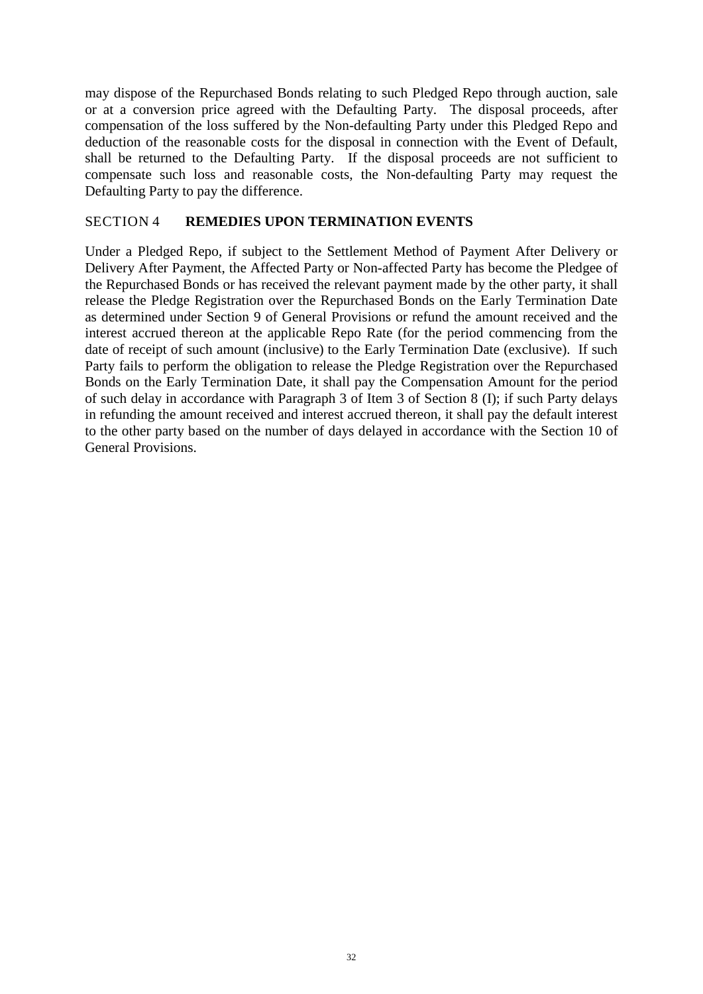may dispose of the Repurchased Bonds relating to such Pledged Repo through auction, sale or at a conversion price agreed with the Defaulting Party. The disposal proceeds, after compensation of the loss suffered by the Non-defaulting Party under this Pledged Repo and deduction of the reasonable costs for the disposal in connection with the Event of Default, shall be returned to the Defaulting Party. If the disposal proceeds are not sufficient to compensate such loss and reasonable costs, the Non-defaulting Party may request the Defaulting Party to pay the difference.

### <span id="page-36-0"></span>SECTION 4 **REMEDIES UPON TERMINATION EVENTS**

Under a Pledged Repo, if subject to the Settlement Method of Payment After Delivery or Delivery After Payment, the Affected Party or Non-affected Party has become the Pledgee of the Repurchased Bonds or has received the relevant payment made by the other party, it shall release the Pledge Registration over the Repurchased Bonds on the Early Termination Date as determined under Section 9 of General Provisions or refund the amount received and the interest accrued thereon at the applicable Repo Rate (for the period commencing from the date of receipt of such amount (inclusive) to the Early Termination Date (exclusive). If such Party fails to perform the obligation to release the Pledge Registration over the Repurchased Bonds on the Early Termination Date, it shall pay the Compensation Amount for the period of such delay in accordance with Paragraph 3 of Item 3 of Section 8 (I); if such Party delays in refunding the amount received and interest accrued thereon, it shall pay the default interest to the other party based on the number of days delayed in accordance with the Section 10 of General Provisions.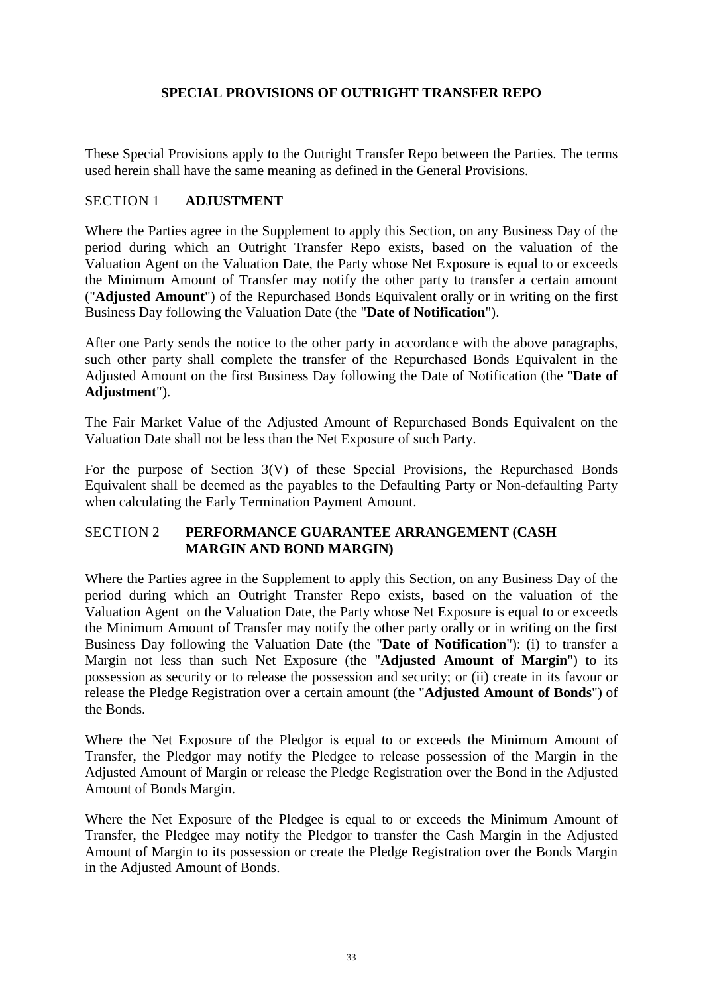# **SPECIAL PROVISIONS OF OUTRIGHT TRANSFER REPO**

<span id="page-37-0"></span>These Special Provisions apply to the Outright Transfer Repo between the Parties. The terms used herein shall have the same meaning as defined in the General Provisions.

### <span id="page-37-1"></span>SECTION 1 **ADJUSTMENT**

Where the Parties agree in the Supplement to apply this Section, on any Business Day of the period during which an Outright Transfer Repo exists, based on the valuation of the Valuation Agent on the Valuation Date, the Party whose Net Exposure is equal to or exceeds the Minimum Amount of Transfer may notify the other party to transfer a certain amount ("**Adjusted Amount**") of the Repurchased Bonds Equivalent orally or in writing on the first Business Day following the Valuation Date (the "**Date of Notification**").

After one Party sends the notice to the other party in accordance with the above paragraphs, such other party shall complete the transfer of the Repurchased Bonds Equivalent in the Adjusted Amount on the first Business Day following the Date of Notification (the "**Date of Adjustment**").

The Fair Market Value of the Adjusted Amount of Repurchased Bonds Equivalent on the Valuation Date shall not be less than the Net Exposure of such Party.

For the purpose of Section 3(V) of these Special Provisions, the Repurchased Bonds Equivalent shall be deemed as the payables to the Defaulting Party or Non-defaulting Party when calculating the Early Termination Payment Amount.

### <span id="page-37-2"></span>SECTION 2 **PERFORMANCE GUARANTEE ARRANGEMENT (CASH MARGIN AND BOND MARGIN)**

Where the Parties agree in the Supplement to apply this Section, on any Business Day of the period during which an Outright Transfer Repo exists, based on the valuation of the Valuation Agent on the Valuation Date, the Party whose Net Exposure is equal to or exceeds the Minimum Amount of Transfer may notify the other party orally or in writing on the first Business Day following the Valuation Date (the "**Date of Notification**"): (i) to transfer a Margin not less than such Net Exposure (the "**Adjusted Amount of Margin**") to its possession as security or to release the possession and security; or (ii) create in its favour or release the Pledge Registration over a certain amount (the "**Adjusted Amount of Bonds**") of the Bonds.

Where the Net Exposure of the Pledgor is equal to or exceeds the Minimum Amount of Transfer, the Pledgor may notify the Pledgee to release possession of the Margin in the Adjusted Amount of Margin or release the Pledge Registration over the Bond in the Adjusted Amount of Bonds Margin.

Where the Net Exposure of the Pledgee is equal to or exceeds the Minimum Amount of Transfer, the Pledgee may notify the Pledgor to transfer the Cash Margin in the Adjusted Amount of Margin to its possession or create the Pledge Registration over the Bonds Margin in the Adjusted Amount of Bonds.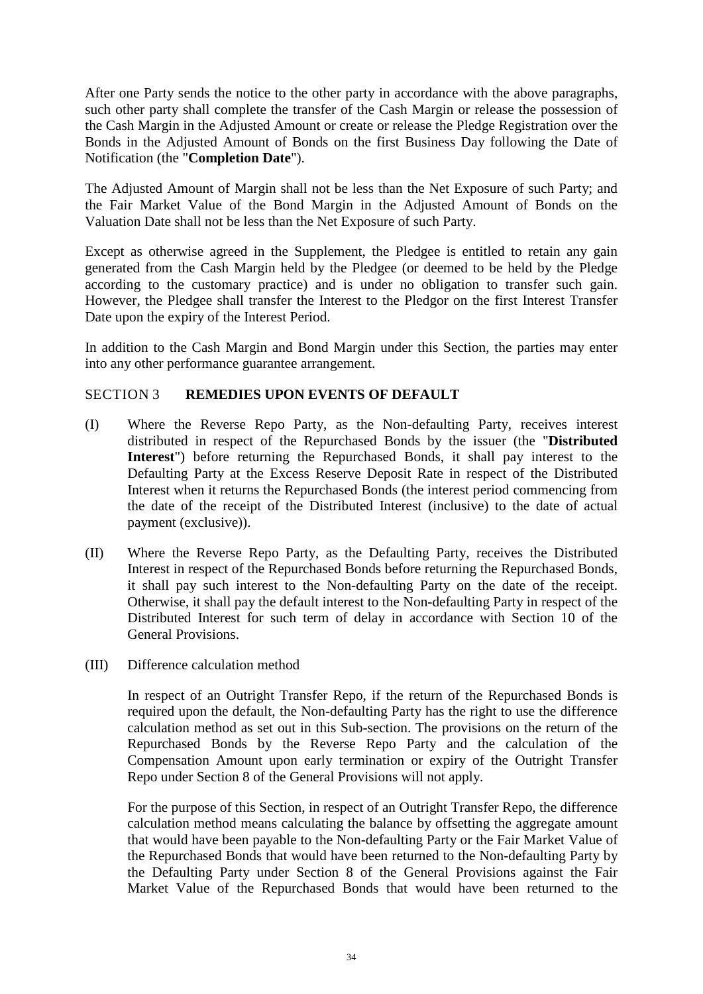After one Party sends the notice to the other party in accordance with the above paragraphs, such other party shall complete the transfer of the Cash Margin or release the possession of the Cash Margin in the Adjusted Amount or create or release the Pledge Registration over the Bonds in the Adjusted Amount of Bonds on the first Business Day following the Date of Notification (the "**Completion Date**").

The Adjusted Amount of Margin shall not be less than the Net Exposure of such Party; and the Fair Market Value of the Bond Margin in the Adjusted Amount of Bonds on the Valuation Date shall not be less than the Net Exposure of such Party.

Except as otherwise agreed in the Supplement, the Pledgee is entitled to retain any gain generated from the Cash Margin held by the Pledgee (or deemed to be held by the Pledge according to the customary practice) and is under no obligation to transfer such gain. However, the Pledgee shall transfer the Interest to the Pledgor on the first Interest Transfer Date upon the expiry of the Interest Period.

In addition to the Cash Margin and Bond Margin under this Section, the parties may enter into any other performance guarantee arrangement.

### <span id="page-38-0"></span>SECTION 3 **REMEDIES UPON EVENTS OF DEFAULT**

- (I) Where the Reverse Repo Party, as the Non-defaulting Party, receives interest distributed in respect of the Repurchased Bonds by the issuer (the "**Distributed Interest**") before returning the Repurchased Bonds, it shall pay interest to the Defaulting Party at the Excess Reserve Deposit Rate in respect of the Distributed Interest when it returns the Repurchased Bonds (the interest period commencing from the date of the receipt of the Distributed Interest (inclusive) to the date of actual payment (exclusive)).
- (II) Where the Reverse Repo Party, as the Defaulting Party, receives the Distributed Interest in respect of the Repurchased Bonds before returning the Repurchased Bonds, it shall pay such interest to the Non-defaulting Party on the date of the receipt. Otherwise, it shall pay the default interest to the Non-defaulting Party in respect of the Distributed Interest for such term of delay in accordance with Section 10 of the General Provisions.
- (III) Difference calculation method

In respect of an Outright Transfer Repo, if the return of the Repurchased Bonds is required upon the default, the Non-defaulting Party has the right to use the difference calculation method as set out in this Sub-section. The provisions on the return of the Repurchased Bonds by the Reverse Repo Party and the calculation of the Compensation Amount upon early termination or expiry of the Outright Transfer Repo under Section 8 of the General Provisions will not apply.

For the purpose of this Section, in respect of an Outright Transfer Repo, the difference calculation method means calculating the balance by offsetting the aggregate amount that would have been payable to the Non-defaulting Party or the Fair Market Value of the Repurchased Bonds that would have been returned to the Non-defaulting Party by the Defaulting Party under Section 8 of the General Provisions against the Fair Market Value of the Repurchased Bonds that would have been returned to the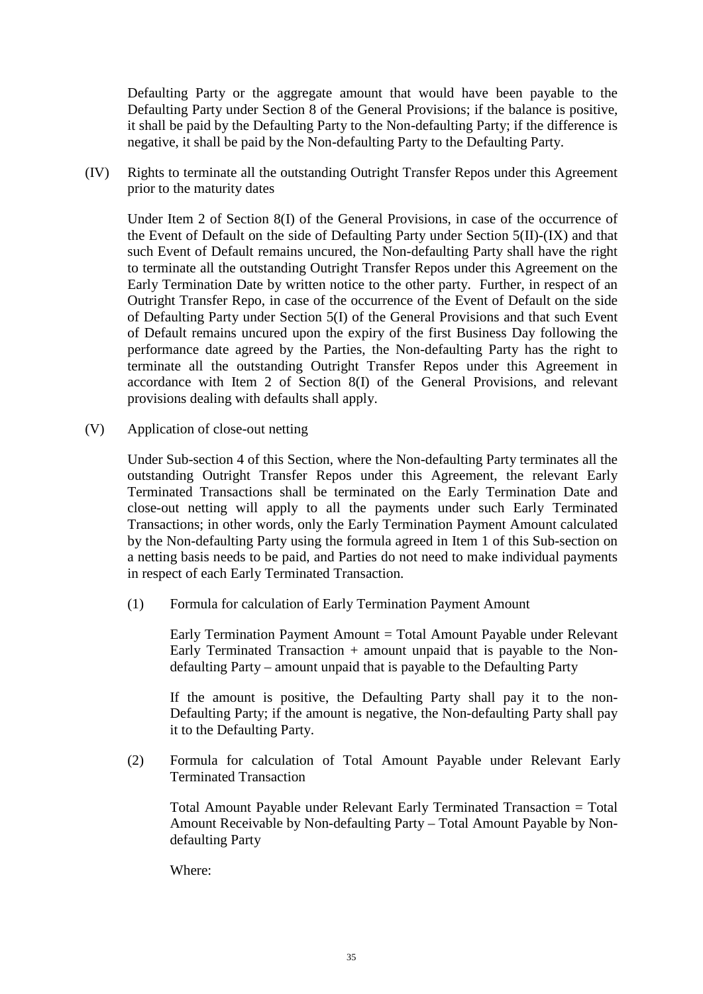Defaulting Party or the aggregate amount that would have been payable to the Defaulting Party under Section 8 of the General Provisions; if the balance is positive, it shall be paid by the Defaulting Party to the Non-defaulting Party; if the difference is negative, it shall be paid by the Non-defaulting Party to the Defaulting Party.

(IV) Rights to terminate all the outstanding Outright Transfer Repos under this Agreement prior to the maturity dates

Under Item 2 of Section 8(I) of the General Provisions, in case of the occurrence of the Event of Default on the side of Defaulting Party under Section 5(II)-(IX) and that such Event of Default remains uncured, the Non-defaulting Party shall have the right to terminate all the outstanding Outright Transfer Repos under this Agreement on the Early Termination Date by written notice to the other party. Further, in respect of an Outright Transfer Repo, in case of the occurrence of the Event of Default on the side of Defaulting Party under Section 5(I) of the General Provisions and that such Event of Default remains uncured upon the expiry of the first Business Day following the performance date agreed by the Parties, the Non-defaulting Party has the right to terminate all the outstanding Outright Transfer Repos under this Agreement in accordance with Item 2 of Section 8(I) of the General Provisions, and relevant provisions dealing with defaults shall apply.

(V) Application of close-out netting

Under Sub-section 4 of this Section, where the Non-defaulting Party terminates all the outstanding Outright Transfer Repos under this Agreement, the relevant Early Terminated Transactions shall be terminated on the Early Termination Date and close-out netting will apply to all the payments under such Early Terminated Transactions; in other words, only the Early Termination Payment Amount calculated by the Non-defaulting Party using the formula agreed in Item 1 of this Sub-section on a netting basis needs to be paid, and Parties do not need to make individual payments in respect of each Early Terminated Transaction.

(1) Formula for calculation of Early Termination Payment Amount

Early Termination Payment Amount = Total Amount Payable under Relevant Early Terminated Transaction  $+$  amount unpaid that is payable to the Nondefaulting Party – amount unpaid that is payable to the Defaulting Party

If the amount is positive, the Defaulting Party shall pay it to the non-Defaulting Party; if the amount is negative, the Non-defaulting Party shall pay it to the Defaulting Party.

(2) Formula for calculation of Total Amount Payable under Relevant Early Terminated Transaction

Total Amount Payable under Relevant Early Terminated Transaction = Total Amount Receivable by Non-defaulting Party – Total Amount Payable by Nondefaulting Party

Where: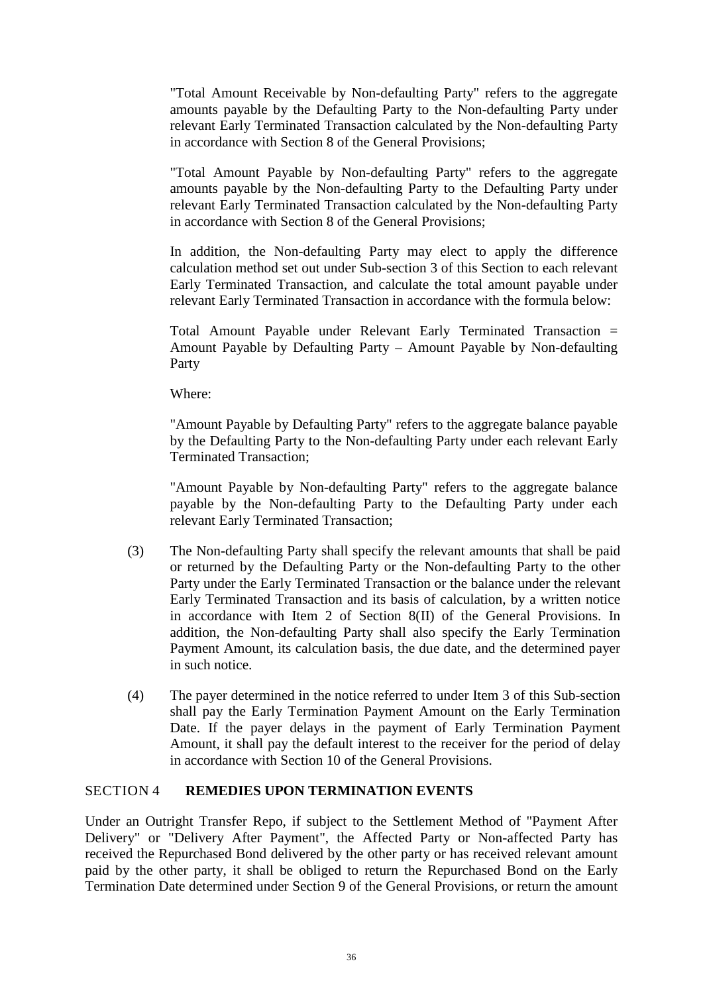"Total Amount Receivable by Non-defaulting Party" refers to the aggregate amounts payable by the Defaulting Party to the Non-defaulting Party under relevant Early Terminated Transaction calculated by the Non-defaulting Party in accordance with Section 8 of the General Provisions;

"Total Amount Payable by Non-defaulting Party" refers to the aggregate amounts payable by the Non-defaulting Party to the Defaulting Party under relevant Early Terminated Transaction calculated by the Non-defaulting Party in accordance with Section 8 of the General Provisions;

In addition, the Non-defaulting Party may elect to apply the difference calculation method set out under Sub-section 3 of this Section to each relevant Early Terminated Transaction, and calculate the total amount payable under relevant Early Terminated Transaction in accordance with the formula below:

Total Amount Payable under Relevant Early Terminated Transaction = Amount Payable by Defaulting Party – Amount Payable by Non-defaulting Party

Where:

"Amount Payable by Defaulting Party" refers to the aggregate balance payable by the Defaulting Party to the Non-defaulting Party under each relevant Early Terminated Transaction;

"Amount Payable by Non-defaulting Party" refers to the aggregate balance payable by the Non-defaulting Party to the Defaulting Party under each relevant Early Terminated Transaction;

- (3) The Non-defaulting Party shall specify the relevant amounts that shall be paid or returned by the Defaulting Party or the Non-defaulting Party to the other Party under the Early Terminated Transaction or the balance under the relevant Early Terminated Transaction and its basis of calculation, by a written notice in accordance with Item 2 of Section 8(II) of the General Provisions. In addition, the Non-defaulting Party shall also specify the Early Termination Payment Amount, its calculation basis, the due date, and the determined payer in such notice.
- (4) The payer determined in the notice referred to under Item 3 of this Sub-section shall pay the Early Termination Payment Amount on the Early Termination Date. If the payer delays in the payment of Early Termination Payment Amount, it shall pay the default interest to the receiver for the period of delay in accordance with Section 10 of the General Provisions.

### <span id="page-40-0"></span>SECTION 4 **REMEDIES UPON TERMINATION EVENTS**

Under an Outright Transfer Repo, if subject to the Settlement Method of "Payment After Delivery" or "Delivery After Payment", the Affected Party or Non-affected Party has received the Repurchased Bond delivered by the other party or has received relevant amount paid by the other party, it shall be obliged to return the Repurchased Bond on the Early Termination Date determined under Section 9 of the General Provisions, or return the amount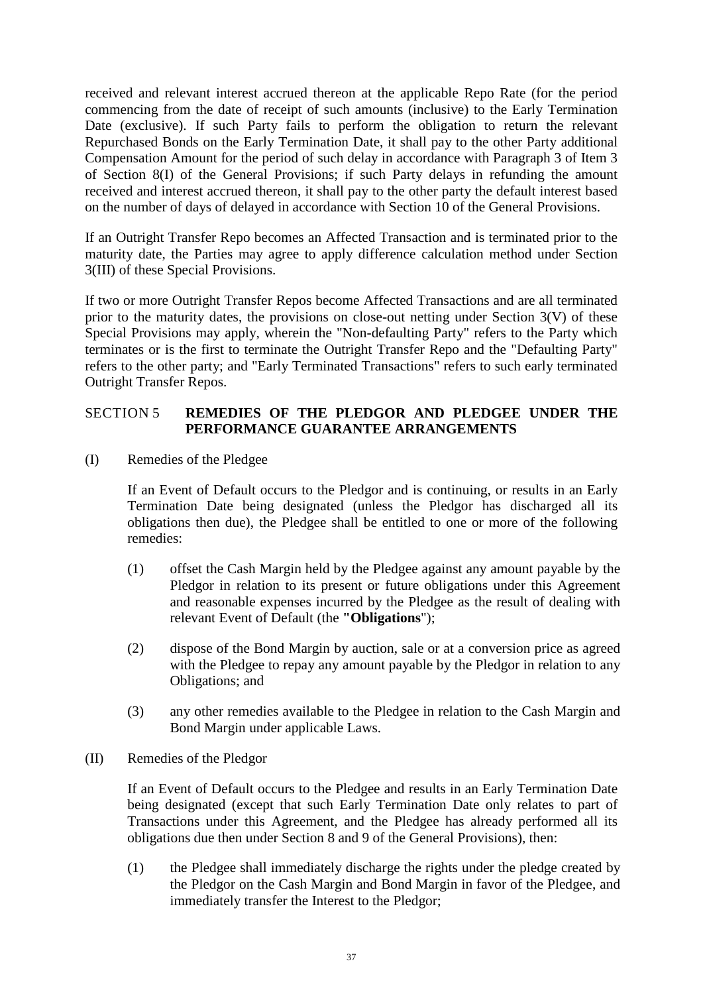received and relevant interest accrued thereon at the applicable Repo Rate (for the period commencing from the date of receipt of such amounts (inclusive) to the Early Termination Date (exclusive). If such Party fails to perform the obligation to return the relevant Repurchased Bonds on the Early Termination Date, it shall pay to the other Party additional Compensation Amount for the period of such delay in accordance with Paragraph 3 of Item 3 of Section 8(I) of the General Provisions; if such Party delays in refunding the amount received and interest accrued thereon, it shall pay to the other party the default interest based on the number of days of delayed in accordance with Section 10 of the General Provisions.

If an Outright Transfer Repo becomes an Affected Transaction and is terminated prior to the maturity date, the Parties may agree to apply difference calculation method under Section 3(III) of these Special Provisions.

If two or more Outright Transfer Repos become Affected Transactions and are all terminated prior to the maturity dates, the provisions on close-out netting under Section 3(V) of these Special Provisions may apply, wherein the "Non-defaulting Party" refers to the Party which terminates or is the first to terminate the Outright Transfer Repo and the "Defaulting Party" refers to the other party; and "Early Terminated Transactions" refers to such early terminated Outright Transfer Repos.

### <span id="page-41-0"></span>SECTION 5 **REMEDIES OF THE PLEDGOR AND PLEDGEE UNDER THE PERFORMANCE GUARANTEE ARRANGEMENTS**

(I) Remedies of the Pledgee

If an Event of Default occurs to the Pledgor and is continuing, or results in an Early Termination Date being designated (unless the Pledgor has discharged all its obligations then due), the Pledgee shall be entitled to one or more of the following remedies:

- (1) offset the Cash Margin held by the Pledgee against any amount payable by the Pledgor in relation to its present or future obligations under this Agreement and reasonable expenses incurred by the Pledgee as the result of dealing with relevant Event of Default (the **"Obligations**");
- (2) dispose of the Bond Margin by auction, sale or at a conversion price as agreed with the Pledgee to repay any amount payable by the Pledgor in relation to any Obligations; and
- (3) any other remedies available to the Pledgee in relation to the Cash Margin and Bond Margin under applicable Laws.
- (II) Remedies of the Pledgor

If an Event of Default occurs to the Pledgee and results in an Early Termination Date being designated (except that such Early Termination Date only relates to part of Transactions under this Agreement, and the Pledgee has already performed all its obligations due then under Section 8 and 9 of the General Provisions), then:

(1) the Pledgee shall immediately discharge the rights under the pledge created by the Pledgor on the Cash Margin and Bond Margin in favor of the Pledgee, and immediately transfer the Interest to the Pledgor;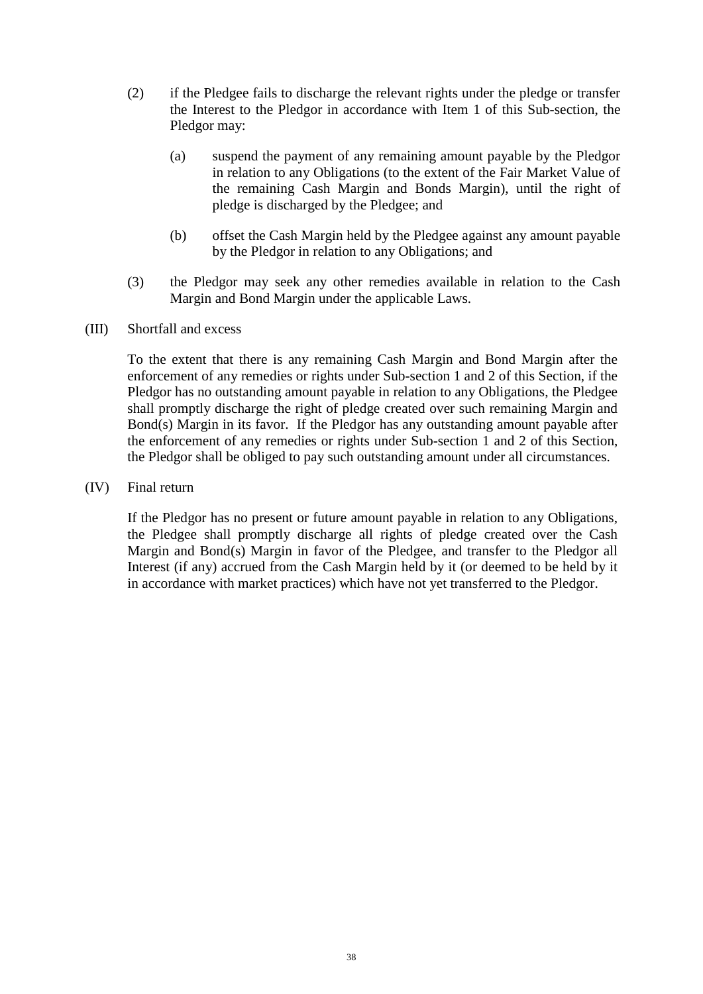- (2) if the Pledgee fails to discharge the relevant rights under the pledge or transfer the Interest to the Pledgor in accordance with Item 1 of this Sub-section, the Pledgor may:
	- (a) suspend the payment of any remaining amount payable by the Pledgor in relation to any Obligations (to the extent of the Fair Market Value of the remaining Cash Margin and Bonds Margin), until the right of pledge is discharged by the Pledgee; and
	- (b) offset the Cash Margin held by the Pledgee against any amount payable by the Pledgor in relation to any Obligations; and
- (3) the Pledgor may seek any other remedies available in relation to the Cash Margin and Bond Margin under the applicable Laws.

#### (III) Shortfall and excess

To the extent that there is any remaining Cash Margin and Bond Margin after the enforcement of any remedies or rights under Sub-section 1 and 2 of this Section, if the Pledgor has no outstanding amount payable in relation to any Obligations, the Pledgee shall promptly discharge the right of pledge created over such remaining Margin and Bond(s) Margin in its favor. If the Pledgor has any outstanding amount payable after the enforcement of any remedies or rights under Sub-section 1 and 2 of this Section, the Pledgor shall be obliged to pay such outstanding amount under all circumstances.

(IV) Final return

If the Pledgor has no present or future amount payable in relation to any Obligations, the Pledgee shall promptly discharge all rights of pledge created over the Cash Margin and Bond(s) Margin in favor of the Pledgee, and transfer to the Pledgor all Interest (if any) accrued from the Cash Margin held by it (or deemed to be held by it in accordance with market practices) which have not yet transferred to the Pledgor.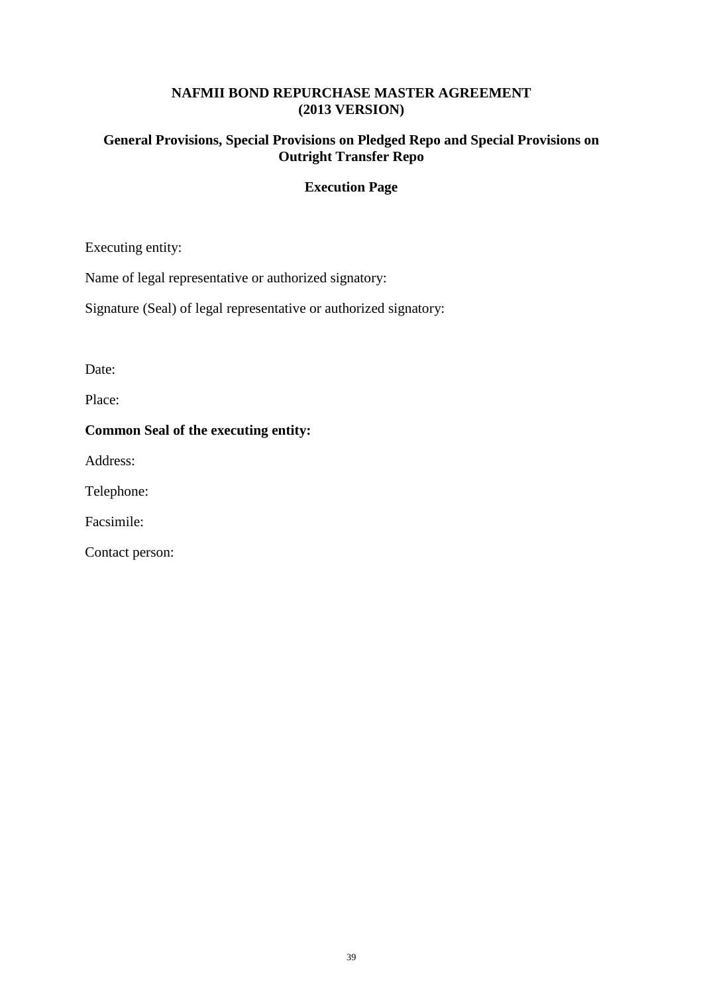### **NAFMII BOND REPURCHASE MASTER AGREEMENT (2013 VERSION)**

# **General Provisions, Special Provisions on Pledged Repo and Special Provisions on Outright Transfer Repo**

# **Execution Page**

Executing entity:

Name of legal representative or authorized signatory:

Signature (Seal) of legal representative or authorized signatory:

Date:

Place:

### **Common Seal of the executing entity:**

Address:

Telephone:

Facsimile:

Contact person: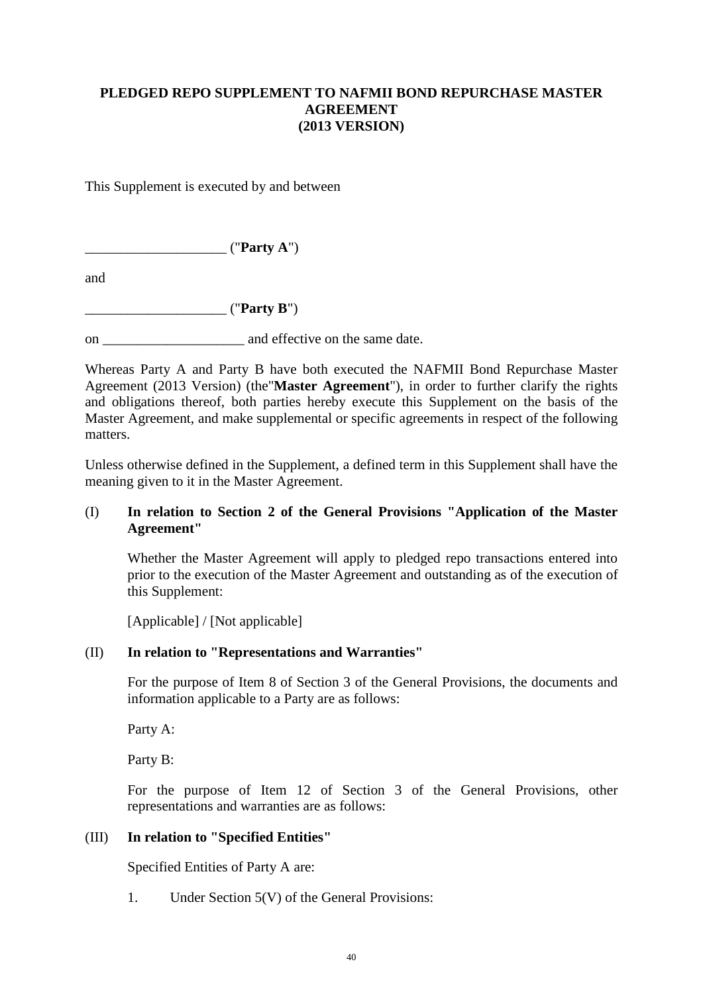# <span id="page-44-0"></span>**PLEDGED REPO SUPPLEMENT TO NAFMII BOND REPURCHASE MASTER AGREEMENT (2013 VERSION)**

This Supplement is executed by and between

\_\_\_\_\_\_\_\_\_\_\_\_\_\_\_\_\_\_\_\_ ("**Party A**")

and

\_\_\_\_\_\_\_\_\_\_\_\_\_\_\_\_\_\_\_\_ ("**Party B**")

on \_\_\_\_\_\_\_\_\_\_\_\_\_\_\_\_\_\_\_\_ and effective on the same date.

Whereas Party A and Party B have both executed the NAFMII Bond Repurchase Master Agreement (2013 Version) (the"**Master Agreement**"), in order to further clarify the rights and obligations thereof, both parties hereby execute this Supplement on the basis of the Master Agreement, and make supplemental or specific agreements in respect of the following matters.

Unless otherwise defined in the Supplement, a defined term in this Supplement shall have the meaning given to it in the Master Agreement.

### (I) **In relation to Section 2 of the General Provisions "Application of the Master Agreement"**

Whether the Master Agreement will apply to pledged repo transactions entered into prior to the execution of the Master Agreement and outstanding as of the execution of this Supplement:

[Applicable] / [Not applicable]

### (II) **In relation to "Representations and Warranties"**

For the purpose of Item 8 of Section 3 of the General Provisions, the documents and information applicable to a Party are as follows:

Party A:

Party B:

For the purpose of Item 12 of Section 3 of the General Provisions, other representations and warranties are as follows:

# (III) **In relation to "Specified Entities"**

Specified Entities of Party A are:

1. Under Section 5(V) of the General Provisions: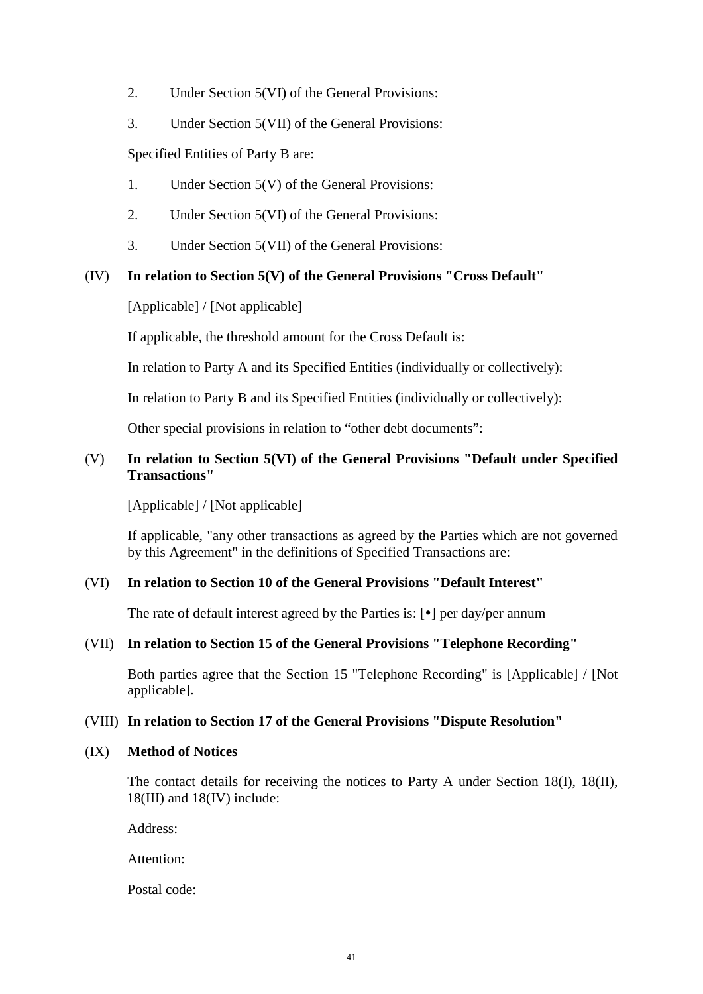- 2. Under Section 5(VI) of the General Provisions:
- 3. Under Section 5(VII) of the General Provisions:

Specified Entities of Party B are:

- 1. Under Section 5(V) of the General Provisions:
- 2. Under Section 5(VI) of the General Provisions:
- 3. Under Section 5(VII) of the General Provisions:

### (IV) **In relation to Section 5(V) of the General Provisions "Cross Default"**

[Applicable] / [Not applicable]

If applicable, the threshold amount for the Cross Default is:

In relation to Party A and its Specified Entities (individually or collectively):

In relation to Party B and its Specified Entities (individually or collectively):

Other special provisions in relation to "other debt documents":

# (V) **In relation to Section 5(VI) of the General Provisions "Default under Specified Transactions"**

[Applicable] / [Not applicable]

If applicable, "any other transactions as agreed by the Parties which are not governed by this Agreement" in the definitions of Specified Transactions are:

### (VI) **In relation to Section 10 of the General Provisions "Default Interest"**

The rate of default interest agreed by the Parties is:  $\lceil \cdot \rceil$  per day/per annum

# (VII) **In relation to Section 15 of the General Provisions "Telephone Recording"**

Both parties agree that the Section 15 "Telephone Recording" is [Applicable] / [Not applicable].

# (VIII) **In relation to Section 17 of the General Provisions "Dispute Resolution"**

### (IX) **Method of Notices**

The contact details for receiving the notices to Party A under Section 18(I), 18(II), 18(III) and 18(IV) include:

Address:

Attention:

Postal code: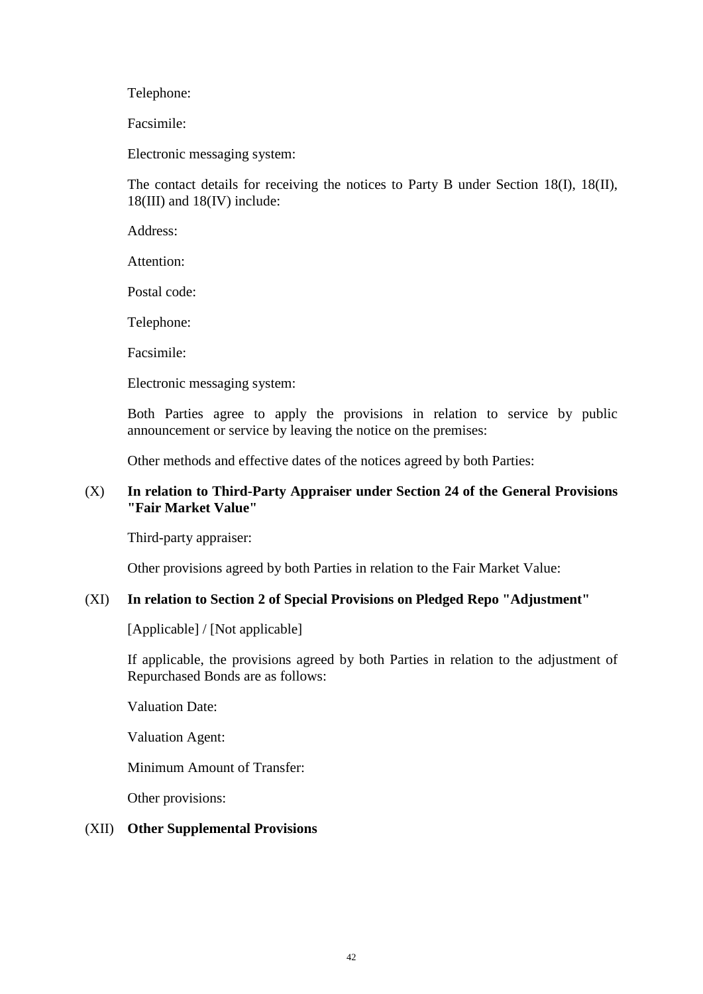Telephone:

Facsimile:

Electronic messaging system:

The contact details for receiving the notices to Party B under Section 18(I), 18(II), 18(III) and 18(IV) include:

Address:

Attention:

Postal code:

Telephone:

Facsimile:

Electronic messaging system:

Both Parties agree to apply the provisions in relation to service by public announcement or service by leaving the notice on the premises:

Other methods and effective dates of the notices agreed by both Parties:

### (X) **In relation to Third-Party Appraiser under Section 24 of the General Provisions "Fair Market Value"**

Third-party appraiser:

Other provisions agreed by both Parties in relation to the Fair Market Value:

### (XI) **In relation to Section 2 of Special Provisions on Pledged Repo "Adjustment"**

[Applicable] / [Not applicable]

If applicable, the provisions agreed by both Parties in relation to the adjustment of Repurchased Bonds are as follows:

Valuation Date:

Valuation Agent:

Minimum Amount of Transfer:

Other provisions:

#### (XII) **Other Supplemental Provisions**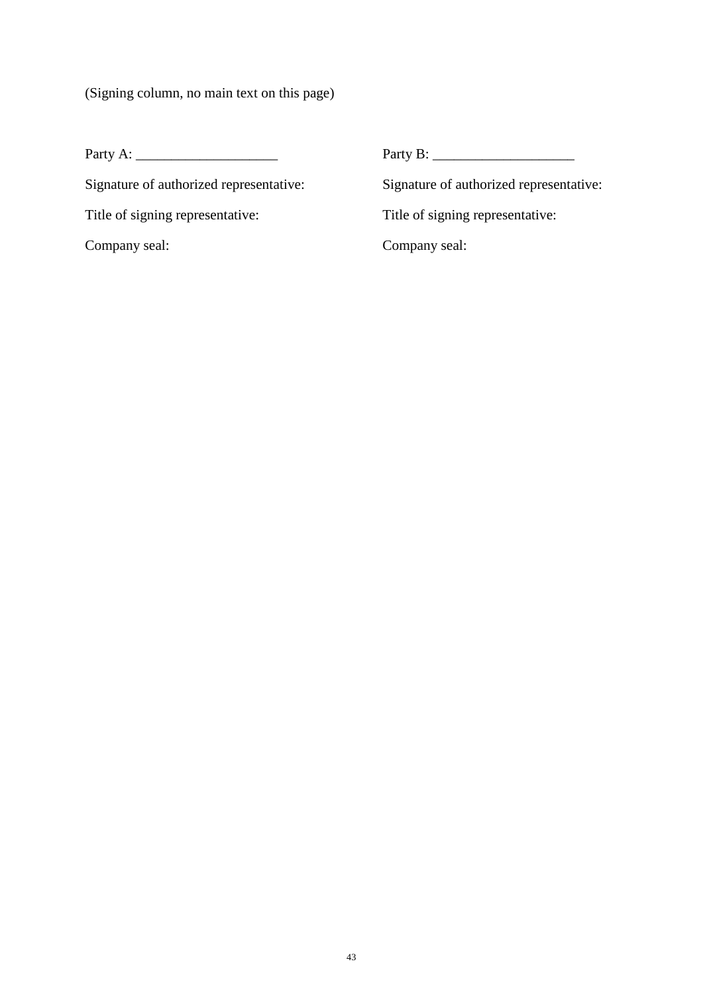(Signing column, no main text on this page)

Title of signing representative: Title of signing representative:

Party A: \_\_\_\_\_\_\_\_\_\_\_\_\_\_\_\_\_\_\_\_ Party B: \_\_\_\_\_\_\_\_\_\_\_\_\_\_\_\_\_\_\_\_

Signature of authorized representative: Signature of authorized representative:

Company seal: Company seal: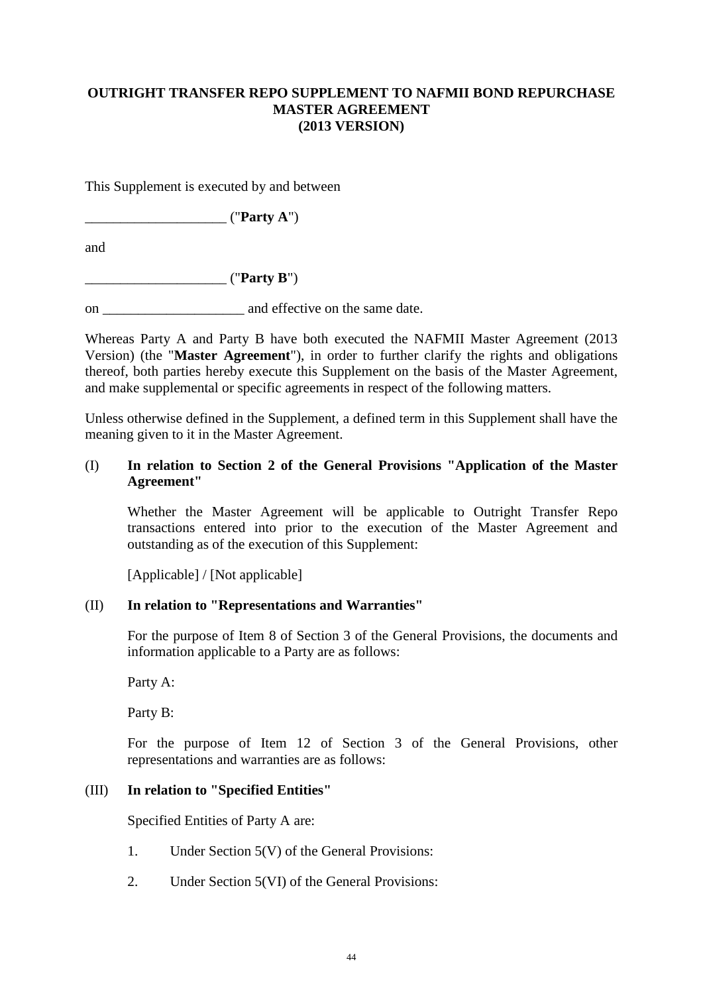# <span id="page-48-0"></span>**OUTRIGHT TRANSFER REPO SUPPLEMENT TO NAFMII BOND REPURCHASE MASTER AGREEMENT (2013 VERSION)**

This Supplement is executed by and between

 $("Partv A")$ 

and

 $("Partv B")$ 

on \_\_\_\_\_\_\_\_\_\_\_\_\_\_\_\_\_\_\_\_ and effective on the same date.

Whereas Party A and Party B have both executed the NAFMII Master Agreement (2013 Version) (the "**Master Agreement**"), in order to further clarify the rights and obligations thereof, both parties hereby execute this Supplement on the basis of the Master Agreement, and make supplemental or specific agreements in respect of the following matters.

Unless otherwise defined in the Supplement, a defined term in this Supplement shall have the meaning given to it in the Master Agreement.

### (I) **In relation to Section 2 of the General Provisions "Application of the Master Agreement"**

Whether the Master Agreement will be applicable to Outright Transfer Repo transactions entered into prior to the execution of the Master Agreement and outstanding as of the execution of this Supplement:

[Applicable] / [Not applicable]

### (II) **In relation to "Representations and Warranties"**

For the purpose of Item 8 of Section 3 of the General Provisions, the documents and information applicable to a Party are as follows:

Party A:

Party B:

For the purpose of Item 12 of Section 3 of the General Provisions, other representations and warranties are as follows:

### (III) **In relation to "Specified Entities"**

Specified Entities of Party A are:

- 1. Under Section 5(V) of the General Provisions:
- 2. Under Section 5(VI) of the General Provisions: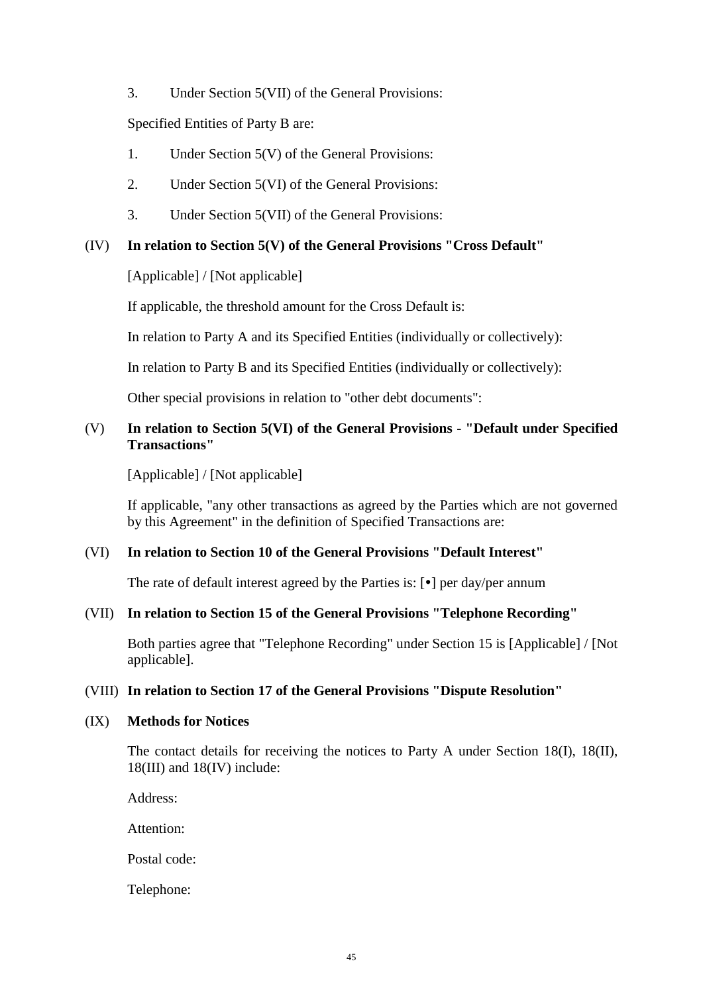3. Under Section 5(VII) of the General Provisions:

Specified Entities of Party B are:

- 1. Under Section 5(V) of the General Provisions:
- 2. Under Section 5(VI) of the General Provisions:
- 3. Under Section 5(VII) of the General Provisions:

### (IV) **In relation to Section 5(V) of the General Provisions "Cross Default"**

[Applicable] / [Not applicable]

If applicable, the threshold amount for the Cross Default is:

In relation to Party A and its Specified Entities (individually or collectively):

In relation to Party B and its Specified Entities (individually or collectively):

Other special provisions in relation to "other debt documents":

# (V) **In relation to Section 5(VI) of the General Provisions - "Default under Specified Transactions"**

[Applicable] / [Not applicable]

If applicable, "any other transactions as agreed by the Parties which are not governed by this Agreement" in the definition of Specified Transactions are:

### (VI) **In relation to Section 10 of the General Provisions "Default Interest"**

The rate of default interest agreed by the Parties is:  $\lceil \cdot \rceil$  per day/per annum

### (VII) **In relation to Section 15 of the General Provisions "Telephone Recording"**

Both parties agree that "Telephone Recording" under Section 15 is [Applicable] / [Not applicable].

### (VIII) **In relation to Section 17 of the General Provisions "Dispute Resolution"**

### (IX) **Methods for Notices**

The contact details for receiving the notices to Party A under Section 18(I), 18(II), 18(III) and 18(IV) include:

Address:

Attention:

Postal code:

Telephone: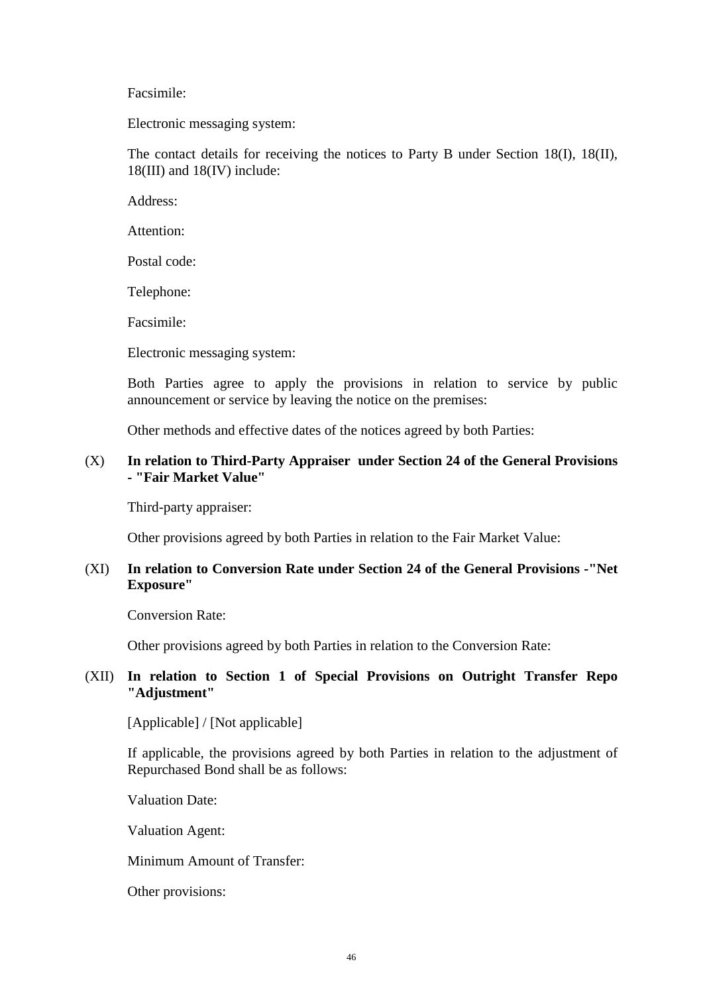Facsimile:

Electronic messaging system:

The contact details for receiving the notices to Party B under Section 18(I), 18(II), 18(III) and 18(IV) include:

Address:

Attention:

Postal code:

Telephone:

Facsimile:

Electronic messaging system:

Both Parties agree to apply the provisions in relation to service by public announcement or service by leaving the notice on the premises:

Other methods and effective dates of the notices agreed by both Parties:

### (X) **In relation to Third-Party Appraiser under Section 24 of the General Provisions - "Fair Market Value"**

Third-party appraiser:

Other provisions agreed by both Parties in relation to the Fair Market Value:

### (XI) **In relation to Conversion Rate under Section 24 of the General Provisions -"Net Exposure"**

Conversion Rate:

Other provisions agreed by both Parties in relation to the Conversion Rate:

### (XII) **In relation to Section 1 of Special Provisions on Outright Transfer Repo "Adjustment"**

[Applicable] / [Not applicable]

If applicable, the provisions agreed by both Parties in relation to the adjustment of Repurchased Bond shall be as follows:

Valuation Date:

Valuation Agent:

Minimum Amount of Transfer:

Other provisions: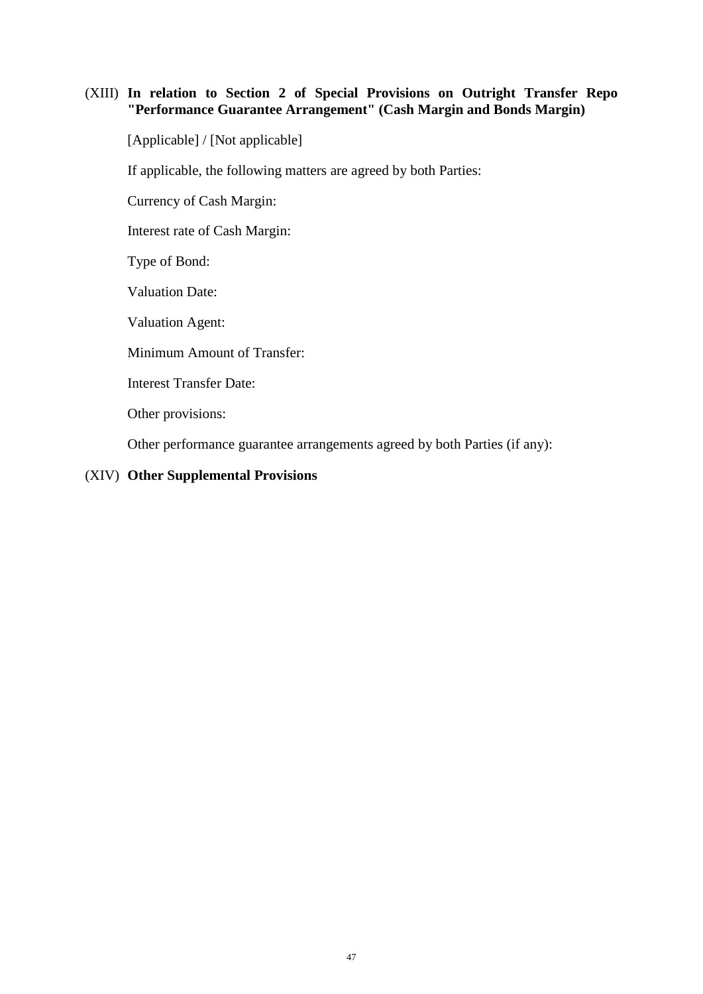### (XIII) **In relation to Section 2 of Special Provisions on Outright Transfer Repo "Performance Guarantee Arrangement" (Cash Margin and Bonds Margin)**

[Applicable] / [Not applicable]

If applicable, the following matters are agreed by both Parties:

Currency of Cash Margin:

Interest rate of Cash Margin:

Type of Bond:

Valuation Date:

Valuation Agent:

Minimum Amount of Transfer:

Interest Transfer Date:

Other provisions:

Other performance guarantee arrangements agreed by both Parties (if any):

### (XIV) **Other Supplemental Provisions**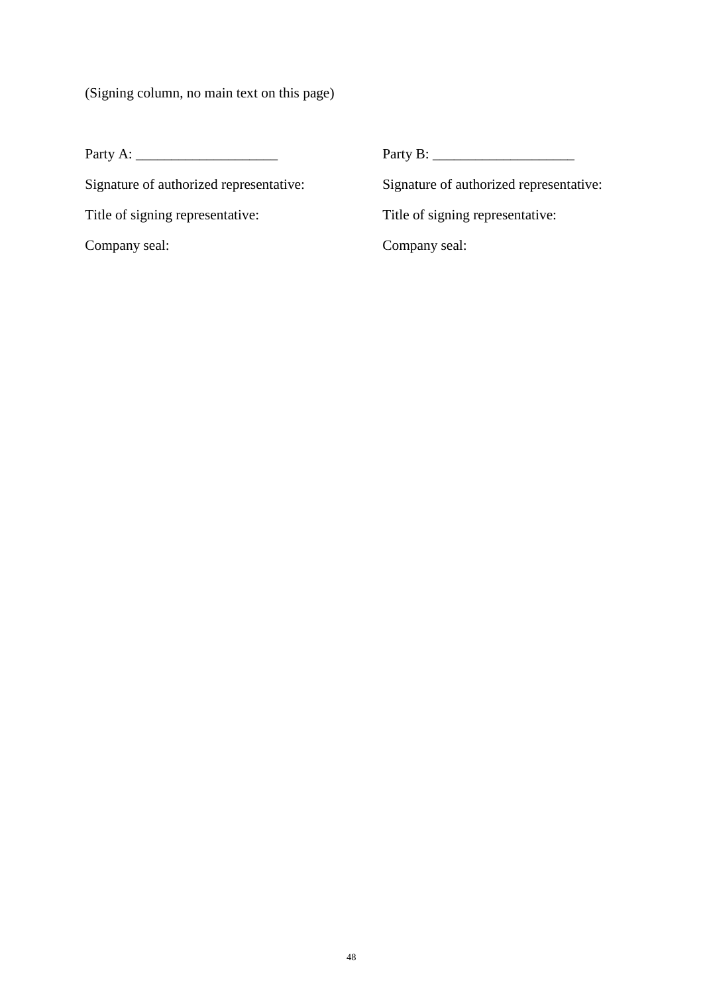(Signing column, no main text on this page)

Title of signing representative: Title of signing representative:

Party A: \_\_\_\_\_\_\_\_\_\_\_\_\_\_\_\_\_\_\_\_ Party B: \_\_\_\_\_\_\_\_\_\_\_\_\_\_\_\_\_\_\_\_

Signature of authorized representative: Signature of authorized representative:

Company seal: Company seal: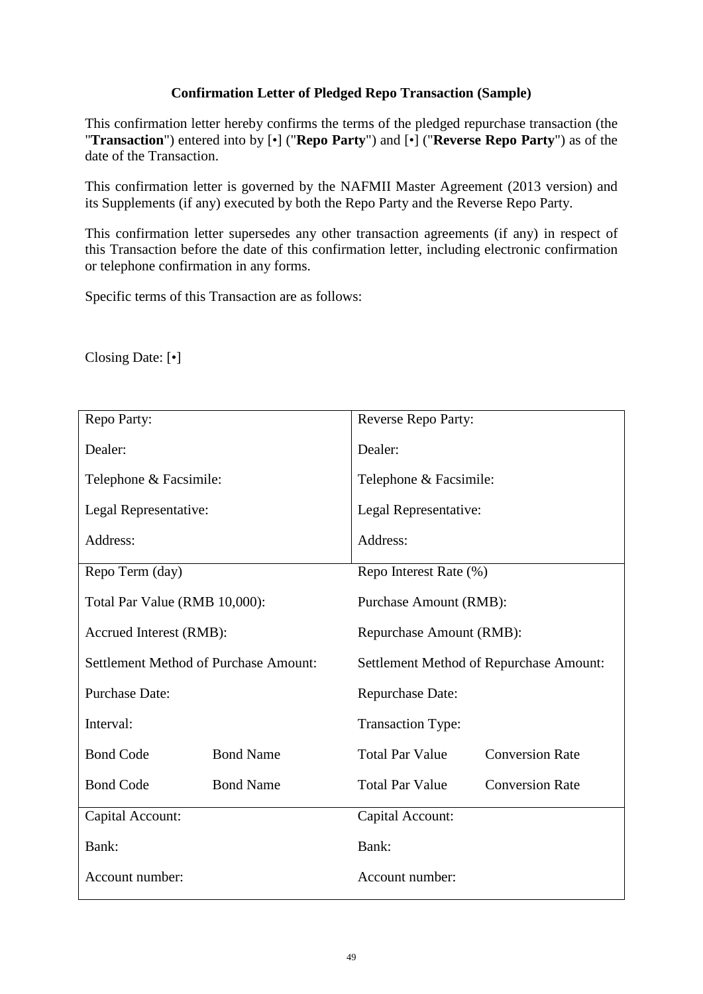# <span id="page-53-0"></span>**Confirmation Letter of Pledged Repo Transaction (Sample)**

This confirmation letter hereby confirms the terms of the pledged repurchase transaction (the "**Transaction**") entered into by [•] ("**Repo Party**") and [•] ("**Reverse Repo Party**") as of the date of the Transaction.

This confirmation letter is governed by the NAFMII Master Agreement (2013 version) and its Supplements (if any) executed by both the Repo Party and the Reverse Repo Party.

This confirmation letter supersedes any other transaction agreements (if any) in respect of this Transaction before the date of this confirmation letter, including electronic confirmation or telephone confirmation in any forms.

Specific terms of this Transaction are as follows:

Closing Date: [•]

| Repo Party:                                  |                  | Reverse Repo Party:                     |                        |
|----------------------------------------------|------------------|-----------------------------------------|------------------------|
| Dealer:                                      |                  | Dealer:                                 |                        |
| Telephone & Facsimile:                       |                  | Telephone & Facsimile:                  |                        |
| Legal Representative:                        |                  | Legal Representative:                   |                        |
| Address:                                     |                  | Address:                                |                        |
| Repo Term (day)                              |                  | Repo Interest Rate (%)                  |                        |
| Total Par Value (RMB 10,000):                |                  | Purchase Amount (RMB):                  |                        |
| Accrued Interest (RMB):                      |                  | Repurchase Amount (RMB):                |                        |
| <b>Settlement Method of Purchase Amount:</b> |                  | Settlement Method of Repurchase Amount: |                        |
| <b>Purchase Date:</b>                        |                  | Repurchase Date:                        |                        |
| Interval:                                    |                  | <b>Transaction Type:</b>                |                        |
| <b>Bond Code</b>                             | <b>Bond Name</b> | <b>Total Par Value</b>                  | <b>Conversion Rate</b> |
| <b>Bond Code</b>                             | <b>Bond Name</b> | <b>Total Par Value</b>                  | <b>Conversion Rate</b> |
| Capital Account:                             |                  | Capital Account:                        |                        |
| Bank:                                        |                  | Bank:                                   |                        |
| Account number:                              |                  | Account number:                         |                        |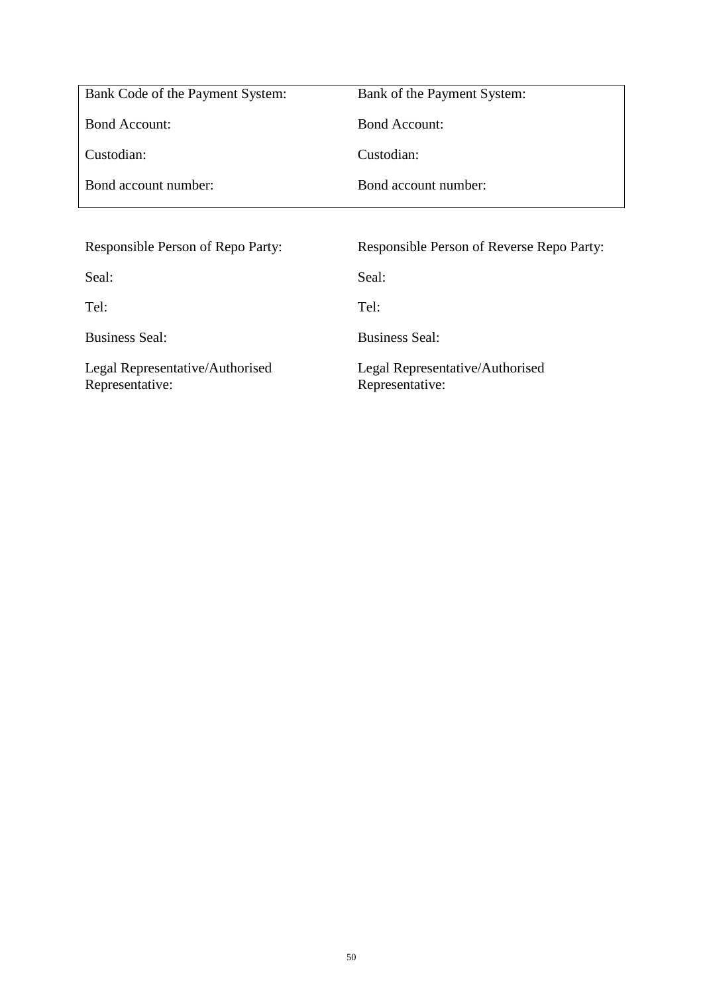| Bank Code of the Payment System:  | Bank of the Payment System:                      |
|-----------------------------------|--------------------------------------------------|
| <b>Bond Account:</b>              | <b>Bond Account:</b>                             |
| Custodian:                        | Custodian:                                       |
| Bond account number:              | Bond account number:                             |
|                                   |                                                  |
|                                   |                                                  |
| Responsible Person of Repo Party: | <b>Responsible Person of Reverse Repo Party:</b> |
| Seal:                             | Seal:                                            |
| Tel:                              | Tel:                                             |
| <b>Business Seal:</b>             | <b>Business Seal:</b>                            |

Representative:

Representative: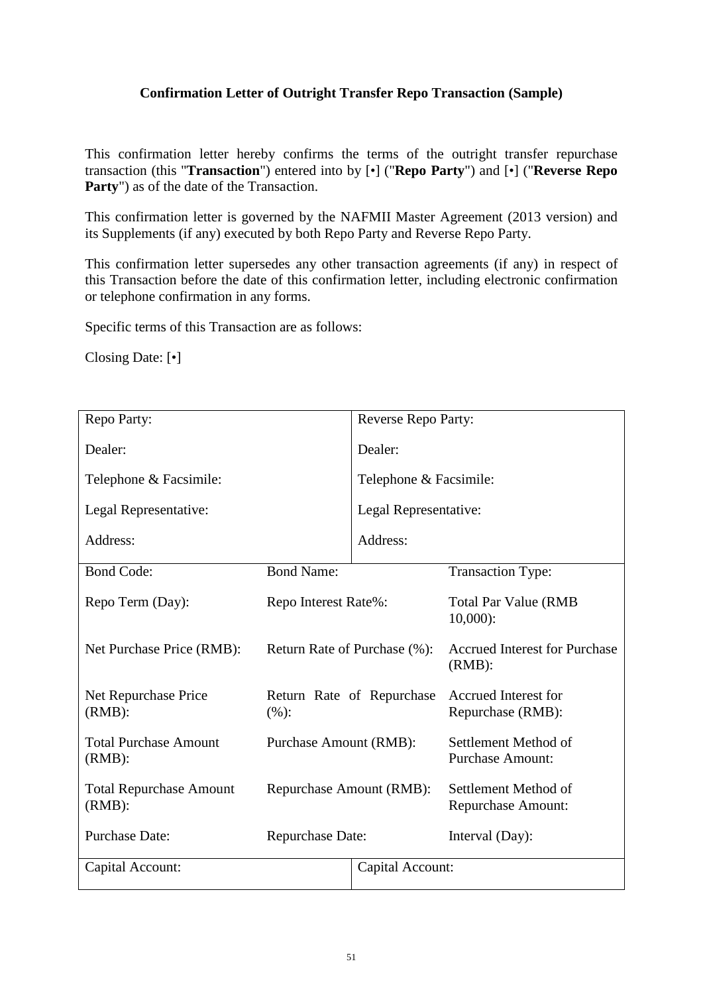# <span id="page-55-0"></span>**Confirmation Letter of Outright Transfer Repo Transaction (Sample)**

This confirmation letter hereby confirms the terms of the outright transfer repurchase transaction (this "**Transaction**") entered into by [•] ("**Repo Party**") and [•] ("**Reverse Repo**  Party") as of the date of the Transaction.

This confirmation letter is governed by the NAFMII Master Agreement (2013 version) and its Supplements (if any) executed by both Repo Party and Reverse Repo Party.

This confirmation letter supersedes any other transaction agreements (if any) in respect of this Transaction before the date of this confirmation letter, including electronic confirmation or telephone confirmation in any forms.

Specific terms of this Transaction are as follows:

Closing Date: [•]

<span id="page-55-1"></span>

| Repo Party:                                 |                               | Reverse Repo Party:       |                                                   |
|---------------------------------------------|-------------------------------|---------------------------|---------------------------------------------------|
| Dealer:                                     |                               | Dealer:                   |                                                   |
| Telephone & Facsimile:                      |                               | Telephone & Facsimile:    |                                                   |
| Legal Representative:                       |                               | Legal Representative:     |                                                   |
| Address:                                    |                               | Address:                  |                                                   |
| <b>Bond Code:</b>                           | <b>Bond Name:</b>             |                           | <b>Transaction Type:</b>                          |
| Repo Term (Day):                            | Repo Interest Rate%:          |                           | <b>Total Par Value (RMB</b><br>$10,000$ :         |
| Net Purchase Price (RMB):                   | Return Rate of Purchase (%):  |                           | <b>Accrued Interest for Purchase</b><br>$(RMB)$ : |
| Net Repurchase Price<br>$(RMB)$ :           | (%):                          | Return Rate of Repurchase | <b>Accrued Interest for</b><br>Repurchase (RMB):  |
| <b>Total Purchase Amount</b><br>$(RMB)$ :   | <b>Purchase Amount (RMB):</b> |                           | Settlement Method of<br><b>Purchase Amount:</b>   |
| <b>Total Repurchase Amount</b><br>$(RMB)$ : | Repurchase Amount (RMB):      |                           | Settlement Method of<br><b>Repurchase Amount:</b> |
| <b>Purchase Date:</b>                       | <b>Repurchase Date:</b>       |                           | Interval (Day):                                   |
| Capital Account:                            |                               | Capital Account:          |                                                   |